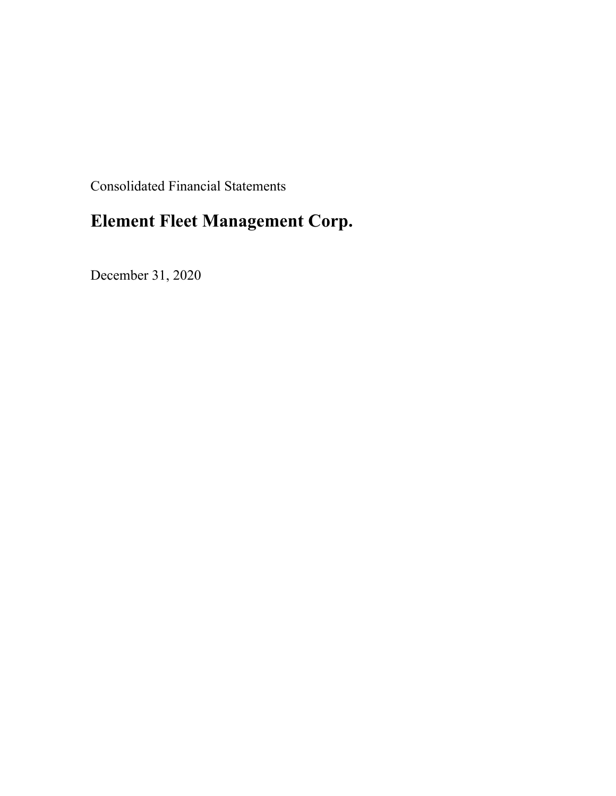Consolidated Financial Statements

# **Element Fleet Management Corp.**

December 31, 2020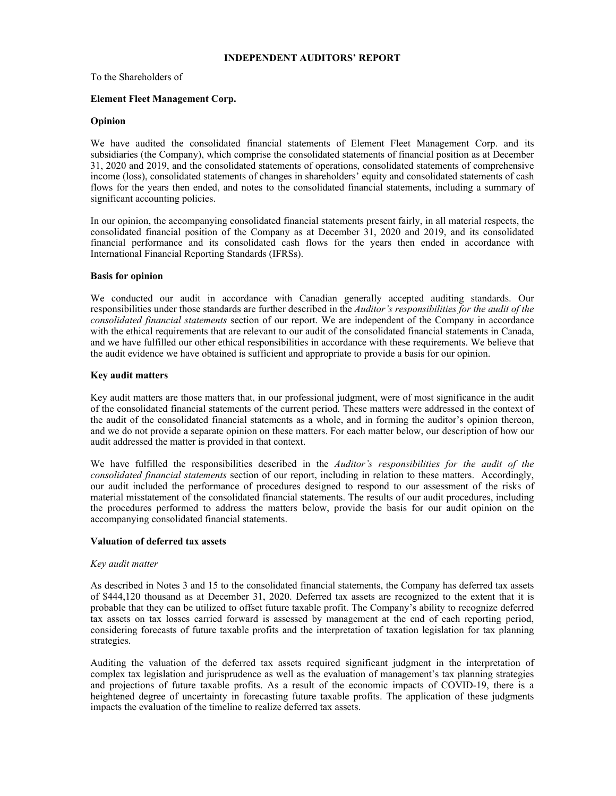#### **INDEPENDENT AUDITORS' REPORT**

To the Shareholders of

#### **Element Fleet Management Corp.**

#### **Opinion**

We have audited the consolidated financial statements of Element Fleet Management Corp. and its subsidiaries (the Company), which comprise the consolidated statements of financial position as at December 31, 2020 and 2019, and the consolidated statements of operations, consolidated statements of comprehensive income (loss), consolidated statements of changes in shareholders' equity and consolidated statements of cash flows for the years then ended, and notes to the consolidated financial statements, including a summary of significant accounting policies.

In our opinion, the accompanying consolidated financial statements present fairly, in all material respects, the consolidated financial position of the Company as at December 31, 2020 and 2019, and its consolidated financial performance and its consolidated cash flows for the years then ended in accordance with International Financial Reporting Standards (IFRSs).

#### **Basis for opinion**

We conducted our audit in accordance with Canadian generally accepted auditing standards. Our responsibilities under those standards are further described in the *Auditor's responsibilities for the audit of the consolidated financial statements* section of our report. We are independent of the Company in accordance with the ethical requirements that are relevant to our audit of the consolidated financial statements in Canada, and we have fulfilled our other ethical responsibilities in accordance with these requirements. We believe that the audit evidence we have obtained is sufficient and appropriate to provide a basis for our opinion.

#### **Key audit matters**

Key audit matters are those matters that, in our professional judgment, were of most significance in the audit of the consolidated financial statements of the current period. These matters were addressed in the context of the audit of the consolidated financial statements as a whole, and in forming the auditor's opinion thereon, and we do not provide a separate opinion on these matters. For each matter below, our description of how our audit addressed the matter is provided in that context.

We have fulfilled the responsibilities described in the *Auditor's responsibilities for the audit of the consolidated financial statements* section of our report, including in relation to these matters. Accordingly, our audit included the performance of procedures designed to respond to our assessment of the risks of material misstatement of the consolidated financial statements. The results of our audit procedures, including the procedures performed to address the matters below, provide the basis for our audit opinion on the accompanying consolidated financial statements.

#### **Valuation of deferred tax assets**

#### *Key audit matter*

As described in Notes 3 and 15 to the consolidated financial statements, the Company has deferred tax assets of \$444,120 thousand as at December 31, 2020. Deferred tax assets are recognized to the extent that it is probable that they can be utilized to offset future taxable profit. The Company's ability to recognize deferred tax assets on tax losses carried forward is assessed by management at the end of each reporting period, considering forecasts of future taxable profits and the interpretation of taxation legislation for tax planning strategies.

Auditing the valuation of the deferred tax assets required significant judgment in the interpretation of complex tax legislation and jurisprudence as well as the evaluation of management's tax planning strategies and projections of future taxable profits. As a result of the economic impacts of COVID-19, there is a heightened degree of uncertainty in forecasting future taxable profits. The application of these judgments impacts the evaluation of the timeline to realize deferred tax assets.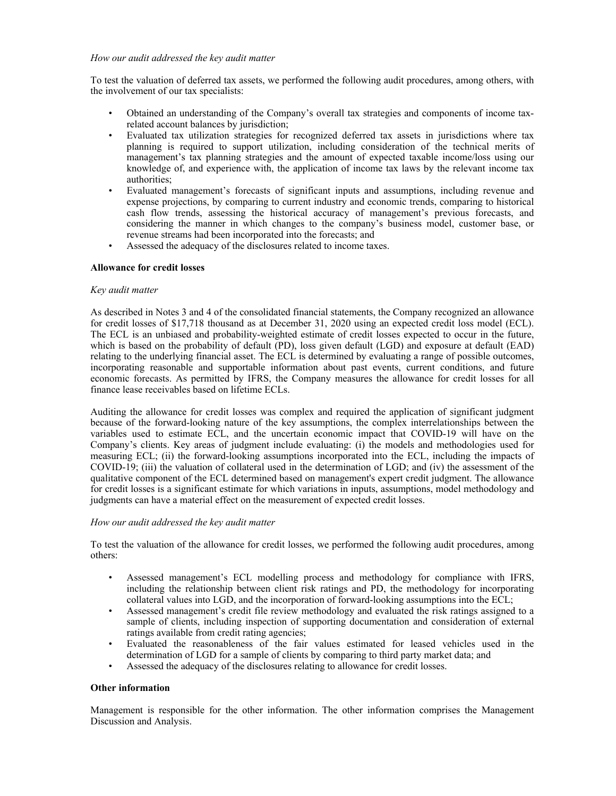#### *How our audit addressed the key audit matter*

To test the valuation of deferred tax assets, we performed the following audit procedures, among others, with the involvement of our tax specialists:

- Obtained an understanding of the Company's overall tax strategies and components of income taxrelated account balances by jurisdiction;
- Evaluated tax utilization strategies for recognized deferred tax assets in jurisdictions where tax planning is required to support utilization, including consideration of the technical merits of management's tax planning strategies and the amount of expected taxable income/loss using our knowledge of, and experience with, the application of income tax laws by the relevant income tax authorities;
- Evaluated management's forecasts of significant inputs and assumptions, including revenue and expense projections, by comparing to current industry and economic trends, comparing to historical cash flow trends, assessing the historical accuracy of management's previous forecasts, and considering the manner in which changes to the company's business model, customer base, or revenue streams had been incorporated into the forecasts; and
- Assessed the adequacy of the disclosures related to income taxes.

#### **Allowance for credit losses**

#### *Key audit matter*

As described in Notes 3 and 4 of the consolidated financial statements, the Company recognized an allowance for credit losses of \$17,718 thousand as at December 31, 2020 using an expected credit loss model (ECL). The ECL is an unbiased and probability-weighted estimate of credit losses expected to occur in the future, which is based on the probability of default (PD), loss given default (LGD) and exposure at default (EAD) relating to the underlying financial asset. The ECL is determined by evaluating a range of possible outcomes, incorporating reasonable and supportable information about past events, current conditions, and future economic forecasts. As permitted by IFRS, the Company measures the allowance for credit losses for all finance lease receivables based on lifetime ECLs.

Auditing the allowance for credit losses was complex and required the application of significant judgment because of the forward-looking nature of the key assumptions, the complex interrelationships between the variables used to estimate ECL, and the uncertain economic impact that COVID-19 will have on the Company's clients. Key areas of judgment include evaluating: (i) the models and methodologies used for measuring ECL; (ii) the forward-looking assumptions incorporated into the ECL, including the impacts of COVID-19; (iii) the valuation of collateral used in the determination of LGD; and (iv) the assessment of the qualitative component of the ECL determined based on management's expert credit judgment. The allowance for credit losses is a significant estimate for which variations in inputs, assumptions, model methodology and judgments can have a material effect on the measurement of expected credit losses.

#### *How our audit addressed the key audit matter*

To test the valuation of the allowance for credit losses, we performed the following audit procedures, among others:

- Assessed management's ECL modelling process and methodology for compliance with IFRS, including the relationship between client risk ratings and PD, the methodology for incorporating collateral values into LGD, and the incorporation of forward-looking assumptions into the ECL;
- Assessed management's credit file review methodology and evaluated the risk ratings assigned to a sample of clients, including inspection of supporting documentation and consideration of external ratings available from credit rating agencies;
- Evaluated the reasonableness of the fair values estimated for leased vehicles used in the determination of LGD for a sample of clients by comparing to third party market data; and
- Assessed the adequacy of the disclosures relating to allowance for credit losses.

#### **Other information**

Management is responsible for the other information. The other information comprises the Management Discussion and Analysis.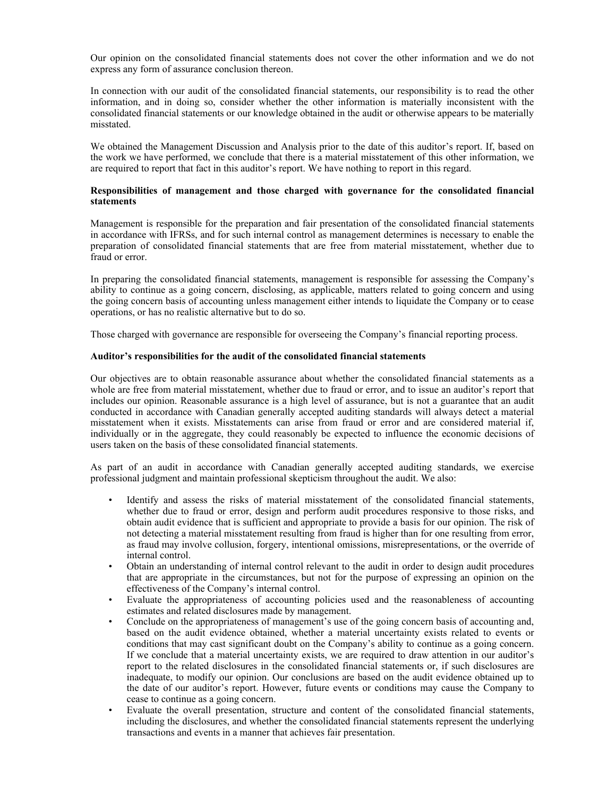Our opinion on the consolidated financial statements does not cover the other information and we do not express any form of assurance conclusion thereon.

In connection with our audit of the consolidated financial statements, our responsibility is to read the other information, and in doing so, consider whether the other information is materially inconsistent with the consolidated financial statements or our knowledge obtained in the audit or otherwise appears to be materially misstated.

We obtained the Management Discussion and Analysis prior to the date of this auditor's report. If, based on the work we have performed, we conclude that there is a material misstatement of this other information, we are required to report that fact in this auditor's report. We have nothing to report in this regard.

#### **Responsibilities of management and those charged with governance for the consolidated financial statements**

Management is responsible for the preparation and fair presentation of the consolidated financial statements in accordance with IFRSs, and for such internal control as management determines is necessary to enable the preparation of consolidated financial statements that are free from material misstatement, whether due to fraud or error.

In preparing the consolidated financial statements, management is responsible for assessing the Company's ability to continue as a going concern, disclosing, as applicable, matters related to going concern and using the going concern basis of accounting unless management either intends to liquidate the Company or to cease operations, or has no realistic alternative but to do so.

Those charged with governance are responsible for overseeing the Company's financial reporting process.

#### **Auditor's responsibilities for the audit of the consolidated financial statements**

Our objectives are to obtain reasonable assurance about whether the consolidated financial statements as a whole are free from material misstatement, whether due to fraud or error, and to issue an auditor's report that includes our opinion. Reasonable assurance is a high level of assurance, but is not a guarantee that an audit conducted in accordance with Canadian generally accepted auditing standards will always detect a material misstatement when it exists. Misstatements can arise from fraud or error and are considered material if, individually or in the aggregate, they could reasonably be expected to influence the economic decisions of users taken on the basis of these consolidated financial statements.

As part of an audit in accordance with Canadian generally accepted auditing standards, we exercise professional judgment and maintain professional skepticism throughout the audit. We also:

- Identify and assess the risks of material misstatement of the consolidated financial statements, whether due to fraud or error, design and perform audit procedures responsive to those risks, and obtain audit evidence that is sufficient and appropriate to provide a basis for our opinion. The risk of not detecting a material misstatement resulting from fraud is higher than for one resulting from error, as fraud may involve collusion, forgery, intentional omissions, misrepresentations, or the override of internal control.
- Obtain an understanding of internal control relevant to the audit in order to design audit procedures that are appropriate in the circumstances, but not for the purpose of expressing an opinion on the effectiveness of the Company's internal control.
- Evaluate the appropriateness of accounting policies used and the reasonableness of accounting estimates and related disclosures made by management.
- Conclude on the appropriateness of management's use of the going concern basis of accounting and, based on the audit evidence obtained, whether a material uncertainty exists related to events or conditions that may cast significant doubt on the Company's ability to continue as a going concern. If we conclude that a material uncertainty exists, we are required to draw attention in our auditor's report to the related disclosures in the consolidated financial statements or, if such disclosures are inadequate, to modify our opinion. Our conclusions are based on the audit evidence obtained up to the date of our auditor's report. However, future events or conditions may cause the Company to cease to continue as a going concern.
- Evaluate the overall presentation, structure and content of the consolidated financial statements, including the disclosures, and whether the consolidated financial statements represent the underlying transactions and events in a manner that achieves fair presentation.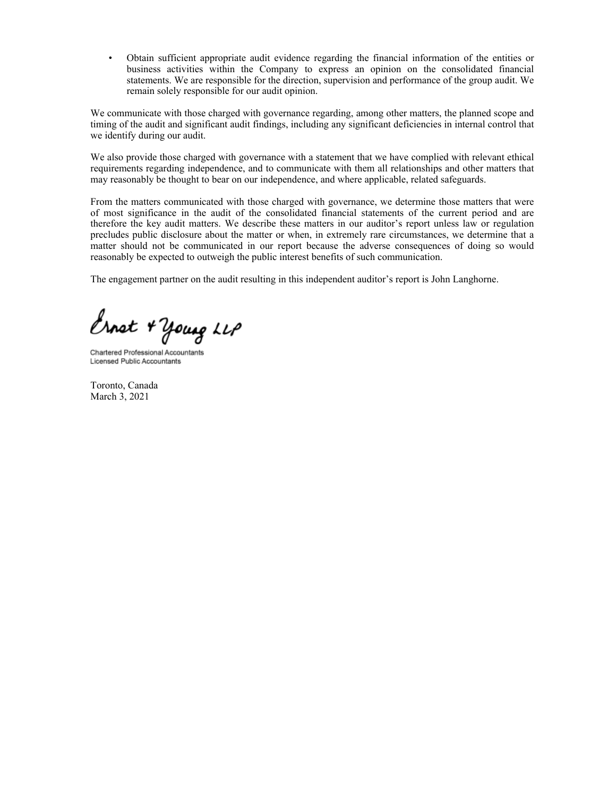• Obtain sufficient appropriate audit evidence regarding the financial information of the entities or business activities within the Company to express an opinion on the consolidated financial statements. We are responsible for the direction, supervision and performance of the group audit. We remain solely responsible for our audit opinion.

We communicate with those charged with governance regarding, among other matters, the planned scope and timing of the audit and significant audit findings, including any significant deficiencies in internal control that we identify during our audit.

We also provide those charged with governance with a statement that we have complied with relevant ethical requirements regarding independence, and to communicate with them all relationships and other matters that may reasonably be thought to bear on our independence, and where applicable, related safeguards.

From the matters communicated with those charged with governance, we determine those matters that were of most significance in the audit of the consolidated financial statements of the current period and are therefore the key audit matters. We describe these matters in our auditor's report unless law or regulation precludes public disclosure about the matter or when, in extremely rare circumstances, we determine that a matter should not be communicated in our report because the adverse consequences of doing so would reasonably be expected to outweigh the public interest benefits of such communication.

The engagement partner on the audit resulting in this independent auditor's report is John Langhorne.

Ernst + Young LLP

Chartered Professional Accountants Licensed Public Accountants

Toronto, Canada March 3, 2021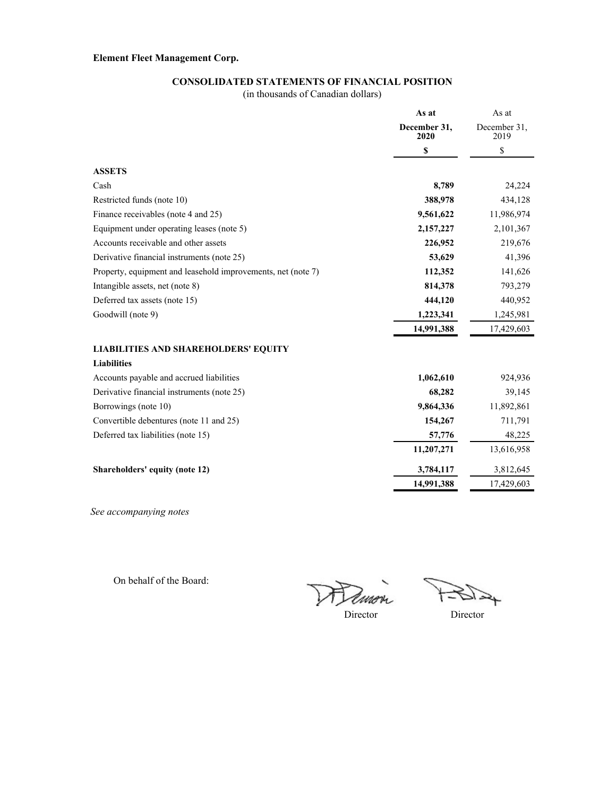### **Element Fleet Management Corp.**

### **CONSOLIDATED STATEMENTS OF FINANCIAL POSITION**

(in thousands of Canadian dollars)

|                                                              | As at                | As at                |
|--------------------------------------------------------------|----------------------|----------------------|
|                                                              | December 31,<br>2020 | December 31,<br>2019 |
|                                                              | S                    | \$                   |
| <b>ASSETS</b>                                                |                      |                      |
| Cash                                                         | 8,789                | 24,224               |
| Restricted funds (note 10)                                   | 388,978              | 434,128              |
| Finance receivables (note 4 and 25)                          | 9,561,622            | 11,986,974           |
| Equipment under operating leases (note 5)                    | 2,157,227            | 2,101,367            |
| Accounts receivable and other assets                         | 226,952              | 219,676              |
| Derivative financial instruments (note 25)                   | 53,629               | 41,396               |
| Property, equipment and leasehold improvements, net (note 7) | 112,352              | 141,626              |
| Intangible assets, net (note 8)                              | 814,378              | 793,279              |
| Deferred tax assets (note 15)                                | 444,120              | 440,952              |
| Goodwill (note 9)                                            | 1,223,341            | 1,245,981            |
|                                                              | 14,991,388           | 17,429,603           |
| <b>LIABILITIES AND SHAREHOLDERS' EQUITY</b>                  |                      |                      |
| <b>Liabilities</b>                                           |                      |                      |
| Accounts payable and accrued liabilities                     | 1,062,610            | 924,936              |
| Derivative financial instruments (note 25)                   | 68,282               | 39,145               |
| Borrowings (note 10)                                         | 9,864,336            | 11,892,861           |
| Convertible debentures (note 11 and 25)                      | 154,267              | 711,791              |
| Deferred tax liabilities (note 15)                           | 57,776               | 48,225               |
|                                                              | 11,207,271           | 13,616,958           |
| <b>Shareholders' equity (note 12)</b>                        | 3,784,117            | 3,812,645            |
|                                                              | 14,991,388           | 17,429,603           |

*See accompanying notes*

On behalf of the Board:

 $\mu$ 

Director Director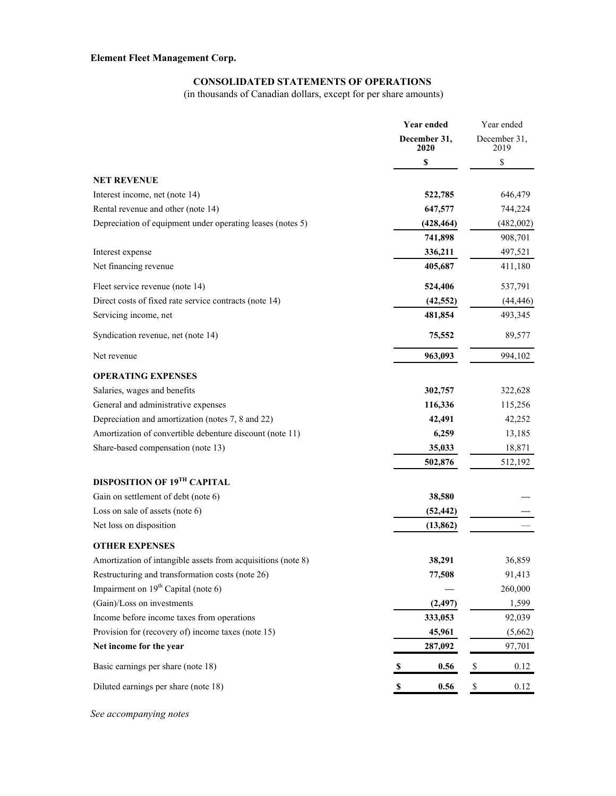## **Element Fleet Management Corp.**

### **CONSOLIDATED STATEMENTS OF OPERATIONS**

(in thousands of Canadian dollars, except for per share amounts)

|                                                              | <b>Year ended</b>           | Year ended                        |
|--------------------------------------------------------------|-----------------------------|-----------------------------------|
|                                                              | December 31,<br><b>2020</b> | December 31,<br>2019              |
|                                                              | \$                          | \$                                |
| <b>NET REVENUE</b>                                           |                             |                                   |
| Interest income, net (note 14)                               | 522,785                     | 646,479                           |
| Rental revenue and other (note 14)                           | 647,577                     | 744,224                           |
| Depreciation of equipment under operating leases (notes 5)   | (428, 464)                  | (482,002)                         |
|                                                              | 741,898                     | 908,701                           |
| Interest expense                                             | 336,211                     | 497,521                           |
| Net financing revenue                                        | 405,687                     | 411,180                           |
| Fleet service revenue (note 14)                              | 524,406                     | 537,791                           |
| Direct costs of fixed rate service contracts (note 14)       | (42, 552)                   | (44, 446)                         |
| Servicing income, net                                        | 481,854                     | 493,345                           |
| Syndication revenue, net (note 14)                           | 75,552                      | 89,577                            |
| Net revenue                                                  | 963,093                     | 994,102                           |
| <b>OPERATING EXPENSES</b>                                    |                             |                                   |
| Salaries, wages and benefits                                 | 302,757                     | 322,628                           |
| General and administrative expenses                          | 116,336                     | 115,256                           |
| Depreciation and amortization (notes 7, 8 and 22)            | 42,491                      | 42,252                            |
| Amortization of convertible debenture discount (note 11)     | 6,259                       | 13,185                            |
| Share-based compensation (note 13)                           | 35,033                      | 18,871                            |
|                                                              | 502,876                     | 512,192                           |
| DISPOSITION OF 19TH CAPITAL                                  |                             |                                   |
| Gain on settlement of debt (note 6)                          | 38,580                      |                                   |
| Loss on sale of assets (note 6)                              | (52, 442)                   |                                   |
| Net loss on disposition                                      | (13, 862)                   |                                   |
| <b>OTHER EXPENSES</b>                                        |                             |                                   |
| Amortization of intangible assets from acquisitions (note 8) | 38,291                      | 36,859                            |
| Restructuring and transformation costs (note 26)             | 77,508                      | 91,413                            |
| Impairment on $19th$ Capital (note 6)                        |                             | 260,000                           |
| (Gain)/Loss on investments                                   | (2, 497)                    | 1,599                             |
| Income before income taxes from operations                   | 333,053                     | 92,039                            |
| Provision for (recovery of) income taxes (note 15)           | 45,961                      | (5,662)                           |
| Net income for the year                                      | 287,092                     | 97,701                            |
| Basic earnings per share (note 18)                           | 0.56<br>\$                  | \$<br>0.12                        |
| Diluted earnings per share (note 18)                         | 0.56<br>S                   | $\boldsymbol{\mathsf{S}}$<br>0.12 |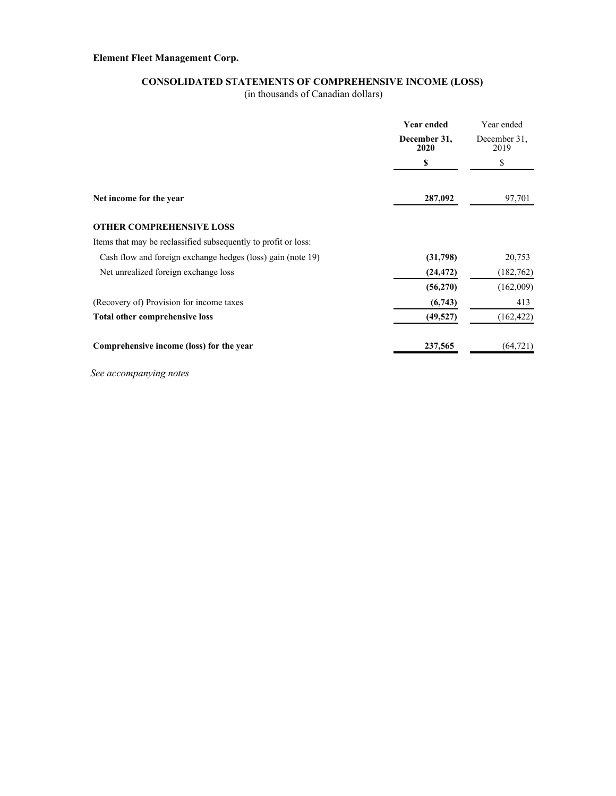## **CONSOLIDATED STATEMENTS OF COMPREHENSIVE INCOME (LOSS)**

(in thousands of Canadian dollars)

|                                                                | Year ended           | Year ended<br>December 31,<br>2019 |  |
|----------------------------------------------------------------|----------------------|------------------------------------|--|
|                                                                | December 31,<br>2020 |                                    |  |
|                                                                | \$                   | \$                                 |  |
| Net income for the year                                        | 287,092              | 97,701                             |  |
| <b>OTHER COMPREHENSIVE LOSS</b>                                |                      |                                    |  |
| Items that may be reclassified subsequently to profit or loss: |                      |                                    |  |
| Cash flow and foreign exchange hedges (loss) gain (note 19)    | (31,798)             | 20,753                             |  |
| Net unrealized foreign exchange loss                           | (24, 472)            | (182, 762)                         |  |
|                                                                | (56,270)             | (162,009)                          |  |
| (Recovery of) Provision for income taxes                       | (6,743)              | 413                                |  |
| <b>Total other comprehensive loss</b>                          | (49, 527)            | (162, 422)                         |  |
| Comprehensive income (loss) for the year                       | 237,565              | (64, 721)                          |  |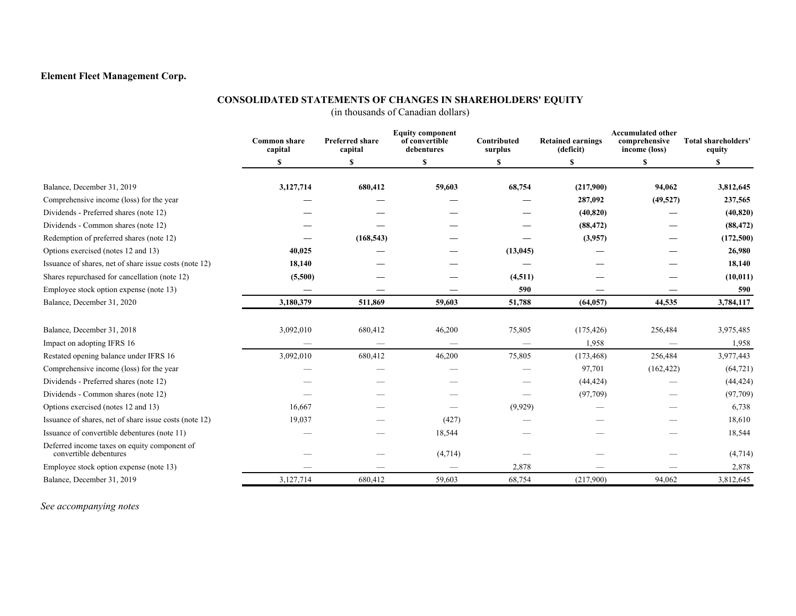### **Element Fleet Management Corp.**

### **CONSOLIDATED STATEMENTS OF CHANGES IN SHAREHOLDERS' EQUITY**

(in thousands of Canadian dollars)

|                                                                        | <b>Common share</b><br>capital | Preferred share<br>capital | <b>Equity component</b><br>of convertible<br>debentures | Contributed<br>surplus | <b>Retained earnings</b><br>(deficit) | <b>Accumulated other</b><br>comprehensive<br>income (loss) | <b>Total shareholders'</b><br>equity |
|------------------------------------------------------------------------|--------------------------------|----------------------------|---------------------------------------------------------|------------------------|---------------------------------------|------------------------------------------------------------|--------------------------------------|
|                                                                        | \$                             | \$                         | <sup>\$</sup>                                           | S                      | <b>S</b>                              | S                                                          | \$                                   |
| Balance, December 31, 2019                                             | 3,127,714                      | 680,412                    | 59,603                                                  | 68,754                 | (217,900)                             | 94,062                                                     | 3,812,645                            |
| Comprehensive income (loss) for the year                               |                                |                            |                                                         |                        | 287,092                               | (49,527)                                                   | 237,565                              |
| Dividends - Preferred shares (note 12)                                 |                                |                            |                                                         |                        | (40, 820)                             |                                                            | (40, 820)                            |
| Dividends - Common shares (note 12)                                    |                                |                            |                                                         |                        | (88, 472)                             |                                                            | (88, 472)                            |
| Redemption of preferred shares (note 12)                               |                                | (168, 543)                 |                                                         |                        | (3,957)                               |                                                            | (172,500)                            |
| Options exercised (notes 12 and 13)                                    | 40,025                         |                            |                                                         | (13, 045)              |                                       |                                                            | 26,980                               |
| Issuance of shares, net of share issue costs (note 12)                 | 18,140                         |                            |                                                         |                        |                                       |                                                            | 18,140                               |
| Shares repurchased for cancellation (note 12)                          | (5,500)                        |                            |                                                         | (4,511)                |                                       |                                                            | (10, 011)                            |
| Employee stock option expense (note 13)                                |                                |                            |                                                         | 590                    |                                       |                                                            | 590                                  |
| Balance, December 31, 2020                                             | 3,180,379                      | 511,869                    | 59,603                                                  | 51,788                 | (64, 057)                             | 44,535                                                     | 3,784,117                            |
| Balance, December 31, 2018                                             | 3,092,010                      | 680,412                    | 46,200                                                  | 75,805                 | (175, 426)                            | 256,484                                                    | 3,975,485                            |
| Impact on adopting IFRS 16                                             |                                |                            |                                                         |                        | 1,958                                 |                                                            | 1,958                                |
| Restated opening balance under IFRS 16                                 | 3,092,010                      | 680,412                    | 46,200                                                  | 75,805                 | (173, 468)                            | 256,484                                                    | 3,977,443                            |
| Comprehensive income (loss) for the year                               |                                |                            |                                                         |                        | 97,701                                | (162, 422)                                                 | (64, 721)                            |
| Dividends - Preferred shares (note 12)                                 |                                |                            |                                                         |                        | (44, 424)                             |                                                            | (44, 424)                            |
| Dividends - Common shares (note 12)                                    |                                |                            |                                                         |                        | (97,709)                              |                                                            | (97,709)                             |
| Options exercised (notes 12 and 13)                                    | 16,667                         |                            |                                                         | (9,929)                |                                       |                                                            | 6,738                                |
| Issuance of shares, net of share issue costs (note 12)                 | 19,037                         |                            | (427)                                                   |                        |                                       |                                                            | 18,610                               |
| Issuance of convertible debentures (note 11)                           |                                |                            | 18,544                                                  |                        |                                       |                                                            | 18,544                               |
| Deferred income taxes on equity component of<br>convertible debentures |                                |                            | (4,714)                                                 |                        |                                       |                                                            | (4,714)                              |
| Employee stock option expense (note 13)                                |                                |                            |                                                         | 2,878                  |                                       |                                                            | 2,878                                |
| Balance, December 31, 2019                                             | 3,127,714                      | 680,412                    | 59,603                                                  | 68,754                 | (217,900)                             | 94,062                                                     | 3,812,645                            |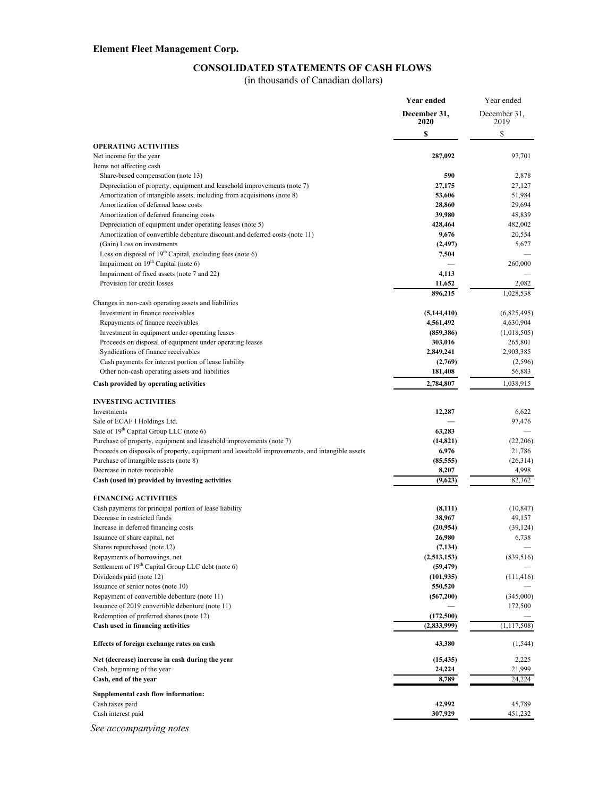### **CONSOLIDATED STATEMENTS OF CASH FLOWS**

(in thousands of Canadian dollars)

|                                                                                                          | <b>Year ended</b><br>December 31,<br>2020<br>\$ | Year ended<br>December 31.<br>2019<br>\$ |
|----------------------------------------------------------------------------------------------------------|-------------------------------------------------|------------------------------------------|
| <b>OPERATING ACTIVITIES</b>                                                                              |                                                 |                                          |
| Net income for the year<br>Items not affecting cash                                                      | 287.092                                         | 97,701                                   |
| Share-based compensation (note 13)                                                                       | 590                                             | 2,878                                    |
| Depreciation of property, equipment and leasehold improvements (note 7)                                  | 27,175                                          | 27,127                                   |
| Amortization of intangible assets, including from acquisitions (note 8)                                  | 53,606                                          | 51,984                                   |
| Amortization of deferred lease costs                                                                     | 28,860                                          | 29,694                                   |
| Amortization of deferred financing costs                                                                 | 39,980                                          | 48,839                                   |
| Depreciation of equipment under operating leases (note 5)                                                | 428,464                                         | 482,002                                  |
| Amortization of convertible debenture discount and deferred costs (note 11)                              | 9,676                                           | 20,554                                   |
| (Gain) Loss on investments                                                                               | (2, 497)                                        | 5,677                                    |
| Loss on disposal of $19th$ Capital, excluding fees (note 6)                                              | 7,504                                           |                                          |
| Impairment on 19 <sup>th</sup> Capital (note 6)                                                          |                                                 | 260,000                                  |
| Impairment of fixed assets (note 7 and 22)                                                               | 4,113                                           |                                          |
| Provision for credit losses                                                                              | 11,652                                          | 2,082                                    |
|                                                                                                          | 896,215                                         | 1,028,538                                |
| Changes in non-cash operating assets and liabilities                                                     |                                                 |                                          |
| Investment in finance receivables                                                                        | (5,144,410)                                     | (6,825,495)                              |
| Repayments of finance receivables                                                                        | 4,561,492                                       | 4,630,904                                |
| Investment in equipment under operating leases                                                           | (859, 386)                                      | (1,018,505)                              |
| Proceeds on disposal of equipment under operating leases                                                 | 303,016                                         | 265,801                                  |
| Syndications of finance receivables                                                                      | 2,849,241                                       | 2,903,385                                |
| Cash payments for interest portion of lease liability<br>Other non-cash operating assets and liabilities | (2,769)<br>181,408                              | (2,596)<br>56,883                        |
| Cash provided by operating activities                                                                    | 2,784,807                                       | 1,038,915                                |
|                                                                                                          |                                                 |                                          |
| <b>INVESTING ACTIVITIES</b><br>Investments                                                               | 12,287                                          | 6,622                                    |
| Sale of ECAF I Holdings Ltd.                                                                             |                                                 | 97,476                                   |
| Sale of $19th$ Capital Group LLC (note 6)                                                                | 63,283                                          |                                          |
| Purchase of property, equipment and leasehold improvements (note 7)                                      | (14, 821)                                       | (22, 206)                                |
| Proceeds on disposals of property, equipment and leasehold improvements, and intangible assets           | 6,976                                           | 21,786                                   |
| Purchase of intangible assets (note 8)                                                                   | (85, 555)                                       | (26,314)                                 |
| Decrease in notes receivable                                                                             | 8,207                                           | 4,998                                    |
| Cash (used in) provided by investing activities                                                          | (9,623)                                         | 82,362                                   |
| <b>FINANCING ACTIVITIES</b>                                                                              |                                                 |                                          |
| Cash payments for principal portion of lease liability                                                   | (8,111)                                         | (10, 847)                                |
| Decrease in restricted funds                                                                             | 38,967                                          | 49,157                                   |
| Increase in deferred financing costs                                                                     | (20, 954)                                       | (39, 124)                                |
| Issuance of share capital, net                                                                           | 26,980                                          | 6,738                                    |
| Shares repurchased (note 12)                                                                             | (7, 134)                                        |                                          |
| Repayments of borrowings, net                                                                            | (2,513,153)                                     | (839, 516)                               |
| Settlement of 19 <sup>th</sup> Capital Group LLC debt (note 6)                                           | (59, 479)                                       |                                          |
| Dividends paid (note 12)                                                                                 | (101, 935)                                      | (111, 416)                               |
| Issuance of senior notes (note 10)                                                                       | 550,520                                         |                                          |
| Repayment of convertible debenture (note 11)                                                             | (567,200)                                       | (345,000)                                |
| Issuance of 2019 convertible debenture (note 11)                                                         |                                                 | 172,500                                  |
| Redemption of preferred shares (note 12)<br>Cash used in financing activities                            | (172, 500)<br>(2,833,999)                       | (1, 117, 508)                            |
| Effects of foreign exchange rates on cash                                                                | 43,380                                          | (1, 544)                                 |
| Net (decrease) increase in cash during the year                                                          | (15, 435)                                       | 2,225                                    |
| Cash, beginning of the year                                                                              | 24,224                                          | 21,999                                   |
| Cash, end of the year                                                                                    | 8,789                                           | 24,224                                   |
| Supplemental cash flow information:                                                                      |                                                 |                                          |
| Cash taxes paid                                                                                          | 42,992                                          | 45,789                                   |
| Cash interest paid                                                                                       | 307,929                                         | 451,232                                  |
|                                                                                                          |                                                 |                                          |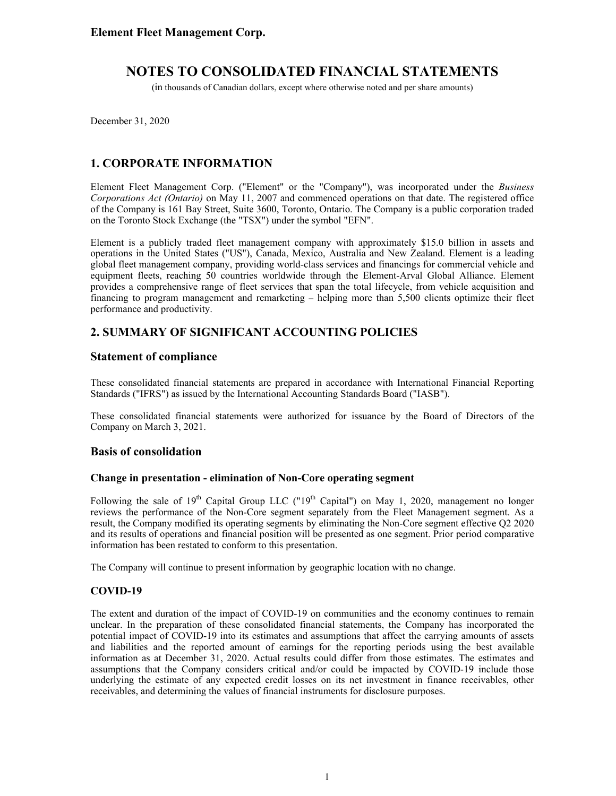(in thousands of Canadian dollars, except where otherwise noted and per share amounts)

December 31, 2020

## **1. CORPORATE INFORMATION**

Element Fleet Management Corp. ("Element" or the "Company"), was incorporated under the *Business Corporations Act (Ontario)* on May 11, 2007 and commenced operations on that date. The registered office of the Company is 161 Bay Street, Suite 3600, Toronto, Ontario. The Company is a public corporation traded on the Toronto Stock Exchange (the "TSX") under the symbol "EFN".

Element is a publicly traded fleet management company with approximately \$15.0 billion in assets and operations in the United States ("US"), Canada, Mexico, Australia and New Zealand. Element is a leading global fleet management company, providing world-class services and financings for commercial vehicle and equipment fleets, reaching 50 countries worldwide through the Element-Arval Global Alliance. Element provides a comprehensive range of fleet services that span the total lifecycle, from vehicle acquisition and financing to program management and remarketing – helping more than 5,500 clients optimize their fleet performance and productivity.

## **2. SUMMARY OF SIGNIFICANT ACCOUNTING POLICIES**

### **Statement of compliance**

These consolidated financial statements are prepared in accordance with International Financial Reporting Standards ("IFRS") as issued by the International Accounting Standards Board ("IASB").

These consolidated financial statements were authorized for issuance by the Board of Directors of the Company on March 3, 2021.

### **Basis of consolidation**

### **Change in presentation - elimination of Non-Core operating segment**

Following the sale of  $19<sup>th</sup>$  Capital Group LLC (" $19<sup>th</sup>$  Capital") on May 1, 2020, management no longer reviews the performance of the Non-Core segment separately from the Fleet Management segment. As a result, the Company modified its operating segments by eliminating the Non-Core segment effective Q2 2020 and its results of operations and financial position will be presented as one segment. Prior period comparative information has been restated to conform to this presentation.

The Company will continue to present information by geographic location with no change.

### **COVID-19**

The extent and duration of the impact of COVID-19 on communities and the economy continues to remain unclear. In the preparation of these consolidated financial statements, the Company has incorporated the potential impact of COVID-19 into its estimates and assumptions that affect the carrying amounts of assets and liabilities and the reported amount of earnings for the reporting periods using the best available information as at December 31, 2020. Actual results could differ from those estimates. The estimates and assumptions that the Company considers critical and/or could be impacted by COVID-19 include those underlying the estimate of any expected credit losses on its net investment in finance receivables, other receivables, and determining the values of financial instruments for disclosure purposes.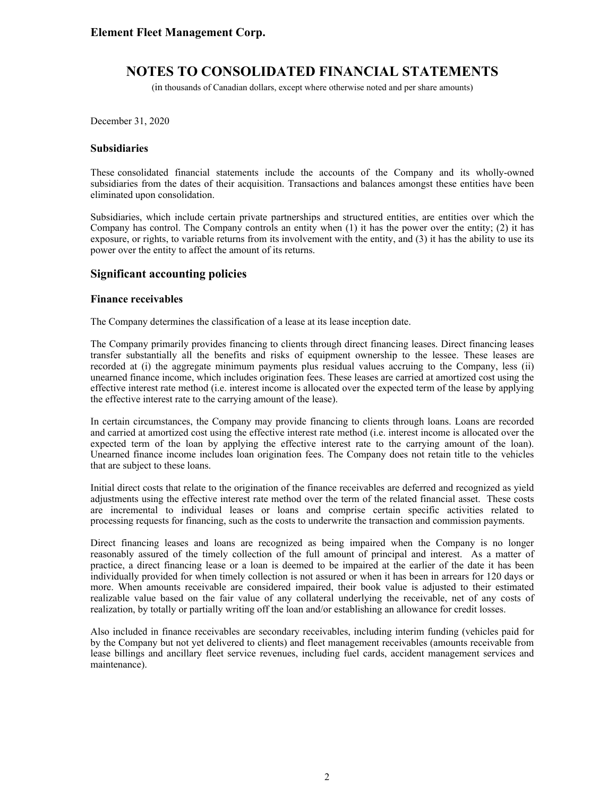(in thousands of Canadian dollars, except where otherwise noted and per share amounts)

December 31, 2020

#### **Subsidiaries**

These consolidated financial statements include the accounts of the Company and its wholly-owned subsidiaries from the dates of their acquisition. Transactions and balances amongst these entities have been eliminated upon consolidation.

Subsidiaries, which include certain private partnerships and structured entities, are entities over which the Company has control. The Company controls an entity when (1) it has the power over the entity; (2) it has exposure, or rights, to variable returns from its involvement with the entity, and (3) it has the ability to use its power over the entity to affect the amount of its returns.

### **Significant accounting policies**

#### **Finance receivables**

The Company determines the classification of a lease at its lease inception date.

The Company primarily provides financing to clients through direct financing leases. Direct financing leases transfer substantially all the benefits and risks of equipment ownership to the lessee. These leases are recorded at (i) the aggregate minimum payments plus residual values accruing to the Company, less (ii) unearned finance income, which includes origination fees. These leases are carried at amortized cost using the effective interest rate method (i.e. interest income is allocated over the expected term of the lease by applying the effective interest rate to the carrying amount of the lease).

In certain circumstances, the Company may provide financing to clients through loans. Loans are recorded and carried at amortized cost using the effective interest rate method (i.e. interest income is allocated over the expected term of the loan by applying the effective interest rate to the carrying amount of the loan). Unearned finance income includes loan origination fees. The Company does not retain title to the vehicles that are subject to these loans.

Initial direct costs that relate to the origination of the finance receivables are deferred and recognized as yield adjustments using the effective interest rate method over the term of the related financial asset. These costs are incremental to individual leases or loans and comprise certain specific activities related to processing requests for financing, such as the costs to underwrite the transaction and commission payments.

Direct financing leases and loans are recognized as being impaired when the Company is no longer reasonably assured of the timely collection of the full amount of principal and interest. As a matter of practice, a direct financing lease or a loan is deemed to be impaired at the earlier of the date it has been individually provided for when timely collection is not assured or when it has been in arrears for 120 days or more. When amounts receivable are considered impaired, their book value is adjusted to their estimated realizable value based on the fair value of any collateral underlying the receivable, net of any costs of realization, by totally or partially writing off the loan and/or establishing an allowance for credit losses.

Also included in finance receivables are secondary receivables, including interim funding (vehicles paid for by the Company but not yet delivered to clients) and fleet management receivables (amounts receivable from lease billings and ancillary fleet service revenues, including fuel cards, accident management services and maintenance).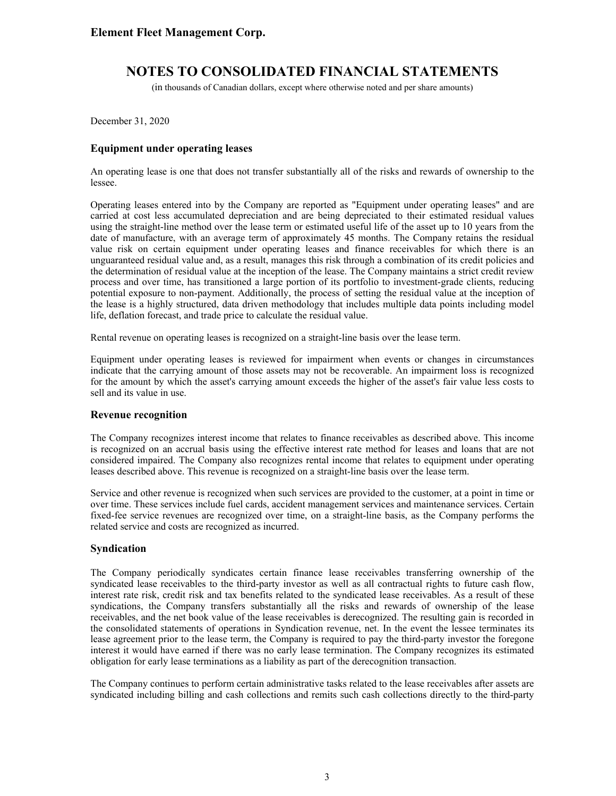(in thousands of Canadian dollars, except where otherwise noted and per share amounts)

December 31, 2020

### **Equipment under operating leases**

An operating lease is one that does not transfer substantially all of the risks and rewards of ownership to the lessee.

Operating leases entered into by the Company are reported as "Equipment under operating leases" and are carried at cost less accumulated depreciation and are being depreciated to their estimated residual values using the straight-line method over the lease term or estimated useful life of the asset up to 10 years from the date of manufacture, with an average term of approximately 45 months. The Company retains the residual value risk on certain equipment under operating leases and finance receivables for which there is an unguaranteed residual value and, as a result, manages this risk through a combination of its credit policies and the determination of residual value at the inception of the lease. The Company maintains a strict credit review process and over time, has transitioned a large portion of its portfolio to investment-grade clients, reducing potential exposure to non-payment. Additionally, the process of setting the residual value at the inception of the lease is a highly structured, data driven methodology that includes multiple data points including model life, deflation forecast, and trade price to calculate the residual value.

Rental revenue on operating leases is recognized on a straight-line basis over the lease term.

Equipment under operating leases is reviewed for impairment when events or changes in circumstances indicate that the carrying amount of those assets may not be recoverable. An impairment loss is recognized for the amount by which the asset's carrying amount exceeds the higher of the asset's fair value less costs to sell and its value in use.

#### **Revenue recognition**

The Company recognizes interest income that relates to finance receivables as described above. This income is recognized on an accrual basis using the effective interest rate method for leases and loans that are not considered impaired. The Company also recognizes rental income that relates to equipment under operating leases described above. This revenue is recognized on a straight-line basis over the lease term.

Service and other revenue is recognized when such services are provided to the customer, at a point in time or over time. These services include fuel cards, accident management services and maintenance services. Certain fixed-fee service revenues are recognized over time, on a straight-line basis, as the Company performs the related service and costs are recognized as incurred.

#### **Syndication**

The Company periodically syndicates certain finance lease receivables transferring ownership of the syndicated lease receivables to the third-party investor as well as all contractual rights to future cash flow, interest rate risk, credit risk and tax benefits related to the syndicated lease receivables. As a result of these syndications, the Company transfers substantially all the risks and rewards of ownership of the lease receivables, and the net book value of the lease receivables is derecognized. The resulting gain is recorded in the consolidated statements of operations in Syndication revenue, net. In the event the lessee terminates its lease agreement prior to the lease term, the Company is required to pay the third-party investor the foregone interest it would have earned if there was no early lease termination. The Company recognizes its estimated obligation for early lease terminations as a liability as part of the derecognition transaction.

The Company continues to perform certain administrative tasks related to the lease receivables after assets are syndicated including billing and cash collections and remits such cash collections directly to the third-party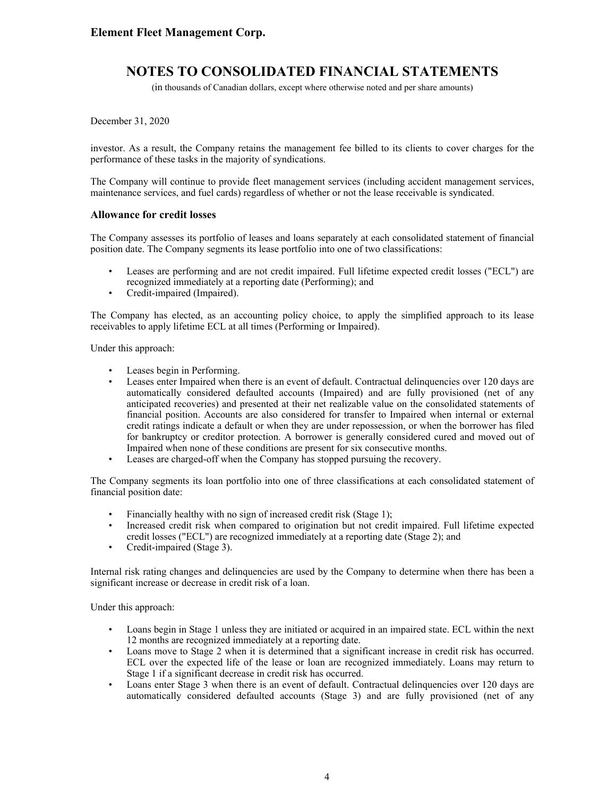(in thousands of Canadian dollars, except where otherwise noted and per share amounts)

December 31, 2020

investor. As a result, the Company retains the management fee billed to its clients to cover charges for the performance of these tasks in the majority of syndications.

The Company will continue to provide fleet management services (including accident management services, maintenance services, and fuel cards) regardless of whether or not the lease receivable is syndicated.

#### **Allowance for credit losses**

The Company assesses its portfolio of leases and loans separately at each consolidated statement of financial position date. The Company segments its lease portfolio into one of two classifications:

- Leases are performing and are not credit impaired. Full lifetime expected credit losses ("ECL") are recognized immediately at a reporting date (Performing); and
- Credit-impaired (Impaired).

The Company has elected, as an accounting policy choice, to apply the simplified approach to its lease receivables to apply lifetime ECL at all times (Performing or Impaired).

Under this approach:

- Leases begin in Performing.
- Leases enter Impaired when there is an event of default. Contractual delinquencies over 120 days are automatically considered defaulted accounts (Impaired) and are fully provisioned (net of any anticipated recoveries) and presented at their net realizable value on the consolidated statements of financial position. Accounts are also considered for transfer to Impaired when internal or external credit ratings indicate a default or when they are under repossession, or when the borrower has filed for bankruptcy or creditor protection. A borrower is generally considered cured and moved out of Impaired when none of these conditions are present for six consecutive months.
- Leases are charged-off when the Company has stopped pursuing the recovery.

The Company segments its loan portfolio into one of three classifications at each consolidated statement of financial position date:

- Financially healthy with no sign of increased credit risk (Stage 1);
- Increased credit risk when compared to origination but not credit impaired. Full lifetime expected credit losses ("ECL") are recognized immediately at a reporting date (Stage 2); and
- Credit-impaired (Stage 3).

Internal risk rating changes and delinquencies are used by the Company to determine when there has been a significant increase or decrease in credit risk of a loan.

Under this approach:

- Loans begin in Stage 1 unless they are initiated or acquired in an impaired state. ECL within the next 12 months are recognized immediately at a reporting date.
- Loans move to Stage 2 when it is determined that a significant increase in credit risk has occurred. ECL over the expected life of the lease or loan are recognized immediately. Loans may return to Stage 1 if a significant decrease in credit risk has occurred.
- Loans enter Stage 3 when there is an event of default. Contractual delinquencies over 120 days are automatically considered defaulted accounts (Stage 3) and are fully provisioned (net of any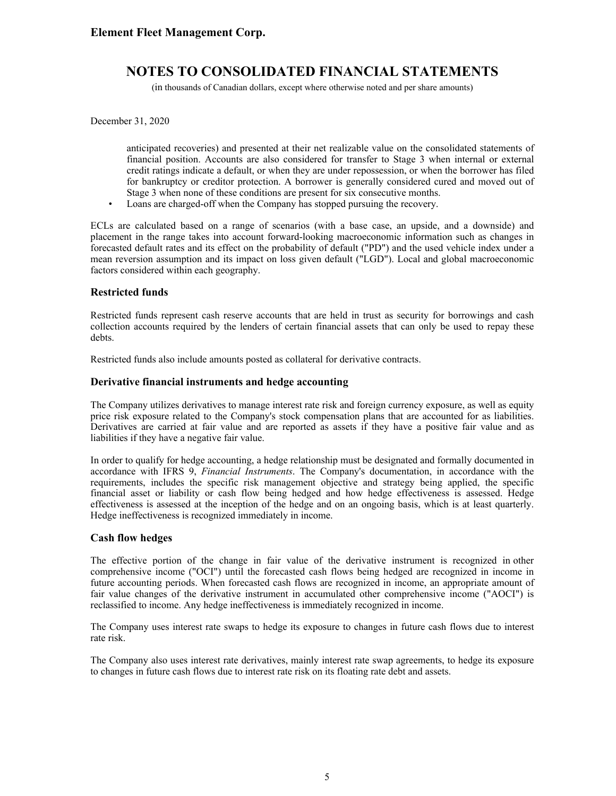(in thousands of Canadian dollars, except where otherwise noted and per share amounts)

December 31, 2020

anticipated recoveries) and presented at their net realizable value on the consolidated statements of financial position. Accounts are also considered for transfer to Stage 3 when internal or external credit ratings indicate a default, or when they are under repossession, or when the borrower has filed for bankruptcy or creditor protection. A borrower is generally considered cured and moved out of Stage 3 when none of these conditions are present for six consecutive months.

• Loans are charged-off when the Company has stopped pursuing the recovery.

ECLs are calculated based on a range of scenarios (with a base case, an upside, and a downside) and placement in the range takes into account forward-looking macroeconomic information such as changes in forecasted default rates and its effect on the probability of default ("PD") and the used vehicle index under a mean reversion assumption and its impact on loss given default ("LGD"). Local and global macroeconomic factors considered within each geography.

#### **Restricted funds**

Restricted funds represent cash reserve accounts that are held in trust as security for borrowings and cash collection accounts required by the lenders of certain financial assets that can only be used to repay these debts.

Restricted funds also include amounts posted as collateral for derivative contracts.

#### **Derivative financial instruments and hedge accounting**

The Company utilizes derivatives to manage interest rate risk and foreign currency exposure, as well as equity price risk exposure related to the Company's stock compensation plans that are accounted for as liabilities. Derivatives are carried at fair value and are reported as assets if they have a positive fair value and as liabilities if they have a negative fair value.

In order to qualify for hedge accounting, a hedge relationship must be designated and formally documented in accordance with IFRS 9, *Financial Instruments*. The Company's documentation, in accordance with the requirements, includes the specific risk management objective and strategy being applied, the specific financial asset or liability or cash flow being hedged and how hedge effectiveness is assessed. Hedge effectiveness is assessed at the inception of the hedge and on an ongoing basis, which is at least quarterly. Hedge ineffectiveness is recognized immediately in income.

#### **Cash flow hedges**

The effective portion of the change in fair value of the derivative instrument is recognized in other comprehensive income ("OCI") until the forecasted cash flows being hedged are recognized in income in future accounting periods. When forecasted cash flows are recognized in income, an appropriate amount of fair value changes of the derivative instrument in accumulated other comprehensive income ("AOCI") is reclassified to income. Any hedge ineffectiveness is immediately recognized in income.

The Company uses interest rate swaps to hedge its exposure to changes in future cash flows due to interest rate risk.

The Company also uses interest rate derivatives, mainly interest rate swap agreements, to hedge its exposure to changes in future cash flows due to interest rate risk on its floating rate debt and assets.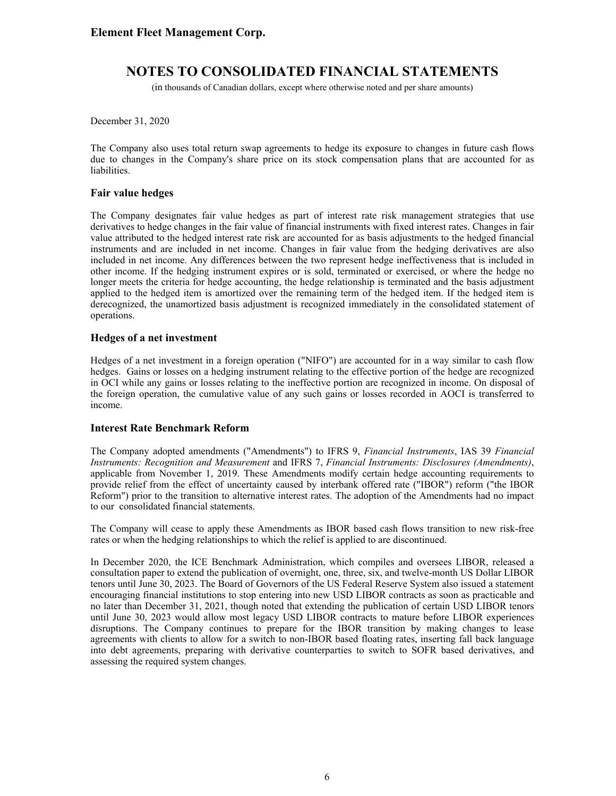(in thousands of Canadian dollars, except where otherwise noted and per share amounts)

December 31, 2020

The Company also uses total return swap agreements to hedge its exposure to changes in future cash flows due to changes in the Company's share price on its stock compensation plans that are accounted for as liabilities.

#### **Fair value hedges**

The Company designates fair value hedges as part of interest rate risk management strategies that use derivatives to hedge changes in the fair value of financial instruments with fixed interest rates. Changes in fair value attributed to the hedged interest rate risk are accounted for as basis adjustments to the hedged financial instruments and are included in net income. Changes in fair value from the hedging derivatives are also included in net income. Any differences between the two represent hedge ineffectiveness that is included in other income. If the hedging instrument expires or is sold, terminated or exercised, or where the hedge no longer meets the criteria for hedge accounting, the hedge relationship is terminated and the basis adjustment applied to the hedged item is amortized over the remaining term of the hedged item. If the hedged item is derecognized, the unamortized basis adjustment is recognized immediately in the consolidated statement of operations.

### **Hedges of a net investment**

Hedges of a net investment in a foreign operation ("NIFO") are accounted for in a way similar to cash flow hedges. Gains or losses on a hedging instrument relating to the effective portion of the hedge are recognized in OCI while any gains or losses relating to the ineffective portion are recognized in income. On disposal of the foreign operation, the cumulative value of any such gains or losses recorded in AOCI is transferred to income.

#### **Interest Rate Benchmark Reform**

The Company adopted amendments ("Amendments") to IFRS 9, *Financial Instruments*, IAS 39 *Financial Instruments: Recognition and Measurement* and IFRS 7, *Financial Instruments: Disclosures (Amendments)*, applicable from November 1, 2019. These Amendments modify certain hedge accounting requirements to provide relief from the effect of uncertainty caused by interbank offered rate ("IBOR") reform ("the IBOR Reform") prior to the transition to alternative interest rates. The adoption of the Amendments had no impact to our consolidated financial statements.

The Company will cease to apply these Amendments as IBOR based cash flows transition to new risk-free rates or when the hedging relationships to which the relief is applied to are discontinued.

In December 2020, the ICE Benchmark Administration, which compiles and oversees LIBOR, released a consultation paper to extend the publication of overnight, one, three, six, and twelve-month US Dollar LIBOR tenors until June 30, 2023. The Board of Governors of the US Federal Reserve System also issued a statement encouraging financial institutions to stop entering into new USD LIBOR contracts as soon as practicable and no later than December 31, 2021, though noted that extending the publication of certain USD LIBOR tenors until June 30, 2023 would allow most legacy USD LIBOR contracts to mature before LIBOR experiences disruptions. The Company continues to prepare for the IBOR transition by making changes to lease agreements with clients to allow for a switch to non-IBOR based floating rates, inserting fall back language into debt agreements, preparing with derivative counterparties to switch to SOFR based derivatives, and assessing the required system changes.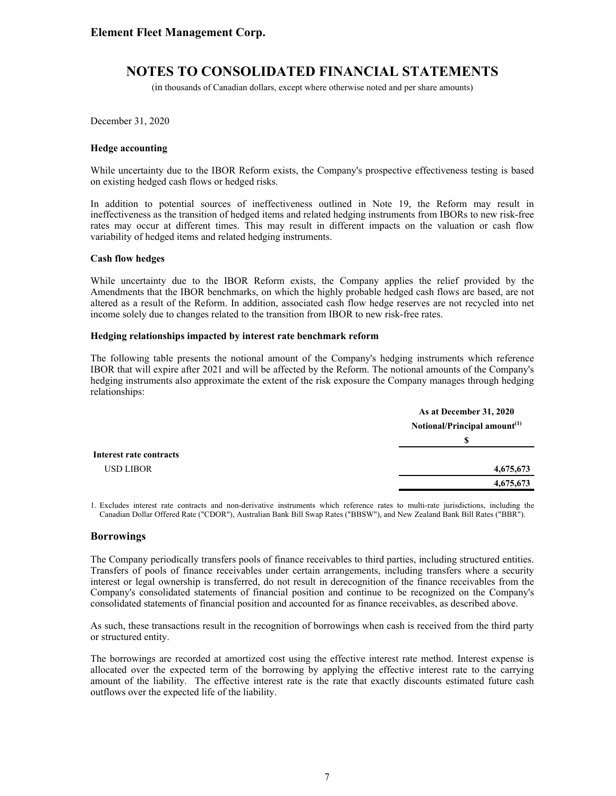(in thousands of Canadian dollars, except where otherwise noted and per share amounts)

December 31, 2020

#### **Hedge accounting**

While uncertainty due to the IBOR Reform exists, the Company's prospective effectiveness testing is based on existing hedged cash flows or hedged risks.

In addition to potential sources of ineffectiveness outlined in Note 19, the Reform may result in ineffectiveness as the transition of hedged items and related hedging instruments from IBORs to new risk-free rates may occur at different times. This may result in different impacts on the valuation or cash flow variability of hedged items and related hedging instruments.

#### **Cash flow hedges**

While uncertainty due to the IBOR Reform exists, the Company applies the relief provided by the Amendments that the IBOR benchmarks, on which the highly probable hedged cash flows are based, are not altered as a result of the Reform. In addition, associated cash flow hedge reserves are not recycled into net income solely due to changes related to the transition from IBOR to new risk-free rates.

#### **Hedging relationships impacted by interest rate benchmark reform**

The following table presents the notional amount of the Company's hedging instruments which reference IBOR that will expire after 2021 and will be affected by the Reform. The notional amounts of the Company's hedging instruments also approximate the extent of the risk exposure the Company manages through hedging relationships:

|                         | As at December 31, 2020                  |
|-------------------------|------------------------------------------|
|                         | Notional/Principal amount <sup>(1)</sup> |
|                         | S                                        |
| Interest rate contracts |                                          |
| <b>USD LIBOR</b>        | 4,675,673                                |
|                         | 4,675,673                                |

1. Excludes interest rate contracts and non-derivative instruments which reference rates to multi-rate jurisdictions, including the Canadian Dollar Offered Rate ("CDOR"), Australian Bank Bill Swap Rates ("BBSW"), and New Zealand Bank Bill Rates ("BBR").

#### **Borrowings**

The Company periodically transfers pools of finance receivables to third parties, including structured entities. Transfers of pools of finance receivables under certain arrangements, including transfers where a security interest or legal ownership is transferred, do not result in derecognition of the finance receivables from the Company's consolidated statements of financial position and continue to be recognized on the Company's consolidated statements of financial position and accounted for as finance receivables, as described above.

As such, these transactions result in the recognition of borrowings when cash is received from the third party or structured entity.

The borrowings are recorded at amortized cost using the effective interest rate method. Interest expense is allocated over the expected term of the borrowing by applying the effective interest rate to the carrying amount of the liability. The effective interest rate is the rate that exactly discounts estimated future cash outflows over the expected life of the liability.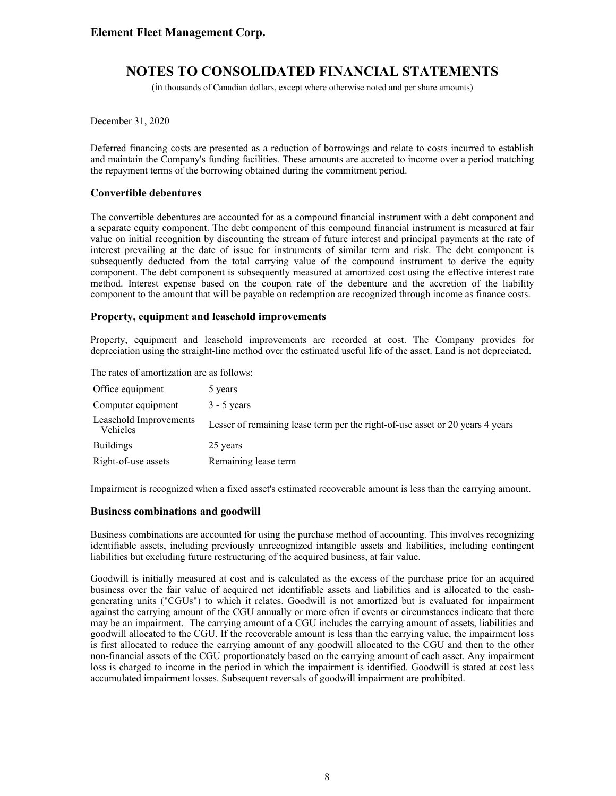(in thousands of Canadian dollars, except where otherwise noted and per share amounts)

December 31, 2020

Deferred financing costs are presented as a reduction of borrowings and relate to costs incurred to establish and maintain the Company's funding facilities. These amounts are accreted to income over a period matching the repayment terms of the borrowing obtained during the commitment period.

### **Convertible debentures**

The convertible debentures are accounted for as a compound financial instrument with a debt component and a separate equity component. The debt component of this compound financial instrument is measured at fair value on initial recognition by discounting the stream of future interest and principal payments at the rate of interest prevailing at the date of issue for instruments of similar term and risk. The debt component is subsequently deducted from the total carrying value of the compound instrument to derive the equity component. The debt component is subsequently measured at amortized cost using the effective interest rate method. Interest expense based on the coupon rate of the debenture and the accretion of the liability component to the amount that will be payable on redemption are recognized through income as finance costs.

#### **Property, equipment and leasehold improvements**

Property, equipment and leasehold improvements are recorded at cost. The Company provides for depreciation using the straight-line method over the estimated useful life of the asset. Land is not depreciated.

The rates of amortization are as follows:

| Office equipment                   | 5 years                                                                       |
|------------------------------------|-------------------------------------------------------------------------------|
| Computer equipment                 | $3 - 5$ years                                                                 |
| Leasehold Improvements<br>Vehicles | Lesser of remaining lease term per the right-of-use asset or 20 years 4 years |
| <b>Buildings</b>                   | 25 years                                                                      |
| Right-of-use assets                | Remaining lease term                                                          |

Impairment is recognized when a fixed asset's estimated recoverable amount is less than the carrying amount.

#### **Business combinations and goodwill**

Business combinations are accounted for using the purchase method of accounting. This involves recognizing identifiable assets, including previously unrecognized intangible assets and liabilities, including contingent liabilities but excluding future restructuring of the acquired business, at fair value.

Goodwill is initially measured at cost and is calculated as the excess of the purchase price for an acquired business over the fair value of acquired net identifiable assets and liabilities and is allocated to the cashgenerating units ("CGUs") to which it relates. Goodwill is not amortized but is evaluated for impairment against the carrying amount of the CGU annually or more often if events or circumstances indicate that there may be an impairment. The carrying amount of a CGU includes the carrying amount of assets, liabilities and goodwill allocated to the CGU. If the recoverable amount is less than the carrying value, the impairment loss is first allocated to reduce the carrying amount of any goodwill allocated to the CGU and then to the other non-financial assets of the CGU proportionately based on the carrying amount of each asset. Any impairment loss is charged to income in the period in which the impairment is identified. Goodwill is stated at cost less accumulated impairment losses. Subsequent reversals of goodwill impairment are prohibited.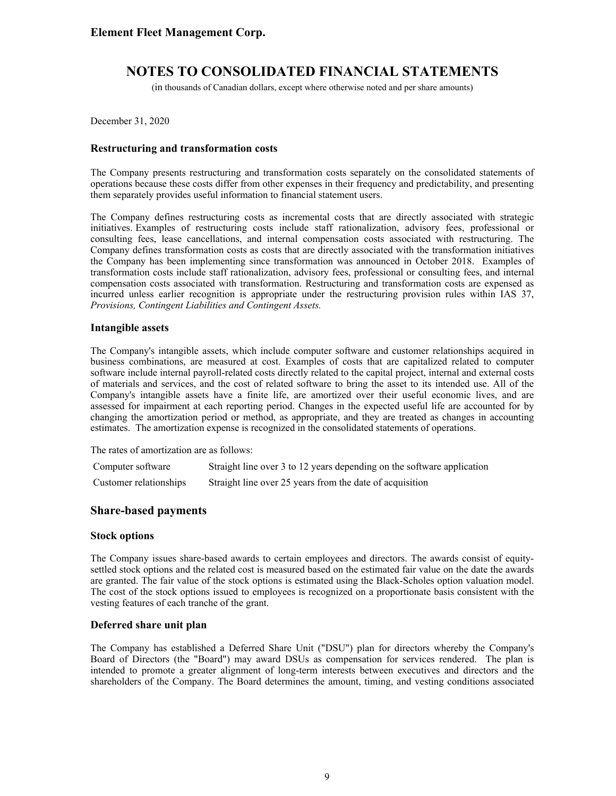(in thousands of Canadian dollars, except where otherwise noted and per share amounts)

December 31, 2020

#### **Restructuring and transformation costs**

The Company presents restructuring and transformation costs separately on the consolidated statements of operations because these costs differ from other expenses in their frequency and predictability, and presenting them separately provides useful information to financial statement users.

The Company defines restructuring costs as incremental costs that are directly associated with strategic initiatives. Examples of restructuring costs include staff rationalization, advisory fees, professional or consulting fees, lease cancellations, and internal compensation costs associated with restructuring. The Company defines transformation costs as costs that are directly associated with the transformation initiatives the Company has been implementing since transformation was announced in October 2018. Examples of transformation costs include staff rationalization, advisory fees, professional or consulting fees, and internal compensation costs associated with transformation. Restructuring and transformation costs are expensed as incurred unless earlier recognition is appropriate under the restructuring provision rules within IAS 37, *Provisions, Contingent Liabilities and Contingent Assets.*

#### **Intangible assets**

The Company's intangible assets, which include computer software and customer relationships acquired in business combinations, are measured at cost. Examples of costs that are capitalized related to computer software include internal payroll-related costs directly related to the capital project, internal and external costs of materials and services, and the cost of related software to bring the asset to its intended use. All of the Company's intangible assets have a finite life, are amortized over their useful economic lives, and are assessed for impairment at each reporting period. Changes in the expected useful life are accounted for by changing the amortization period or method, as appropriate, and they are treated as changes in accounting estimates. The amortization expense is recognized in the consolidated statements of operations.

The rates of amortization are as follows:

| Computer software      | Straight line over 3 to 12 years depending on the software application |
|------------------------|------------------------------------------------------------------------|
| Customer relationships | Straight line over 25 years from the date of acquisition               |

### **Share-based payments**

#### **Stock options**

The Company issues share-based awards to certain employees and directors. The awards consist of equitysettled stock options and the related cost is measured based on the estimated fair value on the date the awards are granted. The fair value of the stock options is estimated using the Black-Scholes option valuation model. The cost of the stock options issued to employees is recognized on a proportionate basis consistent with the vesting features of each tranche of the grant.

#### **Deferred share unit plan**

The Company has established a Deferred Share Unit ("DSU") plan for directors whereby the Company's Board of Directors (the "Board") may award DSUs as compensation for services rendered. The plan is intended to promote a greater alignment of long-term interests between executives and directors and the shareholders of the Company. The Board determines the amount, timing, and vesting conditions associated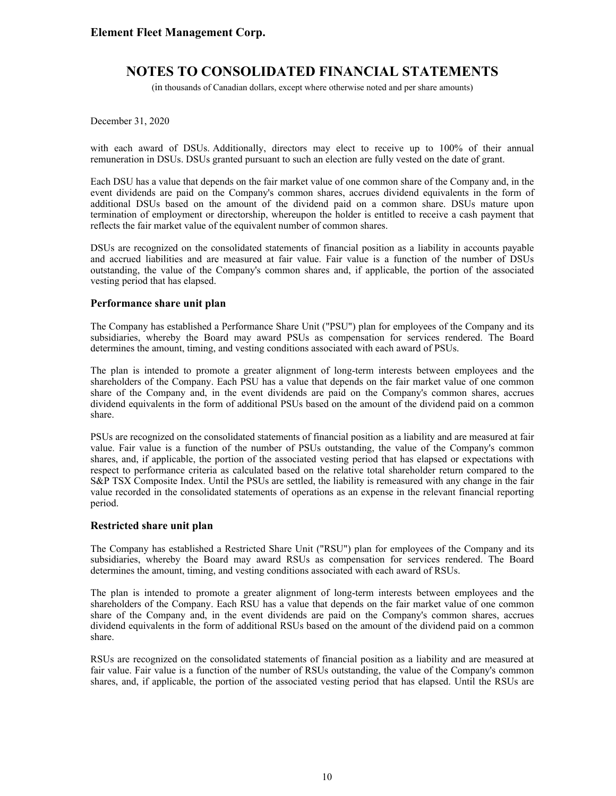(in thousands of Canadian dollars, except where otherwise noted and per share amounts)

December 31, 2020

with each award of DSUs. Additionally, directors may elect to receive up to 100% of their annual remuneration in DSUs. DSUs granted pursuant to such an election are fully vested on the date of grant.

Each DSU has a value that depends on the fair market value of one common share of the Company and, in the event dividends are paid on the Company's common shares, accrues dividend equivalents in the form of additional DSUs based on the amount of the dividend paid on a common share. DSUs mature upon termination of employment or directorship, whereupon the holder is entitled to receive a cash payment that reflects the fair market value of the equivalent number of common shares.

DSUs are recognized on the consolidated statements of financial position as a liability in accounts payable and accrued liabilities and are measured at fair value. Fair value is a function of the number of DSUs outstanding, the value of the Company's common shares and, if applicable, the portion of the associated vesting period that has elapsed.

#### **Performance share unit plan**

The Company has established a Performance Share Unit ("PSU") plan for employees of the Company and its subsidiaries, whereby the Board may award PSUs as compensation for services rendered. The Board determines the amount, timing, and vesting conditions associated with each award of PSUs.

The plan is intended to promote a greater alignment of long-term interests between employees and the shareholders of the Company. Each PSU has a value that depends on the fair market value of one common share of the Company and, in the event dividends are paid on the Company's common shares, accrues dividend equivalents in the form of additional PSUs based on the amount of the dividend paid on a common share.

PSUs are recognized on the consolidated statements of financial position as a liability and are measured at fair value. Fair value is a function of the number of PSUs outstanding, the value of the Company's common shares, and, if applicable, the portion of the associated vesting period that has elapsed or expectations with respect to performance criteria as calculated based on the relative total shareholder return compared to the S&P TSX Composite Index. Until the PSUs are settled, the liability is remeasured with any change in the fair value recorded in the consolidated statements of operations as an expense in the relevant financial reporting period.

#### **Restricted share unit plan**

The Company has established a Restricted Share Unit ("RSU") plan for employees of the Company and its subsidiaries, whereby the Board may award RSUs as compensation for services rendered. The Board determines the amount, timing, and vesting conditions associated with each award of RSUs.

The plan is intended to promote a greater alignment of long-term interests between employees and the shareholders of the Company. Each RSU has a value that depends on the fair market value of one common share of the Company and, in the event dividends are paid on the Company's common shares, accrues dividend equivalents in the form of additional RSUs based on the amount of the dividend paid on a common share.

RSUs are recognized on the consolidated statements of financial position as a liability and are measured at fair value. Fair value is a function of the number of RSUs outstanding, the value of the Company's common shares, and, if applicable, the portion of the associated vesting period that has elapsed. Until the RSUs are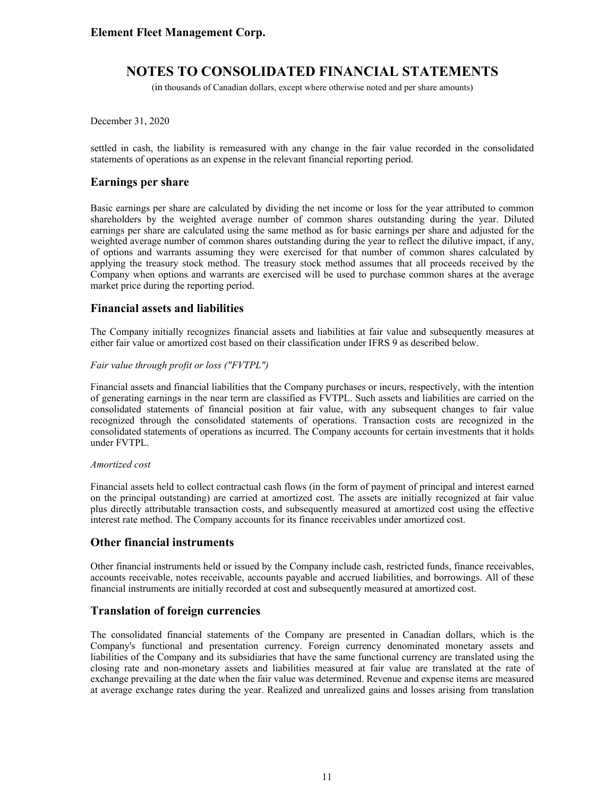(in thousands of Canadian dollars, except where otherwise noted and per share amounts)

December 31, 2020

settled in cash, the liability is remeasured with any change in the fair value recorded in the consolidated statements of operations as an expense in the relevant financial reporting period.

### **Earnings per share**

Basic earnings per share are calculated by dividing the net income or loss for the year attributed to common shareholders by the weighted average number of common shares outstanding during the year. Diluted earnings per share are calculated using the same method as for basic earnings per share and adjusted for the weighted average number of common shares outstanding during the year to reflect the dilutive impact, if any, of options and warrants assuming they were exercised for that number of common shares calculated by applying the treasury stock method. The treasury stock method assumes that all proceeds received by the Company when options and warrants are exercised will be used to purchase common shares at the average market price during the reporting period.

### **Financial assets and liabilities**

The Company initially recognizes financial assets and liabilities at fair value and subsequently measures at either fair value or amortized cost based on their classification under IFRS 9 as described below.

#### *Fair value through profit or loss ("FVTPL")*

Financial assets and financial liabilities that the Company purchases or incurs, respectively, with the intention of generating earnings in the near term are classified as FVTPL. Such assets and liabilities are carried on the consolidated statements of financial position at fair value, with any subsequent changes to fair value recognized through the consolidated statements of operations. Transaction costs are recognized in the consolidated statements of operations as incurred. The Company accounts for certain investments that it holds under FVTPL.

#### *Amortized cost*

Financial assets held to collect contractual cash flows (in the form of payment of principal and interest earned on the principal outstanding) are carried at amortized cost. The assets are initially recognized at fair value plus directly attributable transaction costs, and subsequently measured at amortized cost using the effective interest rate method. The Company accounts for its finance receivables under amortized cost.

### **Other financial instruments**

Other financial instruments held or issued by the Company include cash, restricted funds, finance receivables, accounts receivable, notes receivable, accounts payable and accrued liabilities, and borrowings. All of these financial instruments are initially recorded at cost and subsequently measured at amortized cost.

### **Translation of foreign currencies**

The consolidated financial statements of the Company are presented in Canadian dollars, which is the Company's functional and presentation currency. Foreign currency denominated monetary assets and liabilities of the Company and its subsidiaries that have the same functional currency are translated using the closing rate and non-monetary assets and liabilities measured at fair value are translated at the rate of exchange prevailing at the date when the fair value was determined. Revenue and expense items are measured at average exchange rates during the year. Realized and unrealized gains and losses arising from translation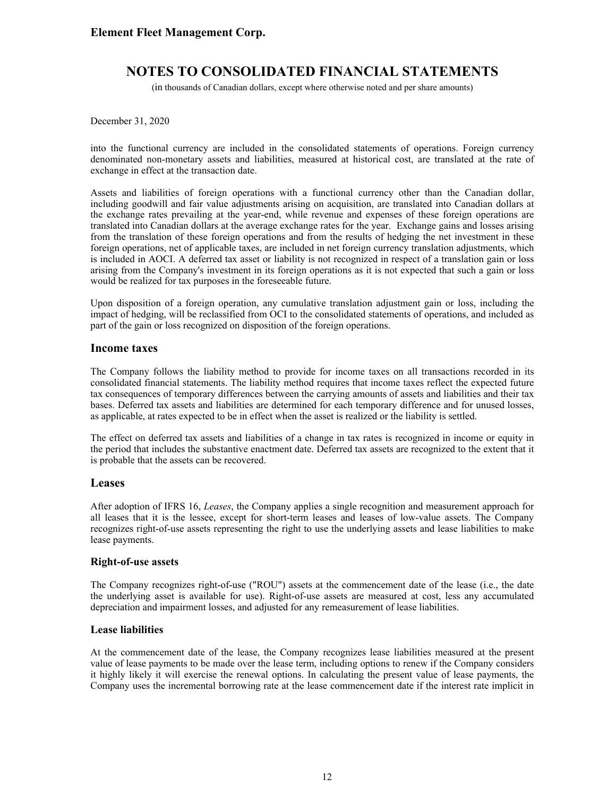(in thousands of Canadian dollars, except where otherwise noted and per share amounts)

December 31, 2020

into the functional currency are included in the consolidated statements of operations. Foreign currency denominated non-monetary assets and liabilities, measured at historical cost, are translated at the rate of exchange in effect at the transaction date.

Assets and liabilities of foreign operations with a functional currency other than the Canadian dollar, including goodwill and fair value adjustments arising on acquisition, are translated into Canadian dollars at the exchange rates prevailing at the year-end, while revenue and expenses of these foreign operations are translated into Canadian dollars at the average exchange rates for the year. Exchange gains and losses arising from the translation of these foreign operations and from the results of hedging the net investment in these foreign operations, net of applicable taxes, are included in net foreign currency translation adjustments, which is included in AOCI. A deferred tax asset or liability is not recognized in respect of a translation gain or loss arising from the Company's investment in its foreign operations as it is not expected that such a gain or loss would be realized for tax purposes in the foreseeable future.

Upon disposition of a foreign operation, any cumulative translation adjustment gain or loss, including the impact of hedging, will be reclassified from OCI to the consolidated statements of operations, and included as part of the gain or loss recognized on disposition of the foreign operations.

### **Income taxes**

The Company follows the liability method to provide for income taxes on all transactions recorded in its consolidated financial statements. The liability method requires that income taxes reflect the expected future tax consequences of temporary differences between the carrying amounts of assets and liabilities and their tax bases. Deferred tax assets and liabilities are determined for each temporary difference and for unused losses, as applicable, at rates expected to be in effect when the asset is realized or the liability is settled.

The effect on deferred tax assets and liabilities of a change in tax rates is recognized in income or equity in the period that includes the substantive enactment date. Deferred tax assets are recognized to the extent that it is probable that the assets can be recovered.

#### **Leases**

After adoption of IFRS 16, *Leases*, the Company applies a single recognition and measurement approach for all leases that it is the lessee, except for short-term leases and leases of low-value assets. The Company recognizes right-of-use assets representing the right to use the underlying assets and lease liabilities to make lease payments.

#### **Right-of-use assets**

The Company recognizes right-of-use ("ROU") assets at the commencement date of the lease (i.e., the date the underlying asset is available for use). Right-of-use assets are measured at cost, less any accumulated depreciation and impairment losses, and adjusted for any remeasurement of lease liabilities.

### **Lease liabilities**

At the commencement date of the lease, the Company recognizes lease liabilities measured at the present value of lease payments to be made over the lease term, including options to renew if the Company considers it highly likely it will exercise the renewal options. In calculating the present value of lease payments, the Company uses the incremental borrowing rate at the lease commencement date if the interest rate implicit in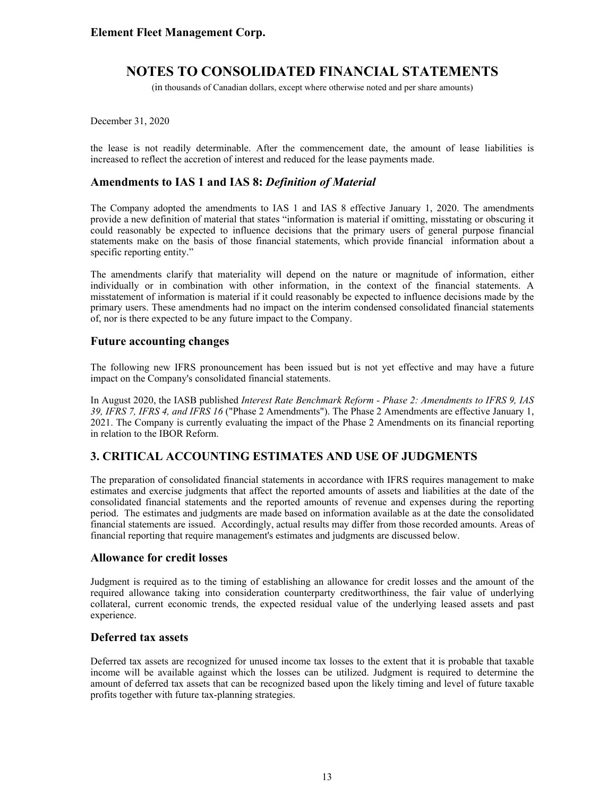(in thousands of Canadian dollars, except where otherwise noted and per share amounts)

December 31, 2020

the lease is not readily determinable. After the commencement date, the amount of lease liabilities is increased to reflect the accretion of interest and reduced for the lease payments made.

### **Amendments to IAS 1 and IAS 8:** *Definition of Material*

The Company adopted the amendments to IAS 1 and IAS 8 effective January 1, 2020. The amendments provide a new definition of material that states "information is material if omitting, misstating or obscuring it could reasonably be expected to influence decisions that the primary users of general purpose financial statements make on the basis of those financial statements, which provide financial information about a specific reporting entity."

The amendments clarify that materiality will depend on the nature or magnitude of information, either individually or in combination with other information, in the context of the financial statements. A misstatement of information is material if it could reasonably be expected to influence decisions made by the primary users. These amendments had no impact on the interim condensed consolidated financial statements of, nor is there expected to be any future impact to the Company.

### **Future accounting changes**

The following new IFRS pronouncement has been issued but is not yet effective and may have a future impact on the Company's consolidated financial statements.

In August 2020, the IASB published *Interest Rate Benchmark Reform - Phase 2: Amendments to IFRS 9, IAS 39, IFRS 7, IFRS 4, and IFRS 16* ("Phase 2 Amendments"). The Phase 2 Amendments are effective January 1, 2021. The Company is currently evaluating the impact of the Phase 2 Amendments on its financial reporting in relation to the IBOR Reform.

### **3. CRITICAL ACCOUNTING ESTIMATES AND USE OF JUDGMENTS**

The preparation of consolidated financial statements in accordance with IFRS requires management to make estimates and exercise judgments that affect the reported amounts of assets and liabilities at the date of the consolidated financial statements and the reported amounts of revenue and expenses during the reporting period. The estimates and judgments are made based on information available as at the date the consolidated financial statements are issued. Accordingly, actual results may differ from those recorded amounts. Areas of financial reporting that require management's estimates and judgments are discussed below.

### **Allowance for credit losses**

Judgment is required as to the timing of establishing an allowance for credit losses and the amount of the required allowance taking into consideration counterparty creditworthiness, the fair value of underlying collateral, current economic trends, the expected residual value of the underlying leased assets and past experience.

### **Deferred tax assets**

Deferred tax assets are recognized for unused income tax losses to the extent that it is probable that taxable income will be available against which the losses can be utilized. Judgment is required to determine the amount of deferred tax assets that can be recognized based upon the likely timing and level of future taxable profits together with future tax-planning strategies.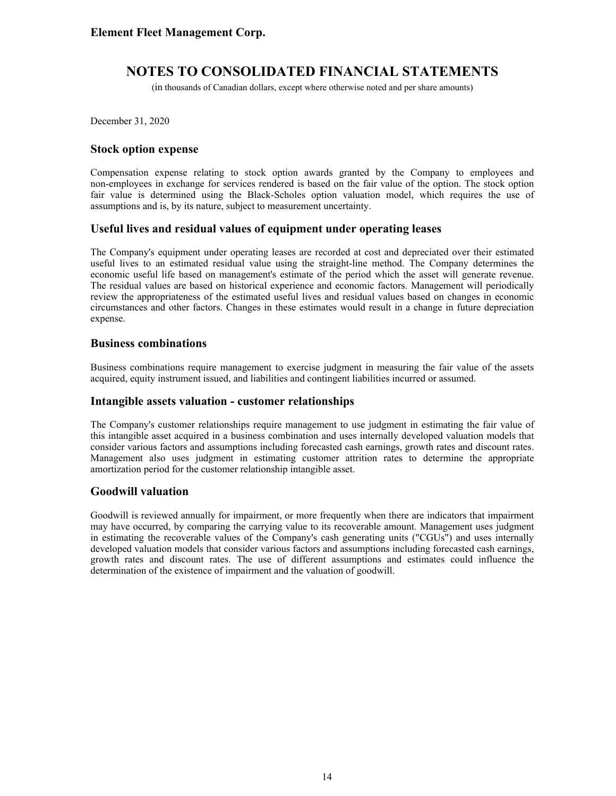(in thousands of Canadian dollars, except where otherwise noted and per share amounts)

December 31, 2020

### **Stock option expense**

Compensation expense relating to stock option awards granted by the Company to employees and non-employees in exchange for services rendered is based on the fair value of the option. The stock option fair value is determined using the Black–Scholes option valuation model, which requires the use of assumptions and is, by its nature, subject to measurement uncertainty.

### **Useful lives and residual values of equipment under operating leases**

The Company's equipment under operating leases are recorded at cost and depreciated over their estimated useful lives to an estimated residual value using the straight-line method. The Company determines the economic useful life based on management's estimate of the period which the asset will generate revenue. The residual values are based on historical experience and economic factors. Management will periodically review the appropriateness of the estimated useful lives and residual values based on changes in economic circumstances and other factors. Changes in these estimates would result in a change in future depreciation expense.

### **Business combinations**

Business combinations require management to exercise judgment in measuring the fair value of the assets acquired, equity instrument issued, and liabilities and contingent liabilities incurred or assumed.

### **Intangible assets valuation - customer relationships**

The Company's customer relationships require management to use judgment in estimating the fair value of this intangible asset acquired in a business combination and uses internally developed valuation models that consider various factors and assumptions including forecasted cash earnings, growth rates and discount rates. Management also uses judgment in estimating customer attrition rates to determine the appropriate amortization period for the customer relationship intangible asset.

### **Goodwill valuation**

Goodwill is reviewed annually for impairment, or more frequently when there are indicators that impairment may have occurred, by comparing the carrying value to its recoverable amount. Management uses judgment in estimating the recoverable values of the Company's cash generating units ("CGUs") and uses internally developed valuation models that consider various factors and assumptions including forecasted cash earnings, growth rates and discount rates. The use of different assumptions and estimates could influence the determination of the existence of impairment and the valuation of goodwill.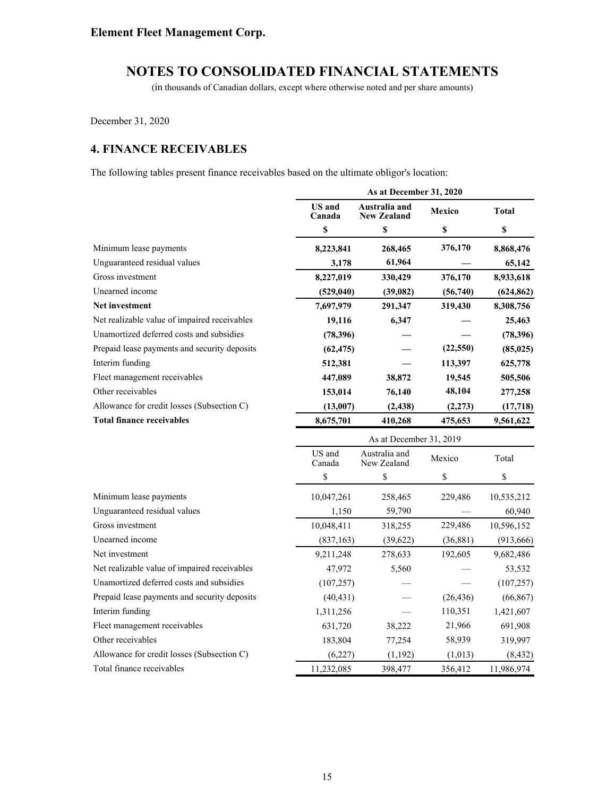(in thousands of Canadian dollars, except where otherwise noted and per share amounts)

December 31, 2020

## **4. FINANCE RECEIVABLES**

The following tables present finance receivables based on the ultimate obligor's location:

|                                              | As at December 31, 2020 |                                     |                    |                    |  |
|----------------------------------------------|-------------------------|-------------------------------------|--------------------|--------------------|--|
|                                              | <b>US</b> and<br>Canada | Australia and<br><b>New Zealand</b> | Mexico             | <b>Total</b>       |  |
|                                              | \$                      | $\pmb{\mathbb{S}}$                  | $\pmb{\mathbb{S}}$ | $\pmb{\mathbb{S}}$ |  |
| Minimum lease payments                       | 8,223,841               | 268,465                             | 376,170            | 8,868,476          |  |
| Unguaranteed residual values                 | 3,178                   | 61,964                              |                    | 65,142             |  |
| Gross investment                             | 8,227,019               | 330,429                             | 376,170            | 8,933,618          |  |
| Unearned income                              | (529, 040)              | (39,082)                            | (56,740)           | (624, 862)         |  |
| Net investment                               | 7,697,979               | 291,347                             | 319,430            | 8,308,756          |  |
| Net realizable value of impaired receivables | 19,116                  | 6,347                               |                    | 25,463             |  |
| Unamortized deferred costs and subsidies     | (78, 396)               |                                     |                    | (78, 396)          |  |
| Prepaid lease payments and security deposits | (62, 475)               |                                     | (22, 550)          | (85, 025)          |  |
| Interim funding                              | 512,381                 |                                     | 113,397            | 625,778            |  |
| Fleet management receivables                 | 447,089                 | 38,872                              | 19,545             | 505,506            |  |
| Other receivables                            | 153,014                 | 76,140                              | 48,104             | 277,258            |  |
| Allowance for credit losses (Subsection C)   | (13,007)                | (2, 438)                            | (2, 273)           | (17,718)           |  |
| <b>Total finance receivables</b>             | 8,675,701               | 410,268                             | 475,653            | 9,561,622          |  |
|                                              | As at December 31, 2019 |                                     |                    |                    |  |
|                                              | US and<br>Canada        | Australia and<br>New Zealand        | Mexico             | Total              |  |
|                                              | \$                      | $\mathbb S$                         | \$                 | $\mathbb S$        |  |
| Minimum lease payments                       | 10,047,261              | 258,465                             | 229,486            | 10,535,212         |  |
| Unguaranteed residual values                 | 1,150                   | 59,790                              |                    | 60,940             |  |
| Gross investment                             | 10,048,411              | 318,255                             | 229,486            | 10,596,152         |  |
| Unearned income                              | (837, 163)              | (39,622)                            | (36,881)           | (913, 666)         |  |
| Net investment                               | 9,211,248               | 278,633                             | 192,605            | 9,682,486          |  |
| Net realizable value of impaired receivables | 47,972                  | 5,560                               |                    | 53,532             |  |
| Unamortized deferred costs and subsidies     | (107, 257)              |                                     |                    | (107, 257)         |  |
| Prepaid lease payments and security deposits | (40, 431)               |                                     | (26, 436)          | (66, 867)          |  |
| Interim funding                              | 1,311,256               |                                     | 110,351            | 1,421,607          |  |
| Fleet management receivables                 | 631,720                 | 38,222                              | 21,966             | 691,908            |  |
| Other receivables                            | 183,804                 | 77,254                              | 58,939             | 319,997            |  |
| Allowance for credit losses (Subsection C)   | (6,227)                 | (1, 192)                            | (1,013)            | (8, 432)           |  |
| Total finance receivables                    | 11,232,085              | 398,477                             | 356,412            | 11,986,974         |  |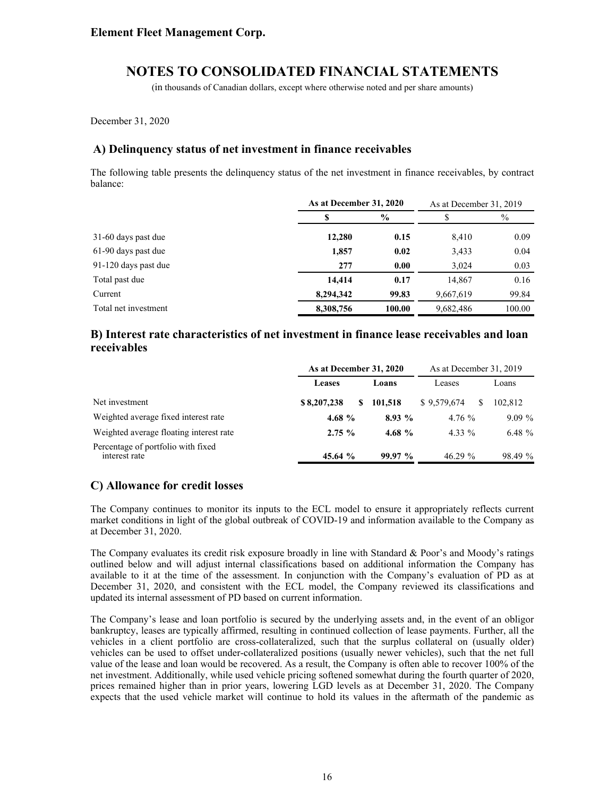(in thousands of Canadian dollars, except where otherwise noted and per share amounts)

December 31, 2020

### **A) Delinquency status of net investment in finance receivables**

The following table presents the delinquency status of the net investment in finance receivables, by contract balance:

|                      | As at December 31, 2020 |        | As at December 31, 2019 |        |
|----------------------|-------------------------|--------|-------------------------|--------|
|                      | $\frac{6}{9}$           |        |                         | $\%$   |
| 31-60 days past due  | 12,280                  | 0.15   | 8,410                   | 0.09   |
| 61-90 days past due  | 1,857<br>0.02           |        | 3,433                   | 0.04   |
| 91-120 days past due | 277                     | 0.00   | 3,024                   | 0.03   |
| Total past due       | 14.414                  | 0.17   | 14,867                  | 0.16   |
| Current              | 8,294,342               | 99.83  | 9,667,619               | 99.84  |
| Total net investment | 8,308,756               | 100.00 | 9,682,486               | 100.00 |

### **B) Interest rate characteristics of net investment in finance lease receivables and loan receivables**

|                                                     | As at December 31, 2020 |           | As at December 31, 2019 |          |
|-----------------------------------------------------|-------------------------|-----------|-------------------------|----------|
|                                                     | Leases                  | Loans     | Leases                  | Loans    |
| Net investment                                      | \$8,207,238<br>S        | 101.518   | \$9.579.674             | 102.812  |
| Weighted average fixed interest rate                | 4.68 $%$                | 8.93%     | 4.76%                   | $9.09\%$ |
| Weighted average floating interest rate             | $2.75 \%$               | 4.68 $\%$ | $4.33\%$                | 6.48 $%$ |
| Percentage of portfolio with fixed<br>interest rate | 45.64 $%$               | 99.97%    | $46.29\%$               | 98.49 %  |

### **C) Allowance for credit losses**

The Company continues to monitor its inputs to the ECL model to ensure it appropriately reflects current market conditions in light of the global outbreak of COVID-19 and information available to the Company as at December 31, 2020.

The Company evaluates its credit risk exposure broadly in line with Standard & Poor's and Moody's ratings outlined below and will adjust internal classifications based on additional information the Company has available to it at the time of the assessment. In conjunction with the Company's evaluation of PD as at December 31, 2020, and consistent with the ECL model, the Company reviewed its classifications and updated its internal assessment of PD based on current information.

The Company's lease and loan portfolio is secured by the underlying assets and, in the event of an obligor bankruptcy, leases are typically affirmed, resulting in continued collection of lease payments. Further, all the vehicles in a client portfolio are cross-collateralized, such that the surplus collateral on (usually older) vehicles can be used to offset under-collateralized positions (usually newer vehicles), such that the net full value of the lease and loan would be recovered. As a result, the Company is often able to recover 100% of the net investment. Additionally, while used vehicle pricing softened somewhat during the fourth quarter of 2020, prices remained higher than in prior years, lowering LGD levels as at December 31, 2020. The Company expects that the used vehicle market will continue to hold its values in the aftermath of the pandemic as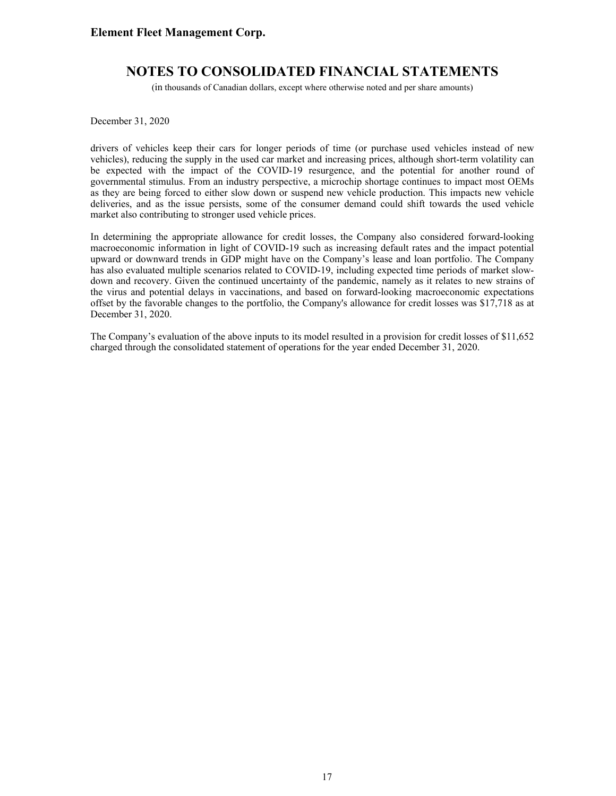(in thousands of Canadian dollars, except where otherwise noted and per share amounts)

December 31, 2020

drivers of vehicles keep their cars for longer periods of time (or purchase used vehicles instead of new vehicles), reducing the supply in the used car market and increasing prices, although short-term volatility can be expected with the impact of the COVID-19 resurgence, and the potential for another round of governmental stimulus. From an industry perspective, a microchip shortage continues to impact most OEMs as they are being forced to either slow down or suspend new vehicle production. This impacts new vehicle deliveries, and as the issue persists, some of the consumer demand could shift towards the used vehicle market also contributing to stronger used vehicle prices.

In determining the appropriate allowance for credit losses, the Company also considered forward-looking macroeconomic information in light of COVID-19 such as increasing default rates and the impact potential upward or downward trends in GDP might have on the Company's lease and loan portfolio. The Company has also evaluated multiple scenarios related to COVID-19, including expected time periods of market slowdown and recovery. Given the continued uncertainty of the pandemic, namely as it relates to new strains of the virus and potential delays in vaccinations, and based on forward-looking macroeconomic expectations offset by the favorable changes to the portfolio, the Company's allowance for credit losses was \$17,718 as at December 31, 2020.

The Company's evaluation of the above inputs to its model resulted in a provision for credit losses of \$11,652 charged through the consolidated statement of operations for the year ended December 31, 2020.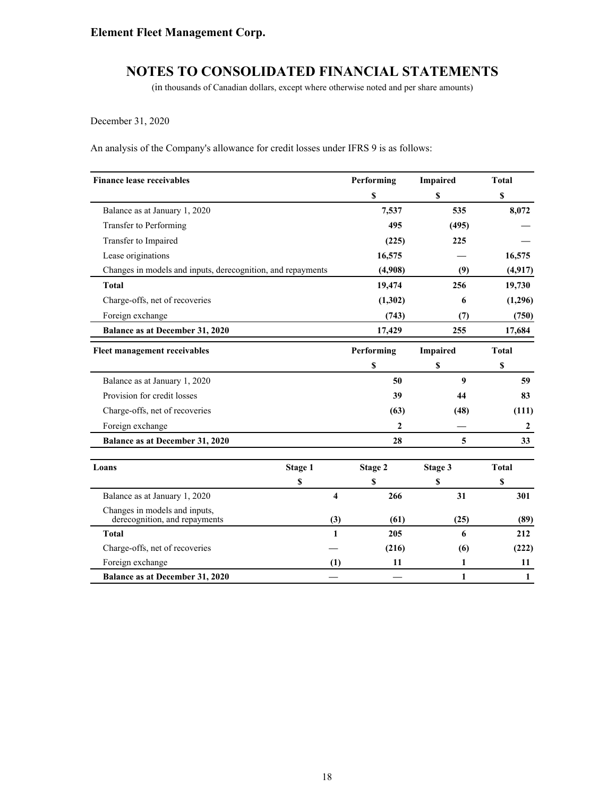(in thousands of Canadian dollars, except where otherwise noted and per share amounts)

December 31, 2020

An analysis of the Company's allowance for credit losses under IFRS 9 is as follows:

| <b>Finance lease receivables</b>                               |         |                         | Performing     | <b>Impaired</b> | <b>Total</b> |
|----------------------------------------------------------------|---------|-------------------------|----------------|-----------------|--------------|
|                                                                |         |                         | \$             | \$              | \$           |
| Balance as at January 1, 2020                                  |         |                         | 7,537          | 535             | 8,072        |
| Transfer to Performing                                         |         |                         | 495            | (495)           |              |
| Transfer to Impaired                                           |         |                         | (225)          | 225             |              |
| Lease originations                                             |         |                         | 16,575         |                 | 16,575       |
| Changes in models and inputs, derecognition, and repayments    |         |                         | (4,908)        | (9)             | (4, 917)     |
| <b>Total</b>                                                   |         |                         | 19,474         | 256             | 19,730       |
| Charge-offs, net of recoveries                                 |         |                         | (1,302)        | 6               | (1,296)      |
| Foreign exchange                                               |         |                         | (743)          | (7)             | (750)        |
| Balance as at December 31, 2020                                |         |                         | 17,429         | 255             | 17,684       |
| <b>Fleet management receivables</b>                            |         |                         | Performing     | <b>Impaired</b> | <b>Total</b> |
|                                                                |         |                         | \$             | \$              | \$           |
| Balance as at January 1, 2020                                  |         |                         | 50             | 9               | 59           |
| Provision for credit losses                                    |         |                         | 39             | 44              | 83           |
| Charge-offs, net of recoveries                                 |         |                         | (63)           | (48)            | (111)        |
| Foreign exchange                                               |         |                         | $\mathbf{2}$   |                 | $\mathbf{2}$ |
| Balance as at December 31, 2020                                |         |                         | 28             | 5               | 33           |
| Loans                                                          | Stage 1 |                         | <b>Stage 2</b> | Stage 3         | <b>Total</b> |
|                                                                | \$      |                         | S              | \$              | \$           |
| Balance as at January 1, 2020                                  |         | $\overline{\mathbf{4}}$ | 266            | 31              | 301          |
| Changes in models and inputs,<br>derecognition, and repayments |         | (3)                     | (61)           | (25)            | (89)         |
| <b>Total</b>                                                   |         | 1                       | 205            | 6               | 212          |
| Charge-offs, net of recoveries                                 |         |                         | (216)          | (6)             | (222)        |
| Foreign exchange                                               |         | (1)                     | 11             | 1               | 11           |
| Balance as at December 31, 2020                                |         |                         |                | 1               | $\mathbf{1}$ |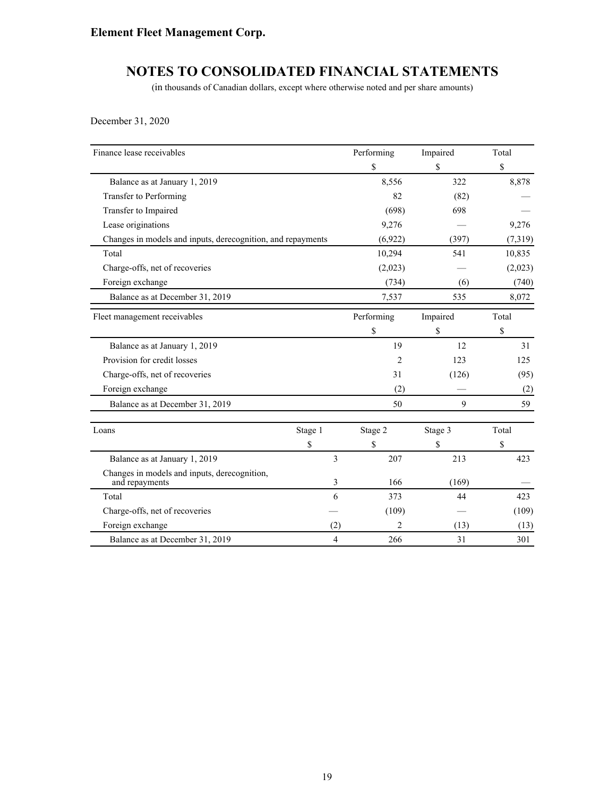(in thousands of Canadian dollars, except where otherwise noted and per share amounts)

December 31, 2020

| Finance lease receivables                                      |         |                | Performing     | Impaired | Total   |
|----------------------------------------------------------------|---------|----------------|----------------|----------|---------|
|                                                                |         |                | \$             | \$       | \$      |
| Balance as at January 1, 2019                                  |         |                | 8,556          | 322      | 8,878   |
| Transfer to Performing                                         |         |                | 82             | (82)     |         |
| Transfer to Impaired                                           |         |                | (698)          | 698      |         |
| Lease originations                                             |         |                | 9,276          |          | 9,276   |
| Changes in models and inputs, derecognition, and repayments    | (6,922) | (397)          | (7,319)        |          |         |
| Total                                                          |         |                | 10,294         | 541      | 10,835  |
| Charge-offs, net of recoveries                                 |         |                | (2,023)        |          | (2,023) |
| Foreign exchange                                               | (734)   | (6)            | (740)          |          |         |
| Balance as at December 31, 2019                                |         |                | 7,537          | 535      | 8,072   |
| Fleet management receivables                                   |         |                | Performing     | Impaired | Total   |
|                                                                |         |                | \$             | \$       | \$      |
| Balance as at January 1, 2019                                  |         |                | 19             | 12       | 31      |
| Provision for credit losses                                    |         |                | $\overline{c}$ | 123      | 125     |
| Charge-offs, net of recoveries                                 |         |                | 31             | (126)    | (95)    |
| Foreign exchange                                               |         |                | (2)            |          | (2)     |
| Balance as at December 31, 2019                                |         |                | 50             | 9        | 59      |
| Loans                                                          | Stage 1 |                | Stage 2        | Stage 3  | Total   |
|                                                                | \$      |                | \$             | \$       | \$      |
| Balance as at January 1, 2019                                  |         | 3              | 207            | 213      | 423     |
| Changes in models and inputs, derecognition,<br>and repayments |         | 3              | 166            | (169)    |         |
| Total                                                          |         | 6              | 373            | 44       | 423     |
| Charge-offs, net of recoveries                                 |         |                | (109)          |          | (109)   |
| Foreign exchange                                               |         | (2)            | 2              | (13)     | (13)    |
| Balance as at December 31, 2019                                |         | $\overline{4}$ | 266            | 31       | 301     |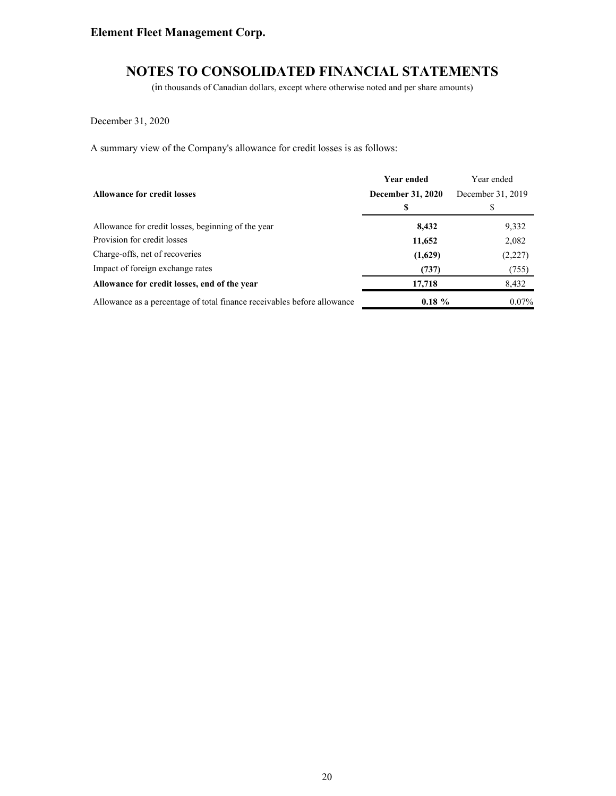## **Element Fleet Management Corp.**

## **NOTES TO CONSOLIDATED FINANCIAL STATEMENTS**

(in thousands of Canadian dollars, except where otherwise noted and per share amounts)

December 31, 2020

A summary view of the Company's allowance for credit losses is as follows:

|                                                                         | <b>Year ended</b>        | Year ended        |
|-------------------------------------------------------------------------|--------------------------|-------------------|
| <b>Allowance for credit losses</b>                                      | <b>December 31, 2020</b> | December 31, 2019 |
|                                                                         | S                        | \$                |
| Allowance for credit losses, beginning of the year                      | 8,432                    | 9,332             |
| Provision for credit losses                                             | 11,652                   | 2,082             |
| Charge-offs, net of recoveries                                          | (1,629)                  | (2,227)           |
| Impact of foreign exchange rates                                        | (737)                    | (755)             |
| Allowance for credit losses, end of the year                            | 17,718                   | 8,432             |
| Allowance as a percentage of total finance receivables before allowance | $0.18 \%$                | $0.07\%$          |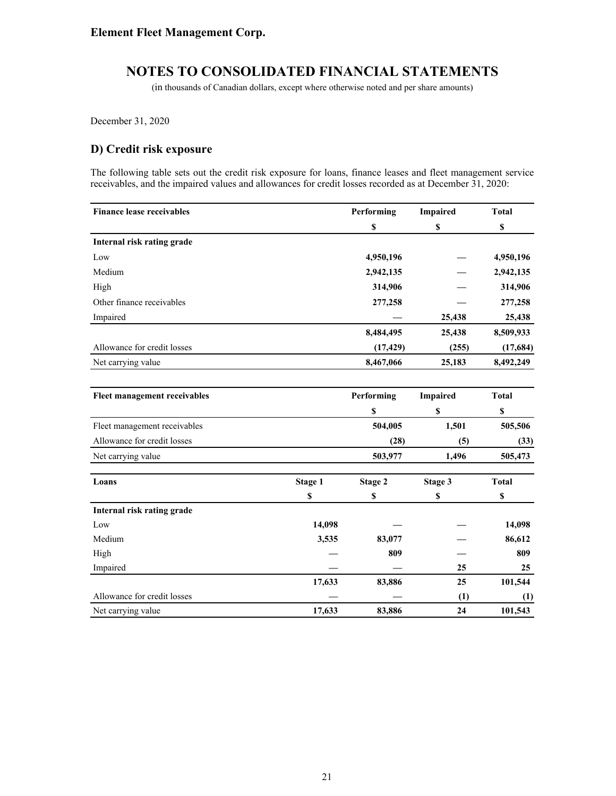(in thousands of Canadian dollars, except where otherwise noted and per share amounts)

December 31, 2020

### **D) Credit risk exposure**

The following table sets out the credit risk exposure for loans, finance leases and fleet management service receivables, and the impaired values and allowances for credit losses recorded as at December 31, 2020:

| <b>Finance lease receivables</b> |         | Performing |                 | <b>Total</b>     |  |
|----------------------------------|---------|------------|-----------------|------------------|--|
|                                  |         | \$         | $\mathbb S$     | $\mathbb S$      |  |
| Internal risk rating grade       |         |            |                 |                  |  |
| Low                              |         | 4,950,196  |                 | 4,950,196        |  |
| Medium                           |         | 2,942,135  |                 | 2,942,135        |  |
| High                             |         | 314,906    |                 | 314,906          |  |
| Other finance receivables        |         | 277,258    |                 | 277,258          |  |
| Impaired                         |         |            | 25,438          | 25,438           |  |
|                                  |         | 8,484,495  | 25,438          | 8,509,933        |  |
| Allowance for credit losses      |         | (17, 429)  | (255)           | (17,684)         |  |
| Net carrying value               |         | 8,467,066  | 25,183          | 8,492,249        |  |
|                                  |         |            |                 |                  |  |
| Fleet management receivables     |         | Performing | <b>Impaired</b> | <b>Total</b>     |  |
|                                  |         | \$         | \$              | \$               |  |
| Fleet management receivables     |         | 504,005    | 1,501           | 505,506          |  |
| Allowance for credit losses      |         | (28)       | (5)             | (33)             |  |
| Net carrying value               |         | 503,977    | 1,496           | 505,473          |  |
| Loans                            | Stage 1 | Stage 2    | Stage 3         | <b>Total</b>     |  |
|                                  | \$      | \$         | \$              | \$               |  |
| Internal risk rating grade       |         |            |                 |                  |  |
| Low                              | 14,098  |            |                 | 14,098           |  |
| Medium                           | 3,535   | 83,077     |                 | 86,612           |  |
| High                             |         | 809        |                 | 809              |  |
| Impaired                         |         |            | 25              | 25               |  |
|                                  | 17,633  | 83,886     | 25              | 101,544          |  |
| Allowance for credit losses      |         |            | (1)             | $\left(1\right)$ |  |
| Net carrying value               | 17,633  | 83,886     | 24              | 101,543          |  |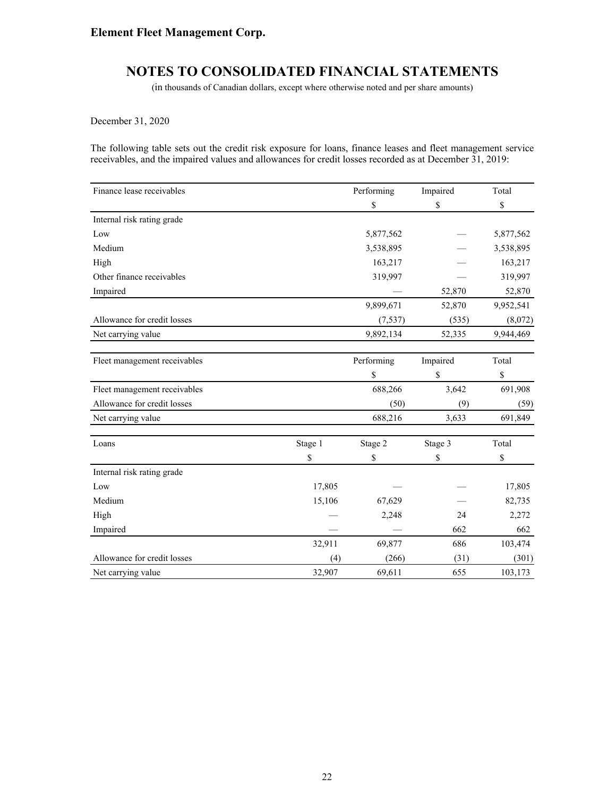(in thousands of Canadian dollars, except where otherwise noted and per share amounts)

December 31, 2020

The following table sets out the credit risk exposure for loans, finance leases and fleet management service receivables, and the impaired values and allowances for credit losses recorded as at December 31, 2019:

| Finance lease receivables    |         | Performing | Impaired | Total     |
|------------------------------|---------|------------|----------|-----------|
|                              |         | \$         | \$       | \$        |
| Internal risk rating grade   |         |            |          |           |
| Low                          |         | 5,877,562  |          | 5,877,562 |
| Medium                       |         | 3,538,895  |          | 3,538,895 |
| High                         |         | 163,217    |          | 163,217   |
| Other finance receivables    |         | 319,997    |          | 319,997   |
| Impaired                     |         |            | 52,870   | 52,870    |
|                              |         | 9,899,671  | 52,870   | 9,952,541 |
| Allowance for credit losses  |         | (7, 537)   | (535)    | (8,072)   |
| Net carrying value           |         | 9,892,134  | 52,335   | 9,944,469 |
| Fleet management receivables |         | Performing | Impaired | Total     |
|                              |         | \$         | \$       | \$        |
| Fleet management receivables |         | 688,266    | 3,642    | 691,908   |
| Allowance for credit losses  |         | (50)       | (9)      | (59)      |
| Net carrying value           |         | 688,216    | 3,633    | 691,849   |
| Loans                        | Stage 1 | Stage 2    | Stage 3  | Total     |
|                              | \$      | \$         | \$       | \$        |
| Internal risk rating grade   |         |            |          |           |
| Low                          | 17,805  |            |          | 17,805    |
| Medium                       | 15,106  | 67,629     |          | 82,735    |
| High                         |         | 2,248      | 24       | 2,272     |
| Impaired                     |         |            | 662      | 662       |
|                              | 32,911  | 69,877     | 686      | 103,474   |
| Allowance for credit losses  | (4)     | (266)      | (31)     | (301)     |
| Net carrying value           | 32,907  | 69,611     | 655      | 103,173   |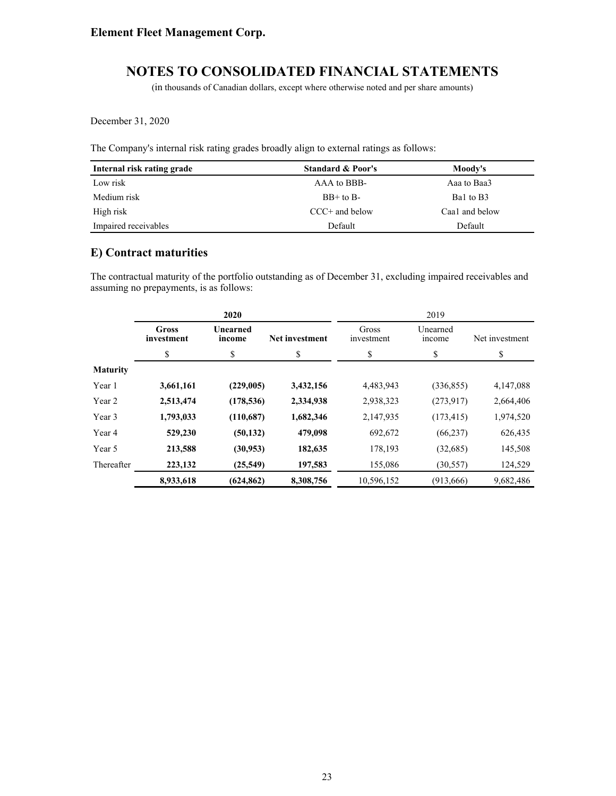(in thousands of Canadian dollars, except where otherwise noted and per share amounts)

December 31, 2020

The Company's internal risk rating grades broadly align to external ratings as follows:

| Internal risk rating grade | <b>Standard &amp; Poor's</b> | Moody's        |
|----------------------------|------------------------------|----------------|
| Low risk                   | AAA to BBB-                  | Aaa to Baa3    |
| Medium risk                | $BB+$ to $B-$                | Bal to B3      |
| High risk                  | $CCC+$ and below             | Caa1 and below |
| Impaired receivables       | Default                      | Default        |

### **E) Contract maturities**

The contractual maturity of the portfolio outstanding as of December 31, excluding impaired receivables and assuming no prepayments, is as follows:

|                 |                     | 2020               |                       | 2019                |                    |                |
|-----------------|---------------------|--------------------|-----------------------|---------------------|--------------------|----------------|
|                 | Gross<br>investment | Unearned<br>income | <b>Net investment</b> | Gross<br>investment | Unearned<br>income | Net investment |
|                 | \$                  | \$                 | \$                    | \$                  | \$                 | \$             |
| <b>Maturity</b> |                     |                    |                       |                     |                    |                |
| Year 1          | 3,661,161           | (229,005)          | 3,432,156             | 4,483,943           | (336, 855)         | 4,147,088      |
| Year 2          | 2,513,474           | (178, 536)         | 2,334,938             | 2,938,323           | (273, 917)         | 2,664,406      |
| Year 3          | 1,793,033           | (110,687)          | 1,682,346             | 2,147,935           | (173, 415)         | 1,974,520      |
| Year 4          | 529,230             | (50, 132)          | 479,098               | 692,672             | (66, 237)          | 626,435        |
| Year 5          | 213,588             | (30, 953)          | 182,635               | 178,193             | (32,685)           | 145,508        |
| Thereafter      | 223,132             | (25,549)           | 197,583               | 155,086             | (30, 557)          | 124,529        |
|                 | 8,933,618           | (624, 862)         | 8,308,756             | 10,596,152          | (913, 666)         | 9,682,486      |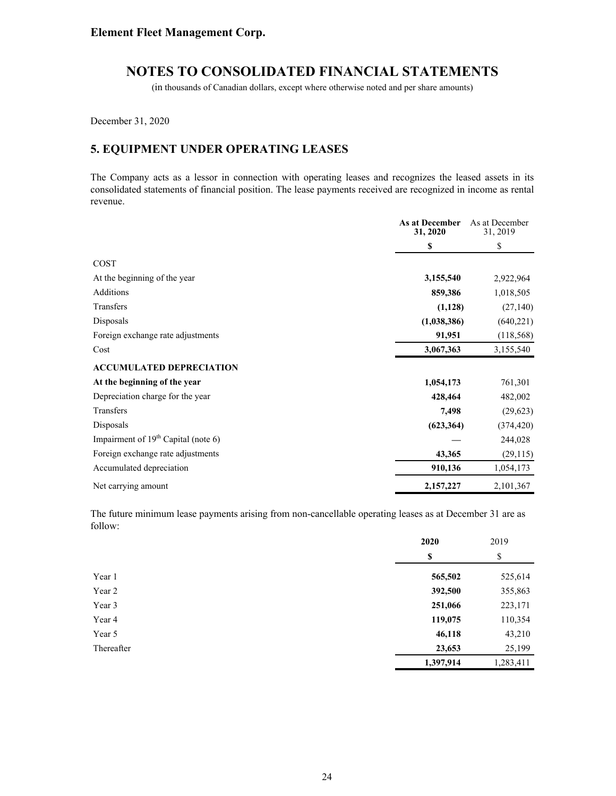(in thousands of Canadian dollars, except where otherwise noted and per share amounts)

December 31, 2020

## **5. EQUIPMENT UNDER OPERATING LEASES**

The Company acts as a lessor in connection with operating leases and recognizes the leased assets in its consolidated statements of financial position. The lease payments received are recognized in income as rental revenue.

|                                       | As at December<br>31, 2020 | As at December<br>31, 2019 |
|---------------------------------------|----------------------------|----------------------------|
|                                       | \$                         | \$                         |
| <b>COST</b>                           |                            |                            |
| At the beginning of the year          | 3,155,540                  | 2,922,964                  |
| Additions                             | 859,386                    | 1,018,505                  |
| Transfers                             | (1,128)                    | (27, 140)                  |
| Disposals                             | (1,038,386)                | (640, 221)                 |
| Foreign exchange rate adjustments     | 91,951                     | (118, 568)                 |
| Cost                                  | 3,067,363                  | 3,155,540                  |
| <b>ACCUMULATED DEPRECIATION</b>       |                            |                            |
| At the beginning of the year          | 1,054,173                  | 761,301                    |
| Depreciation charge for the year      | 428,464                    | 482,002                    |
| Transfers                             | 7,498                      | (29, 623)                  |
| Disposals                             | (623, 364)                 | (374, 420)                 |
| Impairment of $19th$ Capital (note 6) |                            | 244,028                    |
| Foreign exchange rate adjustments     | 43,365                     | (29, 115)                  |
| Accumulated depreciation              | 910,136                    | 1,054,173                  |
| Net carrying amount                   | 2,157,227                  | 2,101,367                  |

The future minimum lease payments arising from non-cancellable operating leases as at December 31 are as follow:

|            | 2020      | 2019      |
|------------|-----------|-----------|
|            | \$        | \$        |
| Year 1     | 565,502   | 525,614   |
| Year 2     | 392,500   | 355,863   |
| Year 3     | 251,066   | 223,171   |
| Year 4     | 119,075   | 110,354   |
| Year 5     | 46,118    | 43,210    |
| Thereafter | 23,653    | 25,199    |
|            | 1,397,914 | 1,283,411 |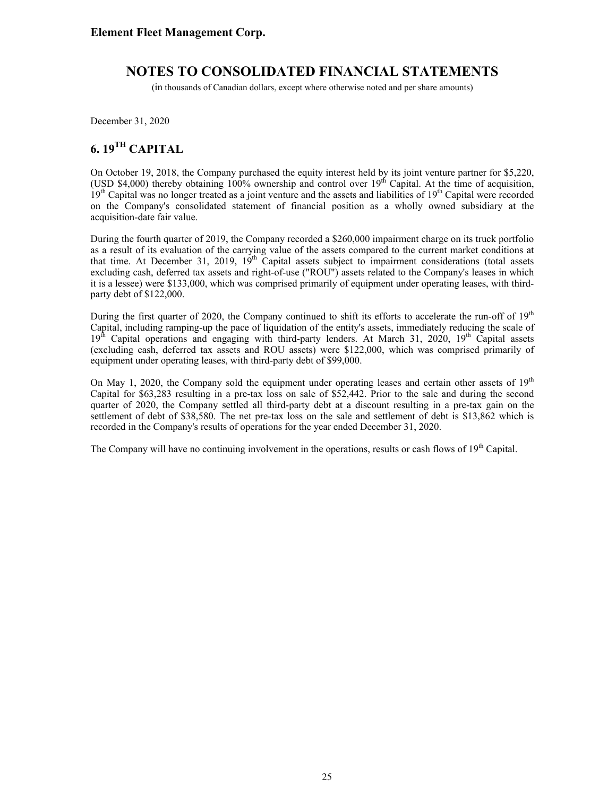(in thousands of Canadian dollars, except where otherwise noted and per share amounts)

December 31, 2020

## **6. 19TH CAPITAL**

On October 19, 2018, the Company purchased the equity interest held by its joint venture partner for \$5,220, (USD \$4,000) thereby obtaining 100% ownership and control over  $19<sup>th</sup>$  Capital. At the time of acquisition,  $19<sup>th</sup>$  Capital was no longer treated as a joint venture and the assets and liabilities of  $19<sup>th</sup>$  Capital were recorded on the Company's consolidated statement of financial position as a wholly owned subsidiary at the acquisition-date fair value.

During the fourth quarter of 2019, the Company recorded a \$260,000 impairment charge on its truck portfolio as a result of its evaluation of the carrying value of the assets compared to the current market conditions at that time. At December 31, 2019,  $19<sup>th</sup>$  Capital assets subject to impairment considerations (total assets excluding cash, deferred tax assets and right-of-use ("ROU") assets related to the Company's leases in which it is a lessee) were \$133,000, which was comprised primarily of equipment under operating leases, with thirdparty debt of \$122,000.

During the first quarter of 2020, the Company continued to shift its efforts to accelerate the run-off of  $19<sup>th</sup>$ Capital, including ramping-up the pace of liquidation of the entity's assets, immediately reducing the scale of  $19<sup>th</sup>$  Capital operations and engaging with third-party lenders. At March 31, 2020,  $19<sup>th</sup>$  Capital assets (excluding cash, deferred tax assets and ROU assets) were \$122,000, which was comprised primarily of equipment under operating leases, with third-party debt of \$99,000.

On May 1, 2020, the Company sold the equipment under operating leases and certain other assets of  $19<sup>th</sup>$ Capital for \$63,283 resulting in a pre-tax loss on sale of \$52,442. Prior to the sale and during the second quarter of 2020, the Company settled all third-party debt at a discount resulting in a pre-tax gain on the settlement of debt of \$38,580. The net pre-tax loss on the sale and settlement of debt is \$13,862 which is recorded in the Company's results of operations for the year ended December 31, 2020.

The Company will have no continuing involvement in the operations, results or cash flows of 19<sup>th</sup> Capital.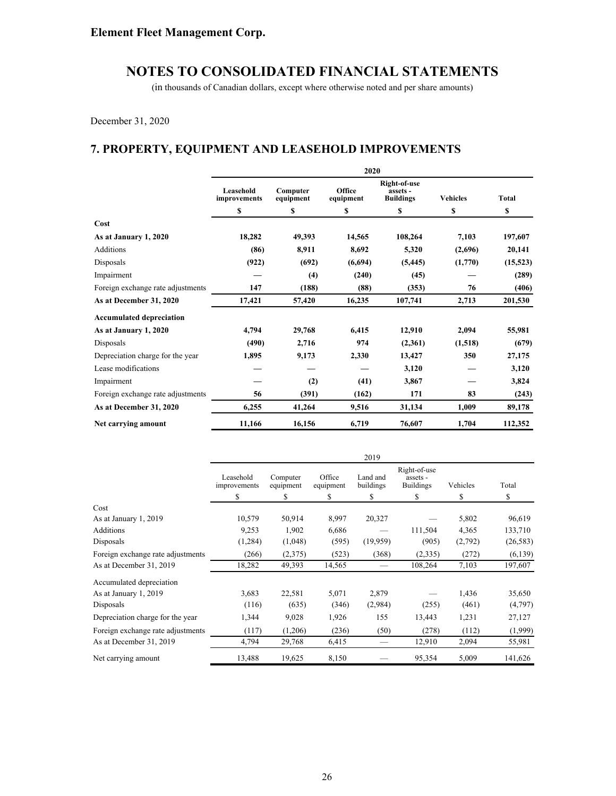(in thousands of Canadian dollars, except where otherwise noted and per share amounts)

December 31, 2020

## **7. PROPERTY, EQUIPMENT AND LEASEHOLD IMPROVEMENTS**

|                                   | 2020                      |                       |                     |                                              |                 |              |  |  |
|-----------------------------------|---------------------------|-----------------------|---------------------|----------------------------------------------|-----------------|--------------|--|--|
|                                   | Leasehold<br>improvements | Computer<br>equipment | Office<br>equipment | Right-of-use<br>assets -<br><b>Buildings</b> | <b>Vehicles</b> | <b>Total</b> |  |  |
|                                   | S                         | \$                    | \$                  | \$                                           | \$              | \$           |  |  |
| Cost                              |                           |                       |                     |                                              |                 |              |  |  |
| As at January 1, 2020             | 18,282                    | 49,393                | 14,565              | 108,264                                      | 7,103           | 197,607      |  |  |
| <b>Additions</b>                  | (86)                      | 8,911                 | 8,692               | 5,320                                        | (2,696)         | 20,141       |  |  |
| Disposals                         | (922)                     | (692)                 | (6,694)             | (5, 445)                                     | (1,770)         | (15, 523)    |  |  |
| Impairment                        |                           | (4)                   | (240)               | (45)                                         |                 | (289)        |  |  |
| Foreign exchange rate adjustments | 147                       | (188)                 | (88)                | (353)                                        | 76              | (406)        |  |  |
| As at December 31, 2020           | 17,421                    | 57,420                | 16,235              | 107,741                                      | 2,713           | 201,530      |  |  |
| <b>Accumulated depreciation</b>   |                           |                       |                     |                                              |                 |              |  |  |
| As at January 1, 2020             | 4,794                     | 29,768                | 6,415               | 12,910                                       | 2,094           | 55,981       |  |  |
| Disposals                         | (490)                     | 2,716                 | 974                 | (2,361)                                      | (1,518)         | (679)        |  |  |
| Depreciation charge for the year  | 1,895                     | 9,173                 | 2,330               | 13,427                                       | 350             | 27,175       |  |  |
| Lease modifications               |                           |                       |                     | 3,120                                        |                 | 3,120        |  |  |
| Impairment                        |                           | (2)                   | (41)                | 3,867                                        |                 | 3,824        |  |  |
| Foreign exchange rate adjustments | 56                        | (391)                 | (162)               | 171                                          | 83              | (243)        |  |  |
| As at December 31, 2020           | 6,255                     | 41,264                | 9,516               | 31,134                                       | 1,009           | 89,178       |  |  |
| Net carrying amount               | 11,166                    | 16,156                | 6,719               | 76,607                                       | 1.704           | 112,352      |  |  |

|                                   | 2019                      |                       |                     |                       |                                              |          |           |  |
|-----------------------------------|---------------------------|-----------------------|---------------------|-----------------------|----------------------------------------------|----------|-----------|--|
|                                   | Leasehold<br>improvements | Computer<br>equipment | Office<br>equipment | Land and<br>buildings | Right-of-use<br>assets -<br><b>Buildings</b> | Vehicles | Total     |  |
|                                   | S                         | \$                    | \$                  | \$                    | S                                            | \$       | \$        |  |
| Cost                              |                           |                       |                     |                       |                                              |          |           |  |
| As at January 1, 2019             | 10,579                    | 50,914                | 8,997               | 20,327                |                                              | 5,802    | 96,619    |  |
| <b>Additions</b>                  | 9,253                     | 1,902                 | 6,686               |                       | 111,504                                      | 4,365    | 133,710   |  |
| Disposals                         | (1,284)                   | (1,048)               | (595)               | (19,959)              | (905)                                        | (2,792)  | (26, 583) |  |
| Foreign exchange rate adjustments | (266)                     | (2,375)               | (523)               | (368)                 | (2,335)                                      | (272)    | (6, 139)  |  |
| As at December 31, 2019           | 18,282                    | 49,393                | 14,565              |                       | 108,264                                      | 7,103    | 197,607   |  |
| Accumulated depreciation          |                           |                       |                     |                       |                                              |          |           |  |
| As at January 1, 2019             | 3,683                     | 22,581                | 5,071               | 2,879                 |                                              | 1,436    | 35,650    |  |
| Disposals                         | (116)                     | (635)                 | (346)               | (2,984)               | (255)                                        | (461)    | (4,797)   |  |
| Depreciation charge for the year  | 1,344                     | 9,028                 | 1,926               | 155                   | 13,443                                       | 1,231    | 27,127    |  |
| Foreign exchange rate adjustments | (117)                     | (1,206)               | (236)               | (50)                  | (278)                                        | (112)    | (1,999)   |  |
| As at December 31, 2019           | 4,794                     | 29,768                | 6,415               |                       | 12,910                                       | 2,094    | 55,981    |  |
| Net carrying amount               | 13,488                    | 19,625                | 8,150               |                       | 95,354                                       | 5,009    | 141,626   |  |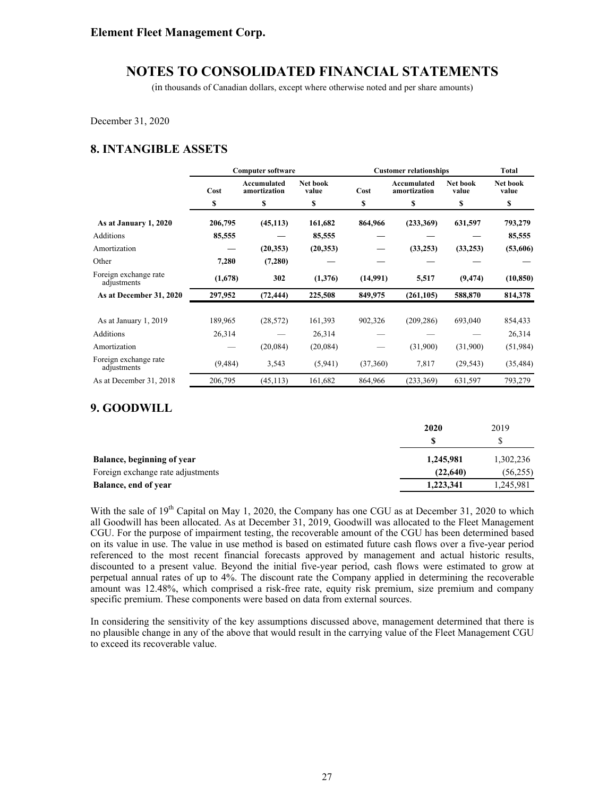(in thousands of Canadian dollars, except where otherwise noted and per share amounts)

December 31, 2020

## **8. INTANGIBLE ASSETS**

|                                      |          | <b>Computer software</b>    |                   |          | <b>Customer relationships</b> |                   | <b>Total</b>      |
|--------------------------------------|----------|-----------------------------|-------------------|----------|-------------------------------|-------------------|-------------------|
|                                      | Cost     | Accumulated<br>amortization | Net book<br>value | Cost     | Accumulated<br>amortization   | Net book<br>value | Net book<br>value |
|                                      | \$       | \$                          | \$                | \$       | \$                            | \$                | \$                |
| As at January 1, 2020                | 206,795  | (45, 113)                   | 161,682           | 864,966  | (233,369)                     | 631,597           | 793,279           |
| <b>Additions</b>                     | 85,555   |                             | 85,555            |          |                               |                   | 85,555            |
| Amortization                         |          | (20, 353)                   | (20, 353)         |          | (33, 253)                     | (33, 253)         | (53,606)          |
| Other                                | 7,280    | (7,280)                     |                   |          |                               |                   |                   |
| Foreign exchange rate<br>adjustments | (1,678)  | 302                         | (1,376)           | (14,991) | 5,517                         | (9, 474)          | (10, 850)         |
| As at December 31, 2020              | 297,952  | (72, 444)                   | 225,508           | 849,975  | (261, 105)                    | 588,870           | 814,378           |
| As at January 1, 2019                | 189,965  | (28, 572)                   | 161,393           | 902,326  | (209, 286)                    | 693,040           | 854,433           |
| Additions                            | 26,314   |                             | 26,314            |          |                               |                   | 26,314            |
| Amortization                         |          | (20,084)                    | (20,084)          |          | (31,900)                      | (31,900)          | (51,984)          |
| Foreign exchange rate<br>adjustments | (9, 484) | 3,543                       | (5,941)           | (37,360) | 7,817                         | (29, 543)         | (35, 484)         |
| As at December 31, 2018              | 206,795  | (45, 113)                   | 161,682           | 864,966  | (233, 369)                    | 631,597           | 793,279           |

### **9. GOODWILL**

|                                   | 2020      | 2019      |
|-----------------------------------|-----------|-----------|
|                                   |           |           |
| Balance, beginning of year        | 1,245,981 | 1,302,236 |
| Foreign exchange rate adjustments | (22.640)  | (56,255)  |
| Balance, end of year              | 1,223,341 | .245,981  |

With the sale of  $19<sup>th</sup>$  Capital on May 1, 2020, the Company has one CGU as at December 31, 2020 to which all Goodwill has been allocated. As at December 31, 2019, Goodwill was allocated to the Fleet Management CGU. For the purpose of impairment testing, the recoverable amount of the CGU has been determined based on its value in use. The value in use method is based on estimated future cash flows over a five-year period referenced to the most recent financial forecasts approved by management and actual historic results, discounted to a present value. Beyond the initial five-year period, cash flows were estimated to grow at perpetual annual rates of up to 4%. The discount rate the Company applied in determining the recoverable amount was 12.48%, which comprised a risk-free rate, equity risk premium, size premium and company specific premium. These components were based on data from external sources.

In considering the sensitivity of the key assumptions discussed above, management determined that there is no plausible change in any of the above that would result in the carrying value of the Fleet Management CGU to exceed its recoverable value.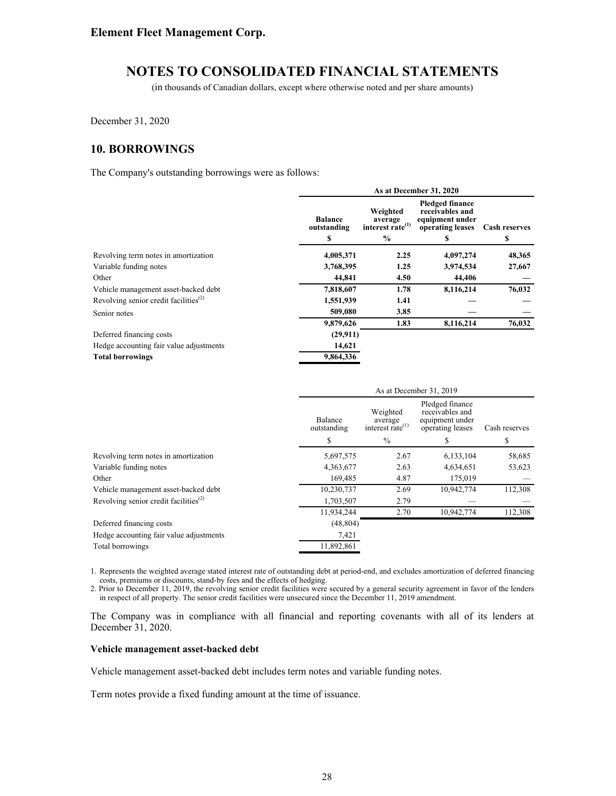(in thousands of Canadian dollars, except where otherwise noted and per share amounts)

December 31, 2020

### **10. BORROWINGS**

The Company's outstanding borrowings were as follows:

|                                                                |                                     | As at December 31, 2020                                              |                                                                                        |                            |  |  |
|----------------------------------------------------------------|-------------------------------------|----------------------------------------------------------------------|----------------------------------------------------------------------------------------|----------------------------|--|--|
|                                                                | <b>Balance</b><br>outstanding<br>\$ | Weighted<br>average<br>interest rate <sup>(1)</sup><br>$\frac{0}{0}$ | <b>Pledged finance</b><br>receivables and<br>equipment under<br>operating leases<br>\$ | <b>Cash reserves</b><br>\$ |  |  |
| Revolving term notes in amortization                           | 4,005,371                           | 2.25                                                                 | 4,097,274                                                                              | 48,365                     |  |  |
| Variable funding notes                                         | 3,768,395                           | 1.25                                                                 | 3,974,534                                                                              | 27,667                     |  |  |
| Other                                                          | 44,841                              | 4.50                                                                 | 44,406                                                                                 |                            |  |  |
| Vehicle management asset-backed debt                           | 7,818,607                           | 1.78                                                                 | 8,116,214                                                                              | 76,032                     |  |  |
| Revolving senior credit facilities <sup><math>(2)</math></sup> | 1,551,939                           | 1.41                                                                 |                                                                                        |                            |  |  |
| Senior notes                                                   | 509,080                             | 3.85                                                                 |                                                                                        |                            |  |  |
|                                                                | 9,879,626                           | 1.83                                                                 | 8,116,214                                                                              | 76,032                     |  |  |
| Deferred financing costs                                       | (29, 911)                           |                                                                      |                                                                                        |                            |  |  |
| Hedge accounting fair value adjustments                        | 14,621                              |                                                                      |                                                                                        |                            |  |  |
| <b>Total borrowings</b>                                        | 9,864,336                           |                                                                      |                                                                                        |                            |  |  |

|                                                   |                        | As at December 31, 2019                             |                                                                           |               |  |  |
|---------------------------------------------------|------------------------|-----------------------------------------------------|---------------------------------------------------------------------------|---------------|--|--|
|                                                   | Balance<br>outstanding | Weighted<br>average<br>interest rate <sup>(1)</sup> | Pledged finance<br>receivables and<br>equipment under<br>operating leases | Cash reserves |  |  |
|                                                   | S                      | $\frac{0}{0}$                                       | S                                                                         | \$            |  |  |
| Revolving term notes in amortization              | 5,697,575              | 2.67                                                | 6,133,104                                                                 | 58,685        |  |  |
| Variable funding notes                            | 4,363,677              | 2.63                                                | 4,634,651                                                                 | 53,623        |  |  |
| Other                                             | 169,485                | 4.87                                                | 175,019                                                                   |               |  |  |
| Vehicle management asset-backed debt              | 10,230,737             | 2.69                                                | 10,942,774                                                                | 112,308       |  |  |
| Revolving senior credit facilities <sup>(2)</sup> | 1,703,507              | 2.79                                                |                                                                           |               |  |  |
|                                                   | 11,934,244             | 2.70                                                | 10,942,774                                                                | 112,308       |  |  |
| Deferred financing costs                          | (48, 804)              |                                                     |                                                                           |               |  |  |
| Hedge accounting fair value adjustments           | 7,421                  |                                                     |                                                                           |               |  |  |
| Total borrowings                                  | 11,892,861             |                                                     |                                                                           |               |  |  |

1. Represents the weighted average stated interest rate of outstanding debt at period-end, and excludes amortization of deferred financing costs, premiums or discounts, stand-by fees and the effects of hedging.

2. Prior to December 11, 2019, the revolving senior credit facilities were secured by a general security agreement in favor of the lenders in respect of all property. The senior credit facilities were unsecured since the December 11, 2019 amendment.

The Company was in compliance with all financial and reporting covenants with all of its lenders at December 31, 2020.

#### **Vehicle management asset-backed debt**

Vehicle management asset-backed debt includes term notes and variable funding notes.

Term notes provide a fixed funding amount at the time of issuance.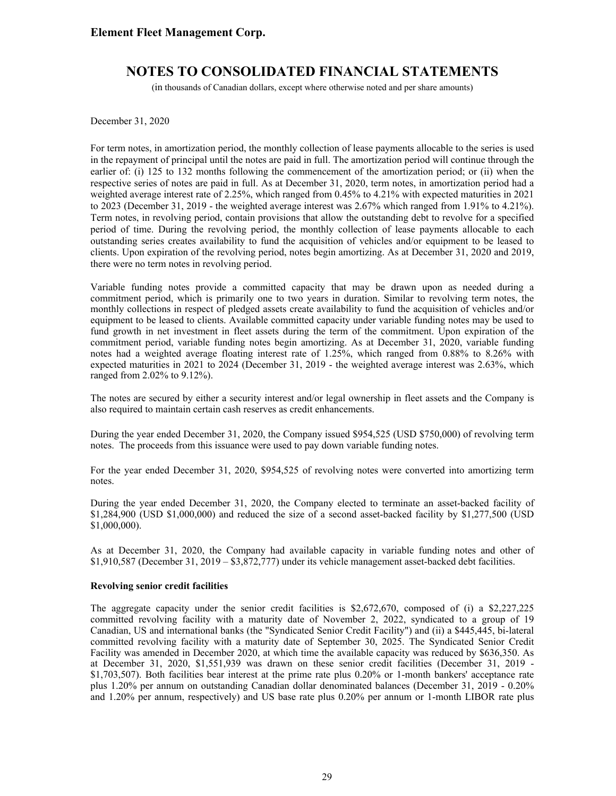(in thousands of Canadian dollars, except where otherwise noted and per share amounts)

December 31, 2020

For term notes, in amortization period, the monthly collection of lease payments allocable to the series is used in the repayment of principal until the notes are paid in full. The amortization period will continue through the earlier of: (i) 125 to 132 months following the commencement of the amortization period; or (ii) when the respective series of notes are paid in full. As at December 31, 2020, term notes, in amortization period had a weighted average interest rate of 2.25%, which ranged from 0.45% to 4.21% with expected maturities in 2021 to 2023 (December 31, 2019 - the weighted average interest was 2.67% which ranged from 1.91% to 4.21%). Term notes, in revolving period, contain provisions that allow the outstanding debt to revolve for a specified period of time. During the revolving period, the monthly collection of lease payments allocable to each outstanding series creates availability to fund the acquisition of vehicles and/or equipment to be leased to clients. Upon expiration of the revolving period, notes begin amortizing. As at December 31, 2020 and 2019, there were no term notes in revolving period.

Variable funding notes provide a committed capacity that may be drawn upon as needed during a commitment period, which is primarily one to two years in duration. Similar to revolving term notes, the monthly collections in respect of pledged assets create availability to fund the acquisition of vehicles and/or equipment to be leased to clients. Available committed capacity under variable funding notes may be used to fund growth in net investment in fleet assets during the term of the commitment. Upon expiration of the commitment period, variable funding notes begin amortizing. As at December 31, 2020, variable funding notes had a weighted average floating interest rate of 1.25%, which ranged from 0.88% to 8.26% with expected maturities in 2021 to 2024 (December 31, 2019 - the weighted average interest was 2.63%, which ranged from 2.02% to 9.12%).

The notes are secured by either a security interest and/or legal ownership in fleet assets and the Company is also required to maintain certain cash reserves as credit enhancements.

During the year ended December 31, 2020, the Company issued \$954,525 (USD \$750,000) of revolving term notes. The proceeds from this issuance were used to pay down variable funding notes.

For the year ended December 31, 2020, \$954,525 of revolving notes were converted into amortizing term notes.

During the year ended December 31, 2020, the Company elected to terminate an asset-backed facility of \$1,284,900 (USD \$1,000,000) and reduced the size of a second asset-backed facility by \$1,277,500 (USD \$1,000,000).

As at December 31, 2020, the Company had available capacity in variable funding notes and other of \$1,910,587 (December 31, 2019 – \$3,872,777) under its vehicle management asset-backed debt facilities.

#### **Revolving senior credit facilities**

The aggregate capacity under the senior credit facilities is \$2,672,670, composed of (i) a \$2,227,225 committed revolving facility with a maturity date of November 2, 2022, syndicated to a group of 19 Canadian, US and international banks (the "Syndicated Senior Credit Facility") and (ii) a \$445,445, bi-lateral committed revolving facility with a maturity date of September 30, 2025. The Syndicated Senior Credit Facility was amended in December 2020, at which time the available capacity was reduced by \$636,350. As at December 31, 2020, \$1,551,939 was drawn on these senior credit facilities (December 31, 2019 - \$1,703,507). Both facilities bear interest at the prime rate plus 0.20% or 1-month bankers' acceptance rate plus 1.20% per annum on outstanding Canadian dollar denominated balances (December 31, 2019 - 0.20% and 1.20% per annum, respectively) and US base rate plus 0.20% per annum or 1-month LIBOR rate plus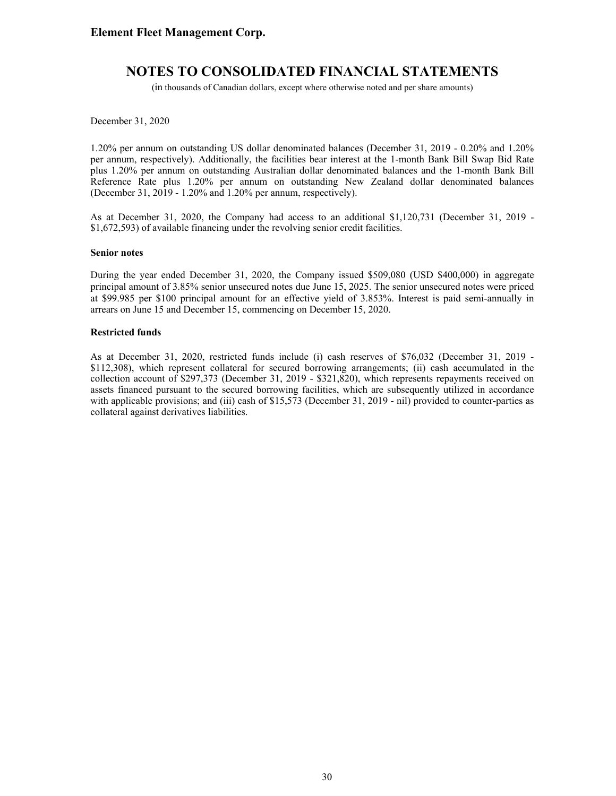(in thousands of Canadian dollars, except where otherwise noted and per share amounts)

December 31, 2020

1.20% per annum on outstanding US dollar denominated balances (December 31, 2019 - 0.20% and 1.20% per annum, respectively). Additionally, the facilities bear interest at the 1-month Bank Bill Swap Bid Rate plus 1.20% per annum on outstanding Australian dollar denominated balances and the 1-month Bank Bill Reference Rate plus 1.20% per annum on outstanding New Zealand dollar denominated balances (December 31, 2019 - 1.20% and 1.20% per annum, respectively).

As at December 31, 2020, the Company had access to an additional \$1,120,731 (December 31, 2019 - \$1,672,593) of available financing under the revolving senior credit facilities.

#### **Senior notes**

During the year ended December 31, 2020, the Company issued \$509,080 (USD \$400,000) in aggregate principal amount of 3.85% senior unsecured notes due June 15, 2025. The senior unsecured notes were priced at \$99.985 per \$100 principal amount for an effective yield of 3.853%. Interest is paid semi-annually in arrears on June 15 and December 15, commencing on December 15, 2020.

#### **Restricted funds**

As at December 31, 2020, restricted funds include (i) cash reserves of \$76,032 (December 31, 2019 - \$112,308), which represent collateral for secured borrowing arrangements; (ii) cash accumulated in the collection account of \$297,373 (December 31, 2019 - \$321,820), which represents repayments received on assets financed pursuant to the secured borrowing facilities, which are subsequently utilized in accordance with applicable provisions; and (iii) cash of \$15,573 (December 31, 2019 - nil) provided to counter-parties as collateral against derivatives liabilities.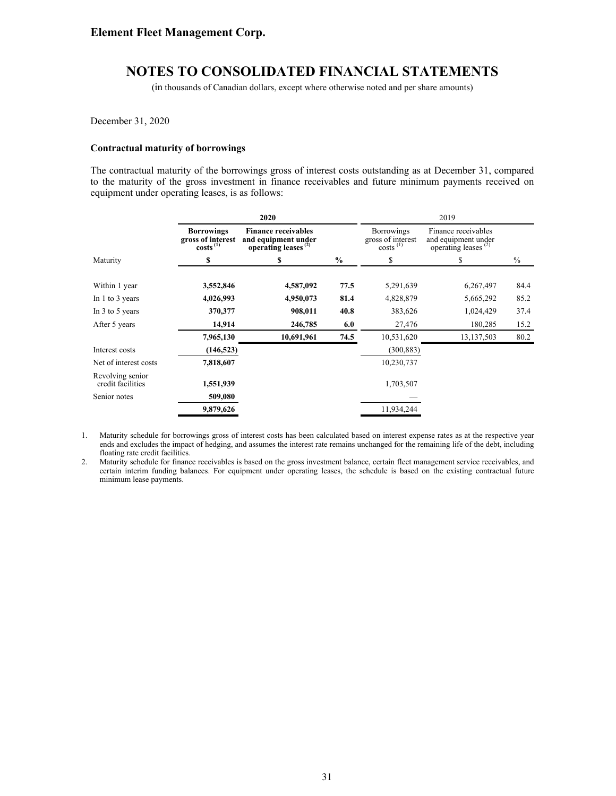(in thousands of Canadian dollars, except where otherwise noted and per share amounts)

December 31, 2020

#### **Contractual maturity of borrowings**

The contractual maturity of the borrowings gross of interest costs outstanding as at December 31, compared to the maturity of the gross investment in finance receivables and future minimum payments received on equipment under operating leases, is as follows:

|                                    | 2020                                                                                 |                                 |                                                                  | 2019                                                                 |               |
|------------------------------------|--------------------------------------------------------------------------------------|---------------------------------|------------------------------------------------------------------|----------------------------------------------------------------------|---------------|
| <b>Borrowings</b><br>$costs^{(i)}$ | <b>Finance receivables</b><br>and equipment under<br>operating leases <sup>(2)</sup> |                                 | <b>Borrowings</b><br>gross of interest<br>$costs$ <sup>(1)</sup> | Finance receivables<br>and equipment under<br>operating leases $(2)$ |               |
| s                                  | \$                                                                                   | $\frac{0}{0}$                   | \$                                                               | \$                                                                   | $\frac{0}{0}$ |
| 3,552,846                          | 4,587,092                                                                            | 77.5                            | 5,291,639                                                        | 6,267,497                                                            | 84.4          |
| 4,026,993                          | 4,950,073                                                                            | 81.4                            | 4,828,879                                                        | 5,665,292                                                            | 85.2          |
| 370,377                            | 908,011                                                                              | 40.8                            | 383,626                                                          | 1,024,429                                                            | 37.4          |
| 14,914                             | 246,785                                                                              | 6.0                             | 27,476                                                           | 180,285                                                              | 15.2          |
| 7,965,130                          | 10,691,961                                                                           | 74.5                            | 10,531,620                                                       | 13, 137, 503                                                         | 80.2          |
|                                    |                                                                                      |                                 | (300, 883)                                                       |                                                                      |               |
| 7,818,607                          |                                                                                      |                                 | 10,230,737                                                       |                                                                      |               |
| 1,551,939                          |                                                                                      |                                 | 1,703,507                                                        |                                                                      |               |
| 509,080                            |                                                                                      |                                 |                                                                  |                                                                      |               |
| 9,879,626                          |                                                                                      |                                 | 11,934,244                                                       |                                                                      |               |
|                                    |                                                                                      | gross of interest<br>(146, 523) |                                                                  |                                                                      |               |

1. Maturity schedule for borrowings gross of interest costs has been calculated based on interest expense rates as at the respective year ends and excludes the impact of hedging, and assumes the interest rate remains unchanged for the remaining life of the debt, including floating rate credit facilities.

2. Maturity schedule for finance receivables is based on the gross investment balance, certain fleet management service receivables, and certain interim funding balances. For equipment under operating leases, the schedule is based on the existing contractual future minimum lease payments.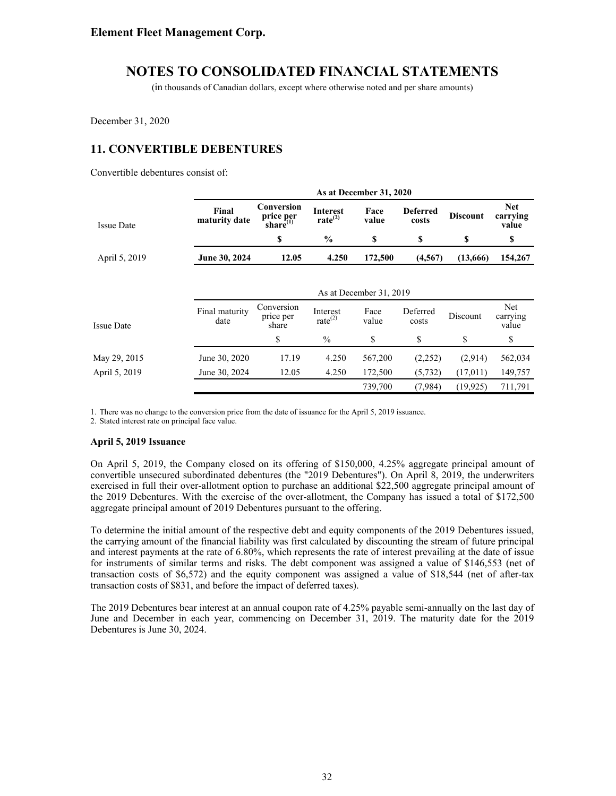(in thousands of Canadian dollars, except where otherwise noted and per share amounts)

December 31, 2020

### **11. CONVERTIBLE DEBENTURES**

Convertible debentures consist of:

|                   |                        |                                                     |                                        | As at December 31, 2020 |                          |                 |                                 |
|-------------------|------------------------|-----------------------------------------------------|----------------------------------------|-------------------------|--------------------------|-----------------|---------------------------------|
| <b>Issue Date</b> | Final<br>maturity date | Conversion<br>price per<br>share $\mathbf{e}^{(1)}$ | <b>Interest</b><br>rate <sup>(2)</sup> | Face<br>value           | <b>Deferred</b><br>costs | <b>Discount</b> | <b>Net</b><br>carrying<br>value |
|                   |                        | \$                                                  | $\frac{6}{9}$                          | \$                      | \$                       | \$              | \$                              |
| April 5, 2019     | June 30, 2024          | 12.05                                               | 4.250                                  | 172,500                 | (4, 567)                 | (13,666)        | 154,267                         |
|                   |                        |                                                     |                                        | As at December 31, 2019 |                          |                 |                                 |
| <b>Issue Date</b> | Final maturity<br>date | Conversion<br>price per<br>share                    | Interest<br>rate $^{(2)}$              | Face<br>value           | Deferred<br>costs        | Discount        | Net<br>carrying<br>value        |
|                   |                        | \$                                                  | $\%$                                   | \$                      | \$                       | \$              | \$                              |
| May 29, 2015      | June 30, 2020          | 17.19                                               | 4.250                                  | 567,200                 | (2,252)                  | (2,914)         | 562,034                         |
| April 5, 2019     | June 30, 2024          | 12.05                                               | 4.250                                  | 172,500                 | (5, 732)                 | (17,011)        | 149,757                         |
|                   |                        |                                                     |                                        | 739,700                 | (7,984)                  | (19, 925)       | 711,791                         |

1. There was no change to the conversion price from the date of issuance for the April 5, 2019 issuance.

2. Stated interest rate on principal face value.

#### **April 5, 2019 Issuance**

On April 5, 2019, the Company closed on its offering of \$150,000, 4.25% aggregate principal amount of convertible unsecured subordinated debentures (the "2019 Debentures"). On April 8, 2019, the underwriters exercised in full their over-allotment option to purchase an additional \$22,500 aggregate principal amount of the 2019 Debentures. With the exercise of the over-allotment, the Company has issued a total of \$172,500 aggregate principal amount of 2019 Debentures pursuant to the offering.

To determine the initial amount of the respective debt and equity components of the 2019 Debentures issued, the carrying amount of the financial liability was first calculated by discounting the stream of future principal and interest payments at the rate of 6.80%, which represents the rate of interest prevailing at the date of issue for instruments of similar terms and risks. The debt component was assigned a value of \$146,553 (net of transaction costs of \$6,572) and the equity component was assigned a value of \$18,544 (net of after-tax transaction costs of \$831, and before the impact of deferred taxes).

The 2019 Debentures bear interest at an annual coupon rate of 4.25% payable semi-annually on the last day of June and December in each year, commencing on December 31, 2019. The maturity date for the 2019 Debentures is June 30, 2024.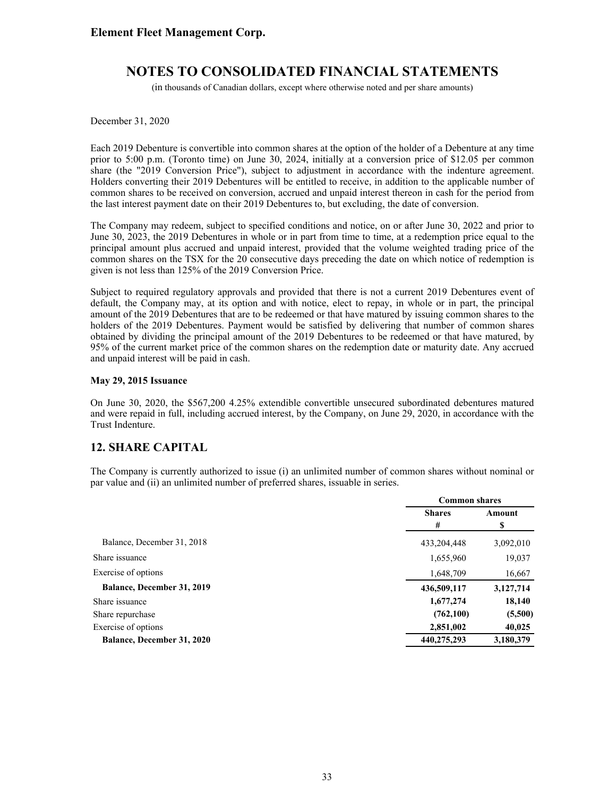(in thousands of Canadian dollars, except where otherwise noted and per share amounts)

December 31, 2020

Each 2019 Debenture is convertible into common shares at the option of the holder of a Debenture at any time prior to 5:00 p.m. (Toronto time) on June 30, 2024, initially at a conversion price of \$12.05 per common share (the "2019 Conversion Price"), subject to adjustment in accordance with the indenture agreement. Holders converting their 2019 Debentures will be entitled to receive, in addition to the applicable number of common shares to be received on conversion, accrued and unpaid interest thereon in cash for the period from the last interest payment date on their 2019 Debentures to, but excluding, the date of conversion.

The Company may redeem, subject to specified conditions and notice, on or after June 30, 2022 and prior to June 30, 2023, the 2019 Debentures in whole or in part from time to time, at a redemption price equal to the principal amount plus accrued and unpaid interest, provided that the volume weighted trading price of the common shares on the TSX for the 20 consecutive days preceding the date on which notice of redemption is given is not less than 125% of the 2019 Conversion Price.

Subject to required regulatory approvals and provided that there is not a current 2019 Debentures event of default, the Company may, at its option and with notice, elect to repay, in whole or in part, the principal amount of the 2019 Debentures that are to be redeemed or that have matured by issuing common shares to the holders of the 2019 Debentures. Payment would be satisfied by delivering that number of common shares obtained by dividing the principal amount of the 2019 Debentures to be redeemed or that have matured, by 95% of the current market price of the common shares on the redemption date or maturity date. Any accrued and unpaid interest will be paid in cash.

#### **May 29, 2015 Issuance**

On June 30, 2020, the \$567,200 4.25% extendible convertible unsecured subordinated debentures matured and were repaid in full, including accrued interest, by the Company, on June 29, 2020, in accordance with the Trust Indenture.

### **12. SHARE CAPITAL**

The Company is currently authorized to issue (i) an unlimited number of common shares without nominal or par value and (ii) an unlimited number of preferred shares, issuable in series.

|                                   | <b>Common shares</b> |           |  |
|-----------------------------------|----------------------|-----------|--|
|                                   | <b>Shares</b>        | Amount    |  |
|                                   | #                    | S         |  |
| Balance, December 31, 2018        | 433,204,448          | 3,092,010 |  |
| Share issuance                    | 1,655,960            | 19,037    |  |
| Exercise of options               | 1,648,709            | 16,667    |  |
| Balance, December 31, 2019        | 436,509,117          | 3,127,714 |  |
| Share issuance                    | 1,677,274            | 18,140    |  |
| Share repurchase                  | (762, 100)           | (5,500)   |  |
| Exercise of options               | 2,851,002            | 40,025    |  |
| <b>Balance, December 31, 2020</b> | 440,275,293          | 3,180,379 |  |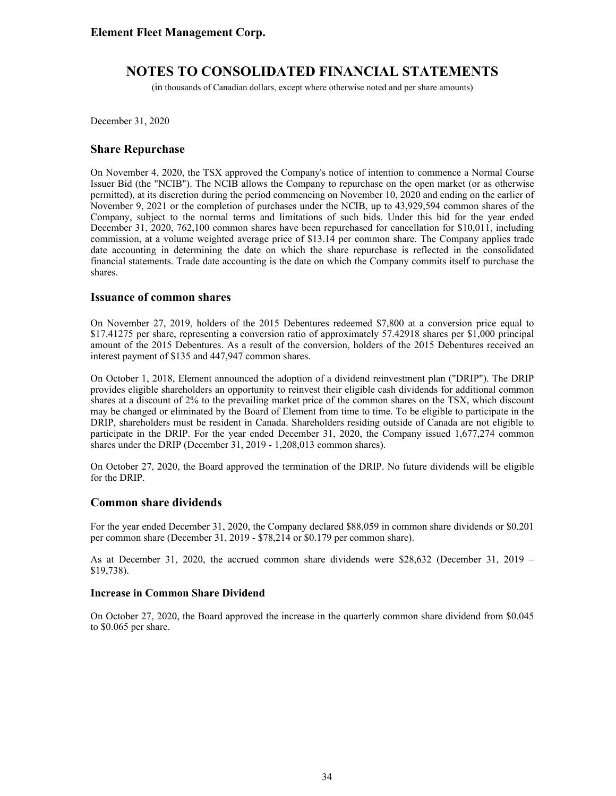(in thousands of Canadian dollars, except where otherwise noted and per share amounts)

December 31, 2020

### **Share Repurchase**

On November 4, 2020, the TSX approved the Company's notice of intention to commence a Normal Course Issuer Bid (the "NCIB"). The NCIB allows the Company to repurchase on the open market (or as otherwise permitted), at its discretion during the period commencing on November 10, 2020 and ending on the earlier of November 9, 2021 or the completion of purchases under the NCIB, up to 43,929,594 common shares of the Company, subject to the normal terms and limitations of such bids. Under this bid for the year ended December 31, 2020, 762,100 common shares have been repurchased for cancellation for \$10,011, including commission, at a volume weighted average price of \$13.14 per common share. The Company applies trade date accounting in determining the date on which the share repurchase is reflected in the consolidated financial statements. Trade date accounting is the date on which the Company commits itself to purchase the shares.

### **Issuance of common shares**

On November 27, 2019, holders of the 2015 Debentures redeemed \$7,800 at a conversion price equal to \$17.41275 per share, representing a conversion ratio of approximately 57.42918 shares per \$1,000 principal amount of the 2015 Debentures. As a result of the conversion, holders of the 2015 Debentures received an interest payment of \$135 and 447,947 common shares.

On October 1, 2018, Element announced the adoption of a dividend reinvestment plan ("DRIP"). The DRIP provides eligible shareholders an opportunity to reinvest their eligible cash dividends for additional common shares at a discount of 2% to the prevailing market price of the common shares on the TSX, which discount may be changed or eliminated by the Board of Element from time to time. To be eligible to participate in the DRIP, shareholders must be resident in Canada. Shareholders residing outside of Canada are not eligible to participate in the DRIP. For the year ended December 31, 2020, the Company issued 1,677,274 common shares under the DRIP (December 31, 2019 - 1,208,013 common shares).

On October 27, 2020, the Board approved the termination of the DRIP. No future dividends will be eligible for the DRIP.

### **Common share dividends**

For the year ended December 31, 2020, the Company declared \$88,059 in common share dividends or \$0.201 per common share (December 31, 2019 - \$78,214 or \$0.179 per common share).

As at December 31, 2020, the accrued common share dividends were \$28,632 (December 31, 2019 – \$19,738).

#### **Increase in Common Share Dividend**

On October 27, 2020, the Board approved the increase in the quarterly common share dividend from \$0.045 to \$0.065 per share.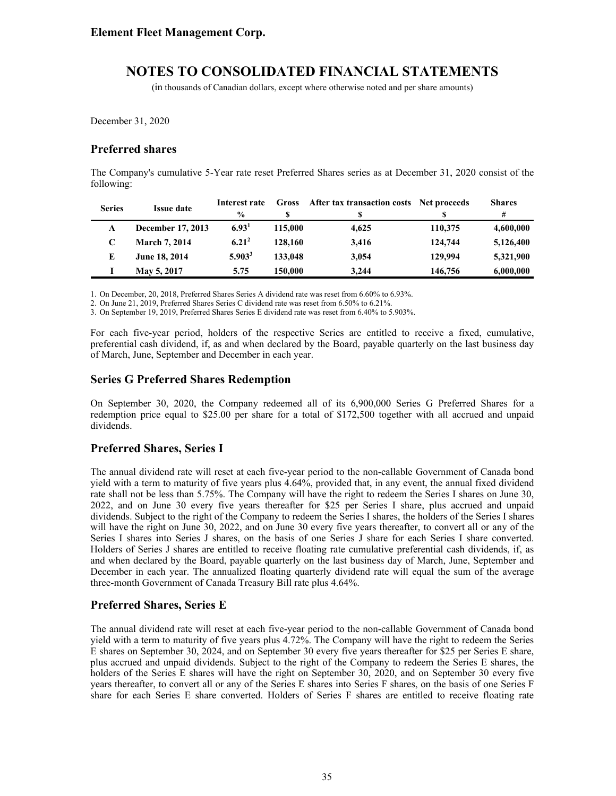(in thousands of Canadian dollars, except where otherwise noted and per share amounts)

December 31, 2020

### **Preferred shares**

The Company's cumulative 5-Year rate reset Preferred Shares series as at December 31, 2020 consist of the following:

| <b>Series</b> | <b>Issue date</b>    | Interest rate<br>$\frac{0}{0}$ | Gross   | After tax transaction costs Net proceeds |         | <b>Shares</b><br># |
|---------------|----------------------|--------------------------------|---------|------------------------------------------|---------|--------------------|
| A             | December 17, 2013    | 6.93 <sup>1</sup>              | 115,000 | 4.625                                    | 110,375 | 4,600,000          |
| C             | <b>March 7, 2014</b> | 6.21 <sup>2</sup>              | 128,160 | 3.416                                    | 124,744 | 5,126,400          |
| E             | June 18, 2014        | $5.903^3$                      | 133,048 | 3.054                                    | 129,994 | 5,321,900          |
|               | May 5, 2017          | 5.75                           | 150,000 | 3.244                                    | 146,756 | 6,000,000          |

1. On December, 20, 2018, Preferred Shares Series A dividend rate was reset from 6.60% to 6.93%.

2. On June 21, 2019, Preferred Shares Series C dividend rate was reset from 6.50% to 6.21%.

3. On September 19, 2019, Preferred Shares Series E dividend rate was reset from 6.40% to 5.903%.

For each five-year period, holders of the respective Series are entitled to receive a fixed, cumulative, preferential cash dividend, if, as and when declared by the Board, payable quarterly on the last business day of March, June, September and December in each year.

### **Series G Preferred Shares Redemption**

On September 30, 2020, the Company redeemed all of its 6,900,000 Series G Preferred Shares for a redemption price equal to \$25.00 per share for a total of \$172,500 together with all accrued and unpaid dividends.

### **Preferred Shares, Series I**

The annual dividend rate will reset at each five-year period to the non-callable Government of Canada bond yield with a term to maturity of five years plus 4.64%, provided that, in any event, the annual fixed dividend rate shall not be less than 5.75%. The Company will have the right to redeem the Series I shares on June 30, 2022, and on June 30 every five years thereafter for \$25 per Series I share, plus accrued and unpaid dividends. Subject to the right of the Company to redeem the Series I shares, the holders of the Series I shares will have the right on June 30, 2022, and on June 30 every five years thereafter, to convert all or any of the Series I shares into Series J shares, on the basis of one Series J share for each Series I share converted. Holders of Series J shares are entitled to receive floating rate cumulative preferential cash dividends, if, as and when declared by the Board, payable quarterly on the last business day of March, June, September and December in each year. The annualized floating quarterly dividend rate will equal the sum of the average three-month Government of Canada Treasury Bill rate plus 4.64%.

### **Preferred Shares, Series E**

The annual dividend rate will reset at each five-year period to the non-callable Government of Canada bond yield with a term to maturity of five years plus 4.72%. The Company will have the right to redeem the Series E shares on September 30, 2024, and on September 30 every five years thereafter for \$25 per Series E share, plus accrued and unpaid dividends. Subject to the right of the Company to redeem the Series E shares, the holders of the Series E shares will have the right on September 30, 2020, and on September 30 every five years thereafter, to convert all or any of the Series E shares into Series F shares, on the basis of one Series F share for each Series E share converted. Holders of Series F shares are entitled to receive floating rate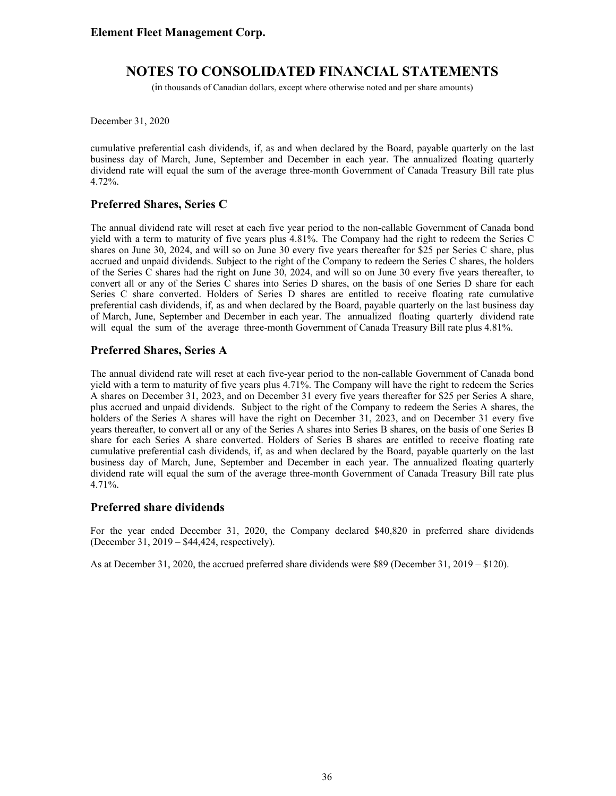(in thousands of Canadian dollars, except where otherwise noted and per share amounts)

December 31, 2020

cumulative preferential cash dividends, if, as and when declared by the Board, payable quarterly on the last business day of March, June, September and December in each year. The annualized floating quarterly dividend rate will equal the sum of the average three-month Government of Canada Treasury Bill rate plus 4.72%.

### **Preferred Shares, Series C**

The annual dividend rate will reset at each five year period to the non-callable Government of Canada bond yield with a term to maturity of five years plus 4.81%. The Company had the right to redeem the Series C shares on June 30, 2024, and will so on June 30 every five years thereafter for \$25 per Series C share, plus accrued and unpaid dividends. Subject to the right of the Company to redeem the Series C shares, the holders of the Series C shares had the right on June 30, 2024, and will so on June 30 every five years thereafter, to convert all or any of the Series C shares into Series D shares, on the basis of one Series D share for each Series C share converted. Holders of Series D shares are entitled to receive floating rate cumulative preferential cash dividends, if, as and when declared by the Board, payable quarterly on the last business day of March, June, September and December in each year. The annualized floating quarterly dividend rate will equal the sum of the average three-month Government of Canada Treasury Bill rate plus 4.81%.

### **Preferred Shares, Series A**

The annual dividend rate will reset at each five-year period to the non-callable Government of Canada bond yield with a term to maturity of five years plus 4.71%. The Company will have the right to redeem the Series A shares on December 31, 2023, and on December 31 every five years thereafter for \$25 per Series A share, plus accrued and unpaid dividends. Subject to the right of the Company to redeem the Series A shares, the holders of the Series A shares will have the right on December 31, 2023, and on December 31 every five years thereafter, to convert all or any of the Series A shares into Series B shares, on the basis of one Series B share for each Series A share converted. Holders of Series B shares are entitled to receive floating rate cumulative preferential cash dividends, if, as and when declared by the Board, payable quarterly on the last business day of March, June, September and December in each year. The annualized floating quarterly dividend rate will equal the sum of the average three-month Government of Canada Treasury Bill rate plus 4.71%.

### **Preferred share dividends**

For the year ended December 31, 2020, the Company declared \$40,820 in preferred share dividends (December 31, 2019 – \$44,424, respectively).

As at December 31, 2020, the accrued preferred share dividends were \$89 (December 31, 2019 – \$120).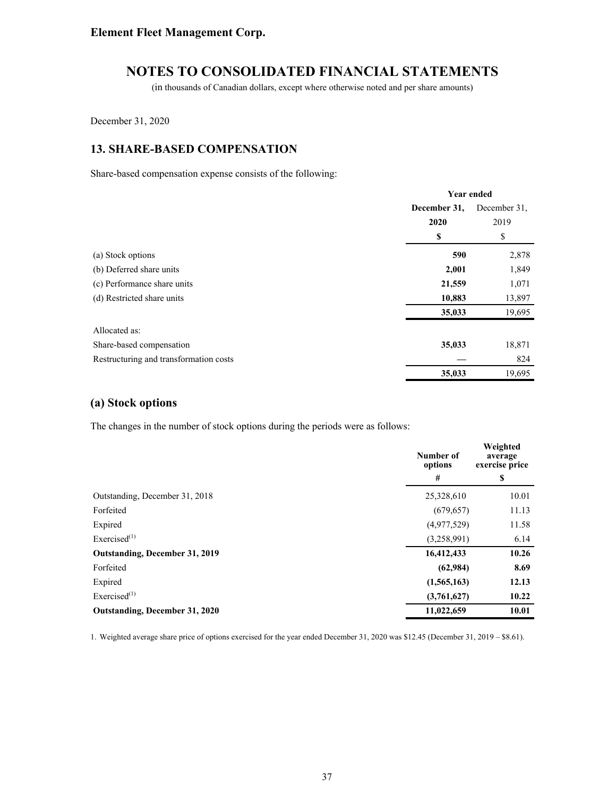(in thousands of Canadian dollars, except where otherwise noted and per share amounts)

December 31, 2020

### **13. SHARE-BASED COMPENSATION**

Share-based compensation expense consists of the following:

|                                        |              | <b>Year ended</b> |  |  |
|----------------------------------------|--------------|-------------------|--|--|
|                                        | December 31, | December 31,      |  |  |
|                                        | 2020         | 2019              |  |  |
|                                        | \$           | \$                |  |  |
| (a) Stock options                      | 590          | 2,878             |  |  |
| (b) Deferred share units               | 2,001        | 1,849             |  |  |
| (c) Performance share units            | 21,559       | 1,071             |  |  |
| (d) Restricted share units             | 10,883       | 13,897            |  |  |
|                                        | 35,033       | 19,695            |  |  |
| Allocated as:                          |              |                   |  |  |
| Share-based compensation               | 35,033       | 18,871            |  |  |
| Restructuring and transformation costs |              | 824               |  |  |
|                                        | 35,033       | 19,695            |  |  |

### **(a) Stock options**

The changes in the number of stock options during the periods were as follows:

|                                       | Number of<br>options | Weighted<br>average<br>exercise price |  |
|---------------------------------------|----------------------|---------------------------------------|--|
|                                       | #                    | \$                                    |  |
| Outstanding, December 31, 2018        | 25,328,610           | 10.01                                 |  |
| Forfeited                             | (679, 657)           | 11.13                                 |  |
| Expired                               | (4,977,529)          | 11.58                                 |  |
| Exercised $^{(1)}$                    | (3,258,991)          | 6.14                                  |  |
| <b>Outstanding, December 31, 2019</b> | 16,412,433           | 10.26                                 |  |
| Forfeited                             | (62,984)             | 8.69                                  |  |
| Expired                               | (1,565,163)          | 12.13                                 |  |
| Exercised $(1)$                       | (3,761,627)          | 10.22                                 |  |
| Outstanding, December 31, 2020        | 11,022,659           | 10.01                                 |  |

1. Weighted average share price of options exercised for the year ended December 31, 2020 was \$12.45 (December 31, 2019 – \$8.61).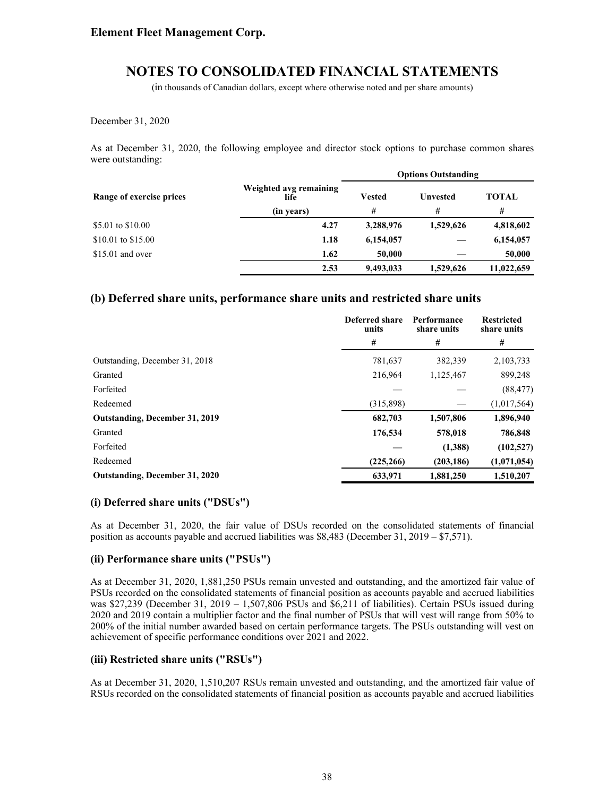(in thousands of Canadian dollars, except where otherwise noted and per share amounts)

December 31, 2020

As at December 31, 2020, the following employee and director stock options to purchase common shares were outstanding:

|                          |                                | <b>Options Outstanding</b> |           |              |  |
|--------------------------|--------------------------------|----------------------------|-----------|--------------|--|
| Range of exercise prices | Weighted avg remaining<br>life | <b>Vested</b>              | Unvested  | <b>TOTAL</b> |  |
|                          | (in years)                     | #                          | #         | #            |  |
| \$5.01 to \$10.00        | 4.27                           | 3,288,976                  | 1,529,626 | 4,818,602    |  |
| \$10.01 to \$15.00       | 1.18                           | 6,154,057                  |           | 6,154,057    |  |
| $$15.01$ and over        | 1.62                           | 50,000                     |           | 50,000       |  |
|                          | 2.53                           | 9,493,033                  | 1,529,626 | 11,022,659   |  |

### **(b) Deferred share units, performance share units and restricted share units**

|                                       | Deferred share<br>units | Performance<br>share units | <b>Restricted</b><br>share units |
|---------------------------------------|-------------------------|----------------------------|----------------------------------|
|                                       | #                       | #                          | #                                |
| Outstanding, December 31, 2018        | 781,637                 | 382,339                    | 2,103,733                        |
| Granted                               | 216,964                 | 1,125,467                  | 899,248                          |
| Forfeited                             |                         |                            | (88, 477)                        |
| Redeemed                              | (315,898)               |                            | (1,017,564)                      |
| <b>Outstanding, December 31, 2019</b> | 682,703                 | 1,507,806                  | 1,896,940                        |
| Granted                               | 176,534                 | 578,018                    | 786,848                          |
| Forfeited                             |                         | (1,388)                    | (102, 527)                       |
| Redeemed                              | (225, 266)              | (203, 186)                 | (1,071,054)                      |
| <b>Outstanding, December 31, 2020</b> | 633,971                 | 1,881,250                  | 1,510,207                        |

### **(i) Deferred share units ("DSUs")**

As at December 31, 2020, the fair value of DSUs recorded on the consolidated statements of financial position as accounts payable and accrued liabilities was \$8,483 (December 31, 2019 – \$7,571).

### **(ii) Performance share units ("PSUs")**

As at December 31, 2020, 1,881,250 PSUs remain unvested and outstanding, and the amortized fair value of PSUs recorded on the consolidated statements of financial position as accounts payable and accrued liabilities was \$27,239 (December 31, 2019 – 1,507,806 PSUs and \$6,211 of liabilities). Certain PSUs issued during 2020 and 2019 contain a multiplier factor and the final number of PSUs that will vest will range from 50% to 200% of the initial number awarded based on certain performance targets. The PSUs outstanding will vest on achievement of specific performance conditions over 2021 and 2022.

### **(iii) Restricted share units ("RSUs")**

As at December 31, 2020, 1,510,207 RSUs remain unvested and outstanding, and the amortized fair value of RSUs recorded on the consolidated statements of financial position as accounts payable and accrued liabilities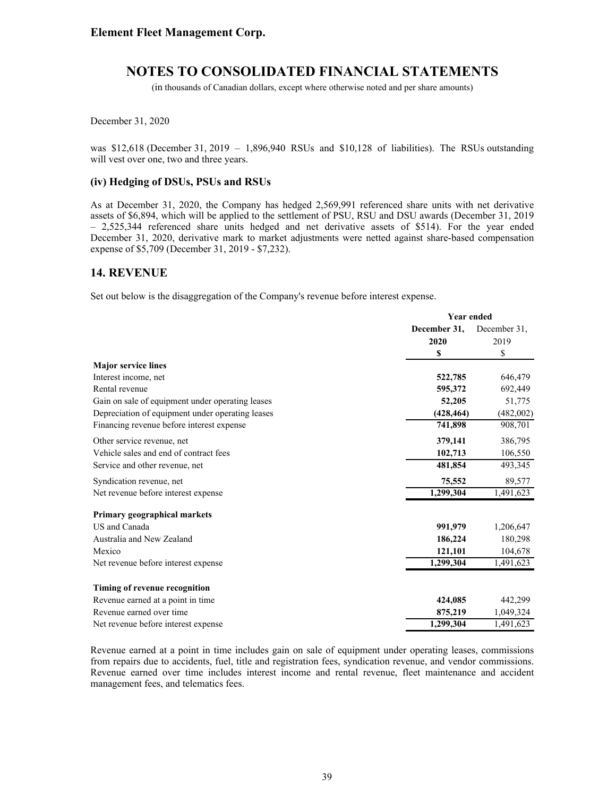(in thousands of Canadian dollars, except where otherwise noted and per share amounts)

December 31, 2020

was \$12,618 (December 31, 2019 – 1,896,940 RSUs and \$10,128 of liabilities). The RSUs outstanding will vest over one, two and three years.

### **(iv) Hedging of DSUs, PSUs and RSUs**

As at December 31, 2020, the Company has hedged 2,569,991 referenced share units with net derivative assets of \$6,894, which will be applied to the settlement of PSU, RSU and DSU awards (December 31, 2019 – 2,525,344 referenced share units hedged and net derivative assets of \$514). For the year ended December 31, 2020, derivative mark to market adjustments were netted against share-based compensation expense of \$5,709 (December 31, 2019 - \$7,232).

### **14. REVENUE**

Set out below is the disaggregation of the Company's revenue before interest expense.

|                                                  | <b>Year ended</b> |              |  |
|--------------------------------------------------|-------------------|--------------|--|
|                                                  | December 31,      | December 31, |  |
|                                                  | 2020              | 2019         |  |
|                                                  | S                 | \$           |  |
| <b>Major service lines</b>                       |                   |              |  |
| Interest income, net                             | 522,785           | 646,479      |  |
| Rental revenue                                   | 595,372           | 692,449      |  |
| Gain on sale of equipment under operating leases | 52,205            | 51,775       |  |
| Depreciation of equipment under operating leases | (428, 464)        | (482,002)    |  |
| Financing revenue before interest expense        | 741,898           | 908,701      |  |
| Other service revenue, net                       | 379,141           | 386,795      |  |
| Vehicle sales and end of contract fees           | 102,713           | 106,550      |  |
| Service and other revenue, net                   | 481,854           | 493,345      |  |
| Syndication revenue, net                         | 75,552            | 89,577       |  |
| Net revenue before interest expense              | 1,299,304         | 1,491,623    |  |
| <b>Primary geographical markets</b>              |                   |              |  |
| US and Canada                                    | 991,979           | 1,206,647    |  |
| Australia and New Zealand                        | 186,224           | 180,298      |  |
| Mexico                                           | 121,101           | 104,678      |  |
| Net revenue before interest expense              | 1,299,304         | 1,491,623    |  |
| Timing of revenue recognition                    |                   |              |  |
| Revenue earned at a point in time                | 424,085           | 442,299      |  |
| Revenue earned over time                         | 875,219           | 1,049,324    |  |
| Net revenue before interest expense              | 1,299,304         | 1,491,623    |  |

Revenue earned at a point in time includes gain on sale of equipment under operating leases, commissions from repairs due to accidents, fuel, title and registration fees, syndication revenue, and vendor commissions. Revenue earned over time includes interest income and rental revenue, fleet maintenance and accident management fees, and telematics fees.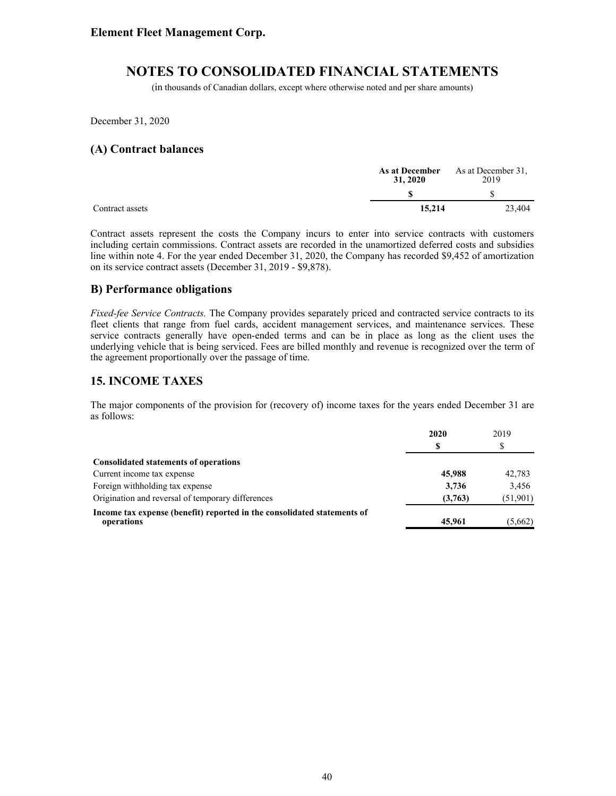(in thousands of Canadian dollars, except where otherwise noted and per share amounts)

December 31, 2020

### **(A) Contract balances**

|                 | As at December<br>31, 2020 | As at December 31.<br>2019 |
|-----------------|----------------------------|----------------------------|
|                 |                            |                            |
| Contract assets | 15,214                     | 23,404                     |

Contract assets represent the costs the Company incurs to enter into service contracts with customers including certain commissions. Contract assets are recorded in the unamortized deferred costs and subsidies line within note 4. For the year ended December 31, 2020, the Company has recorded \$9,452 of amortization on its service contract assets (December 31, 2019 - \$9,878).

### **B) Performance obligations**

*Fixed-fee Service Contracts.* The Company provides separately priced and contracted service contracts to its fleet clients that range from fuel cards, accident management services, and maintenance services. These service contracts generally have open-ended terms and can be in place as long as the client uses the underlying vehicle that is being serviced. Fees are billed monthly and revenue is recognized over the term of the agreement proportionally over the passage of time.

### **15. INCOME TAXES**

The major components of the provision for (recovery of) income taxes for the years ended December 31 are as follows:

|                                                                                       | 2020    | 2019     |
|---------------------------------------------------------------------------------------|---------|----------|
|                                                                                       | S       |          |
| <b>Consolidated statements of operations</b>                                          |         |          |
| Current income tax expense                                                            | 45,988  | 42,783   |
| Foreign withholding tax expense                                                       | 3,736   | 3,456    |
| Origination and reversal of temporary differences                                     | (3,763) | (51,901) |
| Income tax expense (benefit) reported in the consolidated statements of<br>operations | 45,961  | (5,662)  |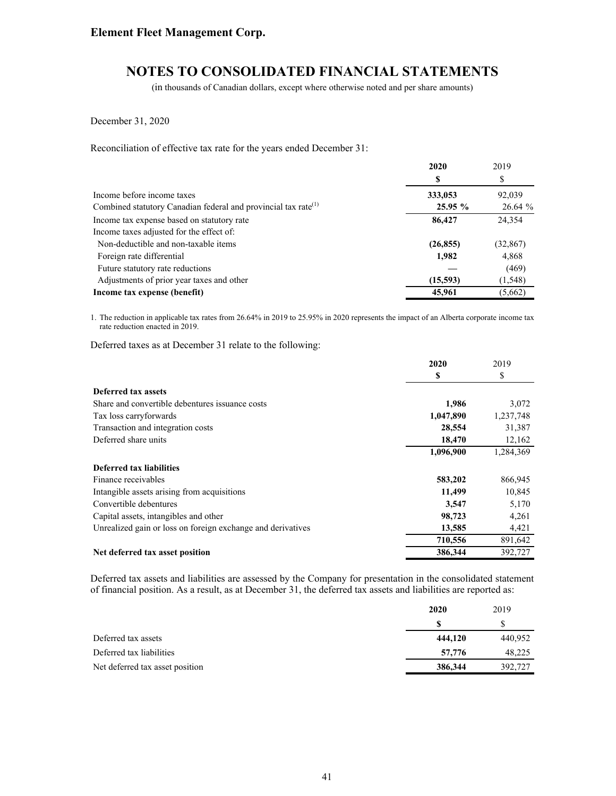### **Element Fleet Management Corp.**

## **NOTES TO CONSOLIDATED FINANCIAL STATEMENTS**

(in thousands of Canadian dollars, except where otherwise noted and per share amounts)

December 31, 2020

Reconciliation of effective tax rate for the years ended December 31:

|                                                                            | 2020      | 2019      |
|----------------------------------------------------------------------------|-----------|-----------|
|                                                                            | \$        |           |
| Income before income taxes                                                 | 333,053   | 92,039    |
| Combined statutory Canadian federal and provincial tax rate <sup>(1)</sup> | 25.95%    | 26.64 %   |
| Income tax expense based on statutory rate                                 | 86,427    | 24,354    |
| Income taxes adjusted for the effect of:                                   |           |           |
| Non-deductible and non-taxable items                                       | (26, 855) | (32, 867) |
| Foreign rate differential                                                  | 1,982     | 4,868     |
| Future statutory rate reductions                                           |           | (469)     |
| Adjustments of prior year taxes and other                                  | (15,593)  | (1, 548)  |
| Income tax expense (benefit)                                               | 45,961    | (5,662)   |

1. The reduction in applicable tax rates from 26.64% in 2019 to 25.95% in 2020 represents the impact of an Alberta corporate income tax rate reduction enacted in 2019.

Deferred taxes as at December 31 relate to the following:

|                                                             | 2020      | 2019      |
|-------------------------------------------------------------|-----------|-----------|
|                                                             | S         | \$        |
| Deferred tax assets                                         |           |           |
| Share and convertible debentures issuance costs             | 1,986     | 3,072     |
| Tax loss carryforwards                                      | 1,047,890 | 1,237,748 |
| Transaction and integration costs                           | 28,554    | 31,387    |
| Deferred share units                                        | 18,470    | 12,162    |
|                                                             | 1,096,900 | 1,284,369 |
| <b>Deferred tax liabilities</b>                             |           |           |
| Finance receivables                                         | 583,202   | 866,945   |
| Intangible assets arising from acquisitions                 | 11,499    | 10,845    |
| Convertible debentures                                      | 3,547     | 5,170     |
| Capital assets, intangibles and other                       | 98,723    | 4,261     |
| Unrealized gain or loss on foreign exchange and derivatives | 13,585    | 4,421     |
|                                                             | 710,556   | 891,642   |
| Net deferred tax asset position                             | 386,344   | 392,727   |

Deferred tax assets and liabilities are assessed by the Company for presentation in the consolidated statement of financial position. As a result, as at December 31, the deferred tax assets and liabilities are reported as:

|                                 | 2020    | 2019    |
|---------------------------------|---------|---------|
|                                 |         |         |
| Deferred tax assets             | 444,120 | 440,952 |
| Deferred tax liabilities        | 57,776  | 48,225  |
| Net deferred tax asset position | 386,344 | 392,727 |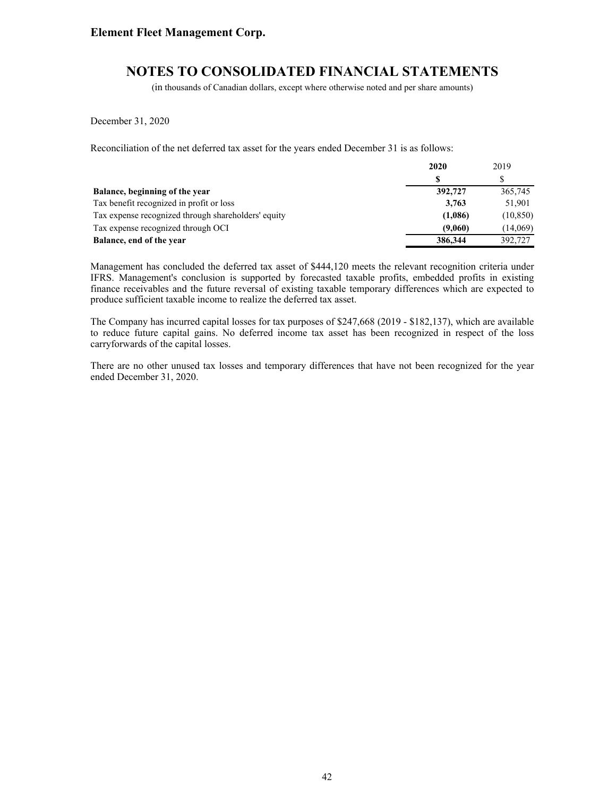(in thousands of Canadian dollars, except where otherwise noted and per share amounts)

December 31, 2020

Reconciliation of the net deferred tax asset for the years ended December 31 is as follows:

|                                                     | 2020    | 2019      |
|-----------------------------------------------------|---------|-----------|
|                                                     | \$      |           |
| Balance, beginning of the year                      | 392,727 | 365,745   |
| Tax benefit recognized in profit or loss            | 3.763   | 51,901    |
| Tax expense recognized through shareholders' equity | (1,086) | (10, 850) |
| Tax expense recognized through OCI                  | (9,060) | (14,069)  |
| Balance, end of the year                            | 386,344 | 392,727   |

Management has concluded the deferred tax asset of \$444,120 meets the relevant recognition criteria under IFRS. Management's conclusion is supported by forecasted taxable profits, embedded profits in existing finance receivables and the future reversal of existing taxable temporary differences which are expected to produce sufficient taxable income to realize the deferred tax asset.

The Company has incurred capital losses for tax purposes of \$247,668 (2019 - \$182,137), which are available to reduce future capital gains. No deferred income tax asset has been recognized in respect of the loss carryforwards of the capital losses.

There are no other unused tax losses and temporary differences that have not been recognized for the year ended December 31, 2020.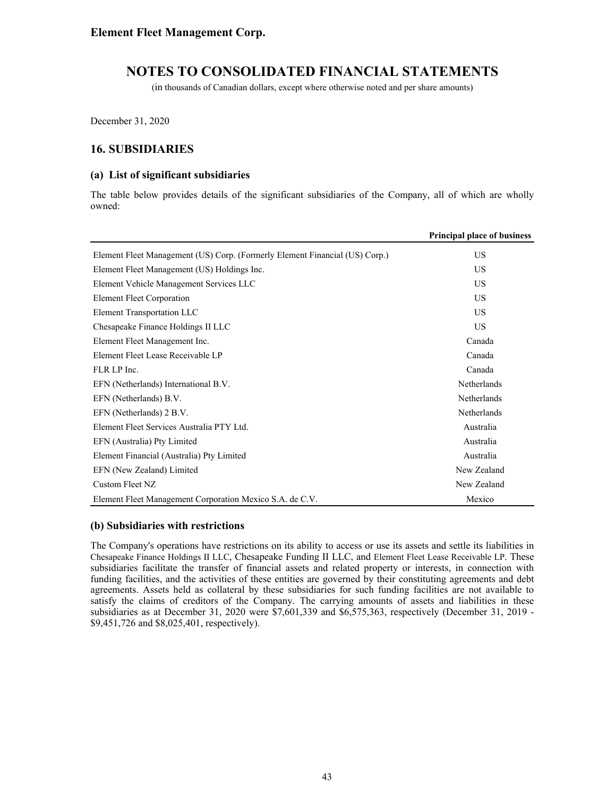(in thousands of Canadian dollars, except where otherwise noted and per share amounts)

December 31, 2020

### **16. SUBSIDIARIES**

### **(a) List of significant subsidiaries**

The table below provides details of the significant subsidiaries of the Company, all of which are wholly owned:

|                                                                             | <b>Principal place of business</b> |
|-----------------------------------------------------------------------------|------------------------------------|
| Element Fleet Management (US) Corp. (Formerly Element Financial (US) Corp.) | US                                 |
| Element Fleet Management (US) Holdings Inc.                                 | US                                 |
| Element Vehicle Management Services LLC                                     | <b>US</b>                          |
| <b>Element Fleet Corporation</b>                                            | <b>US</b>                          |
| Element Transportation LLC                                                  | <b>US</b>                          |
| Chesapeake Finance Holdings II LLC                                          | <b>US</b>                          |
| Element Fleet Management Inc.                                               | Canada                             |
| Element Fleet Lease Receivable LP                                           | Canada                             |
| FLR LP Inc.                                                                 | Canada                             |
| EFN (Netherlands) International B.V.                                        | Netherlands                        |
| EFN (Netherlands) B.V.                                                      | Netherlands                        |
| EFN (Netherlands) 2 B.V.                                                    | Netherlands                        |
| Element Fleet Services Australia PTY Ltd.                                   | Australia                          |
| EFN (Australia) Pty Limited                                                 | Australia                          |
| Element Financial (Australia) Pty Limited                                   | Australia                          |
| EFN (New Zealand) Limited                                                   | New Zealand                        |
| Custom Fleet NZ                                                             | New Zealand                        |
| Element Fleet Management Corporation Mexico S.A. de C.V.                    | Mexico                             |

#### **(b) Subsidiaries with restrictions**

The Company's operations have restrictions on its ability to access or use its assets and settle its liabilities in Chesapeake Finance Holdings II LLC, Chesapeake Funding II LLC, and Element Fleet Lease Receivable LP. These subsidiaries facilitate the transfer of financial assets and related property or interests, in connection with funding facilities, and the activities of these entities are governed by their constituting agreements and debt agreements. Assets held as collateral by these subsidiaries for such funding facilities are not available to satisfy the claims of creditors of the Company. The carrying amounts of assets and liabilities in these subsidiaries as at December 31, 2020 were \$7,601,339 and \$6,575,363, respectively (December 31, 2019 - \$9,451,726 and \$8,025,401, respectively).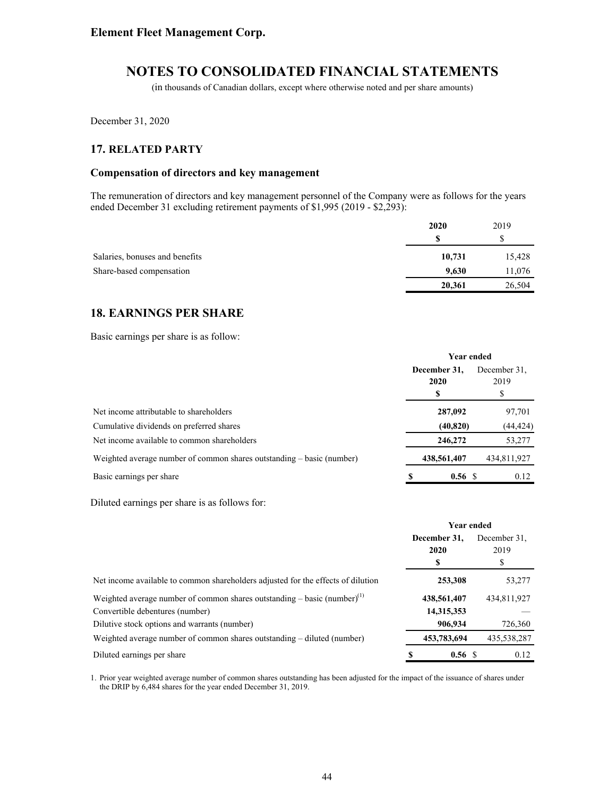(in thousands of Canadian dollars, except where otherwise noted and per share amounts)

December 31, 2020

### **17. RELATED PARTY**

#### **Compensation of directors and key management**

The remuneration of directors and key management personnel of the Company were as follows for the years ended December 31 excluding retirement payments of \$1,995 (2019 - \$2,293):

|                                | 2020   | 2019   |
|--------------------------------|--------|--------|
|                                | S      |        |
| Salaries, bonuses and benefits | 10,731 | 15,428 |
| Share-based compensation       | 9.630  | 11,076 |
|                                | 20,361 | 26,504 |

### **18. EARNINGS PER SHARE**

Basic earnings per share is as follow:

|                                                                       | Year ended   |                   |              |
|-----------------------------------------------------------------------|--------------|-------------------|--------------|
|                                                                       | December 31, |                   | December 31. |
|                                                                       |              | 2020              | 2019         |
|                                                                       |              | S                 |              |
| Net income attributable to shareholders                               |              | 287,092           | 97,701       |
| Cumulative dividends on preferred shares                              |              | (40, 820)         | (44, 424)    |
| Net income available to common shareholders                           |              | 246,272           | 53,277       |
| Weighted average number of common shares outstanding – basic (number) |              | 438,561,407       | 434,811,927  |
| Basic earnings per share                                              |              | 0.56 <sub>5</sub> | 0.12         |

Diluted earnings per share is as follows for:

|                                                                                      | <b>Year ended</b>    |             |  |                      |
|--------------------------------------------------------------------------------------|----------------------|-------------|--|----------------------|
|                                                                                      | December 31,<br>2020 |             |  | December 31.<br>2019 |
|                                                                                      |                      | S           |  | S                    |
| Net income available to common shareholders adjusted for the effects of dilution     |                      | 253,308     |  | 53,277               |
| Weighted average number of common shares outstanding – basic (number) <sup>(1)</sup> |                      | 438,561,407 |  | 434,811,927          |
| Convertible debentures (number)                                                      |                      | 14,315,353  |  |                      |
| Dilutive stock options and warrants (number)                                         |                      | 906,934     |  | 726,360              |
| Weighted average number of common shares outstanding – diluted (number)              |                      | 453,783,694 |  | 435,538,287          |
| Diluted earnings per share                                                           | S                    | 0.56 S      |  | 0.12                 |

1. Prior year weighted average number of common shares outstanding has been adjusted for the impact of the issuance of shares under the DRIP by 6,484 shares for the year ended December 31, 2019.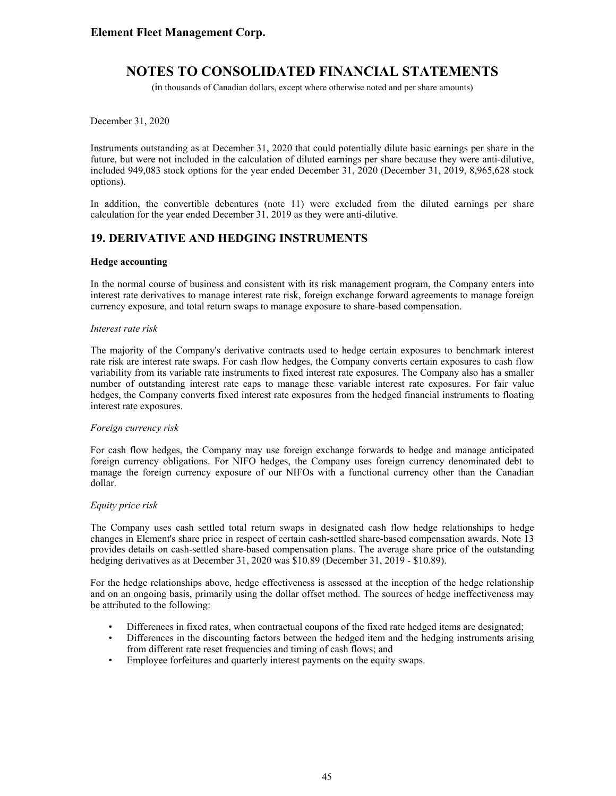(in thousands of Canadian dollars, except where otherwise noted and per share amounts)

December 31, 2020

Instruments outstanding as at December 31, 2020 that could potentially dilute basic earnings per share in the future, but were not included in the calculation of diluted earnings per share because they were anti-dilutive, included 949,083 stock options for the year ended December 31, 2020 (December 31, 2019, 8,965,628 stock options).

In addition, the convertible debentures (note 11) were excluded from the diluted earnings per share calculation for the year ended December 31, 2019 as they were anti-dilutive.

### **19. DERIVATIVE AND HEDGING INSTRUMENTS**

#### **Hedge accounting**

In the normal course of business and consistent with its risk management program, the Company enters into interest rate derivatives to manage interest rate risk, foreign exchange forward agreements to manage foreign currency exposure, and total return swaps to manage exposure to share-based compensation.

#### *Interest rate risk*

The majority of the Company's derivative contracts used to hedge certain exposures to benchmark interest rate risk are interest rate swaps. For cash flow hedges, the Company converts certain exposures to cash flow variability from its variable rate instruments to fixed interest rate exposures. The Company also has a smaller number of outstanding interest rate caps to manage these variable interest rate exposures. For fair value hedges, the Company converts fixed interest rate exposures from the hedged financial instruments to floating interest rate exposures.

#### *Foreign currency risk*

For cash flow hedges, the Company may use foreign exchange forwards to hedge and manage anticipated foreign currency obligations. For NIFO hedges, the Company uses foreign currency denominated debt to manage the foreign currency exposure of our NIFOs with a functional currency other than the Canadian dollar.

#### *Equity price risk*

The Company uses cash settled total return swaps in designated cash flow hedge relationships to hedge changes in Element's share price in respect of certain cash-settled share-based compensation awards. Note 13 provides details on cash-settled share-based compensation plans. The average share price of the outstanding hedging derivatives as at December 31, 2020 was \$10.89 (December 31, 2019 - \$10.89).

For the hedge relationships above, hedge effectiveness is assessed at the inception of the hedge relationship and on an ongoing basis, primarily using the dollar offset method. The sources of hedge ineffectiveness may be attributed to the following:

- Differences in fixed rates, when contractual coupons of the fixed rate hedged items are designated;
- Differences in the discounting factors between the hedged item and the hedging instruments arising from different rate reset frequencies and timing of cash flows; and
- Employee forfeitures and quarterly interest payments on the equity swaps.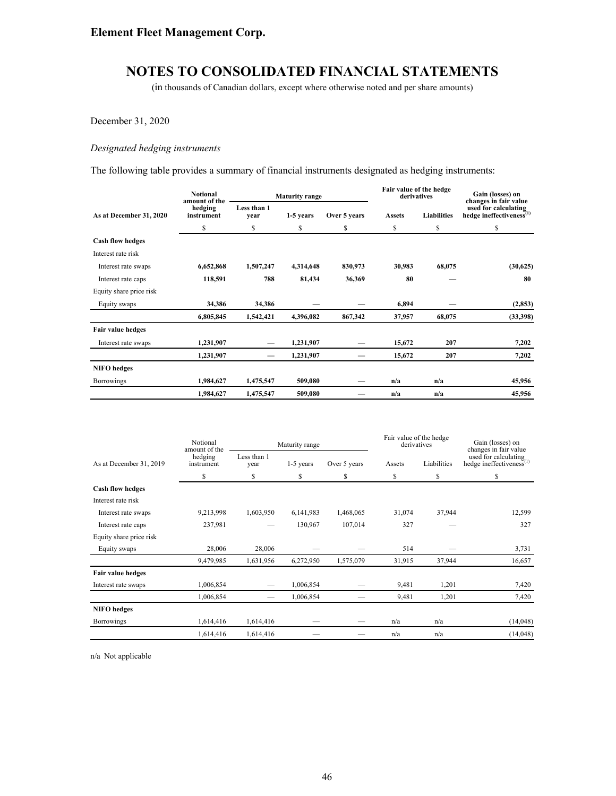(in thousands of Canadian dollars, except where otherwise noted and per share amounts)

December 31, 2020

#### *Designated hedging instruments*

The following table provides a summary of financial instruments designated as hedging instruments:

|                          | <b>Notional</b><br>amount of the |                     | <b>Maturity range</b> |              |               | Fair value of the hedge<br>derivatives | Gain (losses) on<br>changes in fair value                    |  |
|--------------------------|----------------------------------|---------------------|-----------------------|--------------|---------------|----------------------------------------|--------------------------------------------------------------|--|
| As at December 31, 2020  | hedging<br>instrument            | Less than 1<br>vear | 1-5 years             | Over 5 years | <b>Assets</b> | <b>Liabilities</b>                     | used for calculating<br>hedge ineffectiveness <sup>(1)</sup> |  |
|                          | \$                               | S                   | \$                    | S            | \$            | \$                                     | \$                                                           |  |
| <b>Cash flow hedges</b>  |                                  |                     |                       |              |               |                                        |                                                              |  |
| Interest rate risk       |                                  |                     |                       |              |               |                                        |                                                              |  |
| Interest rate swaps      | 6,652,868                        | 1,507,247           | 4,314,648             | 830,973      | 30,983        | 68,075                                 | (30,625)                                                     |  |
| Interest rate caps       | 118,591                          | 788                 | 81,434                | 36,369       | 80            |                                        | 80                                                           |  |
| Equity share price risk  |                                  |                     |                       |              |               |                                        |                                                              |  |
| Equity swaps             | 34,386                           | 34,386              |                       |              | 6,894         |                                        | (2,853)                                                      |  |
|                          | 6,805,845                        | 1,542,421           | 4,396,082             | 867,342      | 37,957        | 68,075                                 | (33,398)                                                     |  |
| <b>Fair value hedges</b> |                                  |                     |                       |              |               |                                        |                                                              |  |
| Interest rate swaps      | 1,231,907                        |                     | 1,231,907             |              | 15,672        | 207                                    | 7,202                                                        |  |
|                          | 1,231,907                        |                     | 1,231,907             |              | 15,672        | 207                                    | 7,202                                                        |  |
| <b>NIFO</b> hedges       |                                  |                     |                       |              |               |                                        |                                                              |  |
| <b>Borrowings</b>        | 1,984,627                        | 1,475,547           | 509,080               |              | n/a           | n/a                                    | 45,956                                                       |  |
|                          | 1,984,627                        | 1,475,547           | 509,080               |              | n/a           | n/a                                    | 45,956                                                       |  |

|                         | Notional<br>amount of the | Fair value of the hedge<br>Maturity range<br>derivatives |           |              |                       |        |                                                        | Gain (losses) on<br>changes in fair value |
|-------------------------|---------------------------|----------------------------------------------------------|-----------|--------------|-----------------------|--------|--------------------------------------------------------|-------------------------------------------|
| As at December 31, 2019 | hedging<br>instrument     | Less than 1<br>year                                      | 1-5 years | Over 5 years | Liabilities<br>Assets |        | used for calculating<br>hedge ineffectiveness $^{(1)}$ |                                           |
|                         | \$                        | \$                                                       | \$        | \$           | \$                    | \$     | \$                                                     |                                           |
| <b>Cash flow hedges</b> |                           |                                                          |           |              |                       |        |                                                        |                                           |
| Interest rate risk      |                           |                                                          |           |              |                       |        |                                                        |                                           |
| Interest rate swaps     | 9,213,998                 | 1,603,950                                                | 6,141,983 | 1,468,065    | 31,074                | 37,944 | 12,599                                                 |                                           |
| Interest rate caps      | 237,981                   |                                                          | 130,967   | 107,014      | 327                   |        | 327                                                    |                                           |
| Equity share price risk |                           |                                                          |           |              |                       |        |                                                        |                                           |
| Equity swaps            | 28,006                    | 28,006                                                   |           |              | 514                   |        | 3,731                                                  |                                           |
|                         | 9,479,985                 | 1,631,956                                                | 6,272,950 | 1,575,079    | 31,915                | 37,944 | 16,657                                                 |                                           |
| Fair value hedges       |                           |                                                          |           |              |                       |        |                                                        |                                           |
| Interest rate swaps     | 1,006,854                 |                                                          | 1,006,854 |              | 9,481                 | 1,201  | 7,420                                                  |                                           |
|                         | 1,006,854                 |                                                          | 1,006,854 |              | 9,481                 | 1,201  | 7,420                                                  |                                           |
| <b>NIFO</b> hedges      |                           |                                                          |           |              |                       |        |                                                        |                                           |
| <b>Borrowings</b>       | 1,614,416                 | 1,614,416                                                |           |              | n/a                   | n/a    | (14,048)                                               |                                           |
|                         | 1,614,416                 | 1,614,416                                                |           |              | n/a                   | n/a    | (14, 048)                                              |                                           |

n/a Not applicable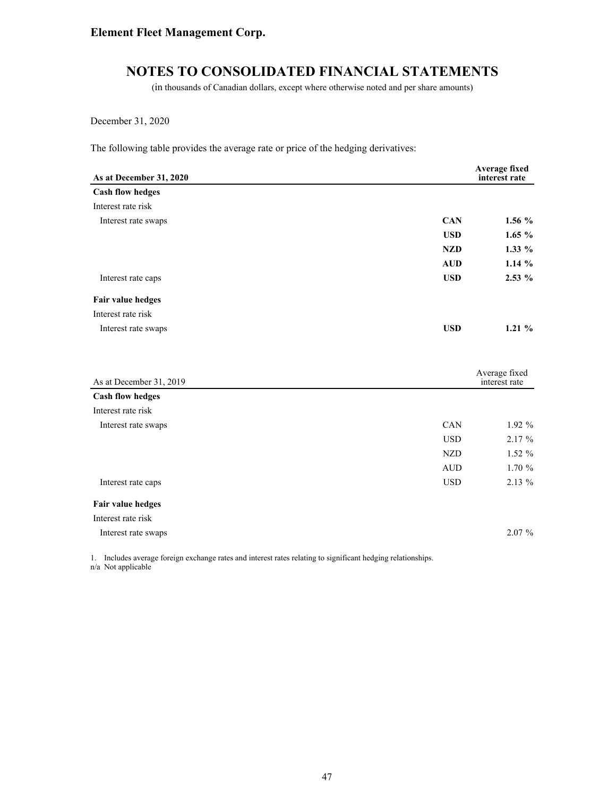## **Element Fleet Management Corp.**

## **NOTES TO CONSOLIDATED FINANCIAL STATEMENTS**

(in thousands of Canadian dollars, except where otherwise noted and per share amounts)

December 31, 2020

The following table provides the average rate or price of the hedging derivatives:

| As at December 31, 2020 |            | Average fixed<br>interest rate |
|-------------------------|------------|--------------------------------|
| <b>Cash flow hedges</b> |            |                                |
| Interest rate risk      |            |                                |
| Interest rate swaps     | <b>CAN</b> | 1.56 $%$                       |
|                         | <b>USD</b> | 1.65%                          |
|                         | <b>NZD</b> | $1.33\%$                       |
|                         | <b>AUD</b> | 1.14%                          |
| Interest rate caps      | <b>USD</b> | $2.53\%$                       |
| Fair value hedges       |            |                                |
| Interest rate risk      |            |                                |
| Interest rate swaps     | <b>USD</b> | $1.21 \%$                      |
| As at December 31, 2019 |            | Average fixed<br>interest rate |
| <b>Cash flow hedges</b> |            |                                |
| Interest rate risk      |            |                                |
| Interest rate swaps     | CAN        | $1.92\%$                       |
|                         | <b>USD</b> | 2.17 %                         |
|                         | <b>NZD</b> | $1.52 \%$                      |
|                         | <b>AUD</b> | $1.70 \%$                      |
| Interest rate caps      | <b>USD</b> | $2.13 \%$                      |
| Fair value hedges       |            |                                |
| Interest rate risk      |            |                                |
| Interest rate swaps     |            | $2.07\%$                       |

1. Includes average foreign exchange rates and interest rates relating to significant hedging relationships.

n/a Not applicable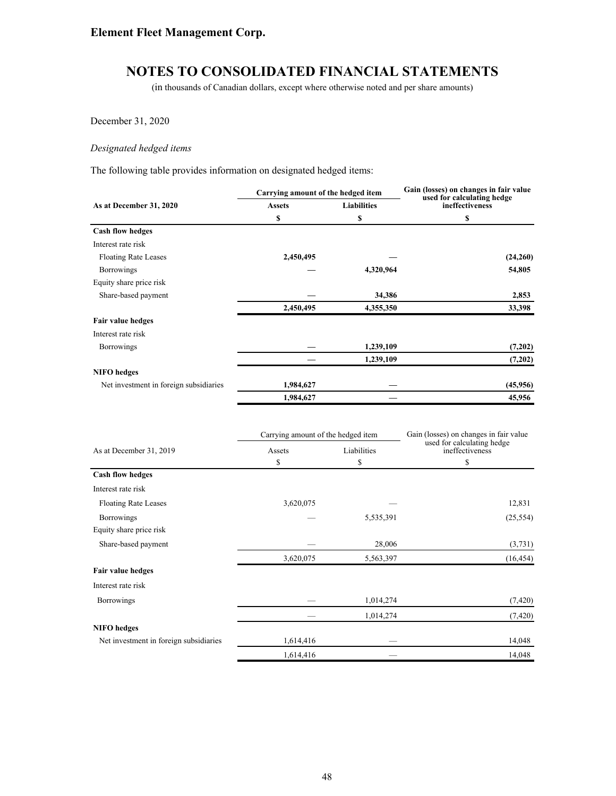(in thousands of Canadian dollars, except where otherwise noted and per share amounts)

December 31, 2020

### *Designated hedged items*

The following table provides information on designated hedged items:

|                                        | Carrying amount of the hedged item |                    | Gain (losses) on changes in fair value<br>used for calculating hedge |  |  |
|----------------------------------------|------------------------------------|--------------------|----------------------------------------------------------------------|--|--|
| As at December 31, 2020                | <b>Assets</b>                      | <b>Liabilities</b> | ineffectiveness                                                      |  |  |
|                                        | \$                                 | \$                 | \$                                                                   |  |  |
| <b>Cash flow hedges</b>                |                                    |                    |                                                                      |  |  |
| Interest rate risk                     |                                    |                    |                                                                      |  |  |
| <b>Floating Rate Leases</b>            | 2,450,495                          |                    | (24,260)                                                             |  |  |
| <b>Borrowings</b>                      |                                    | 4,320,964          | 54,805                                                               |  |  |
| Equity share price risk                |                                    |                    |                                                                      |  |  |
| Share-based payment                    |                                    | 34,386             | 2,853                                                                |  |  |
|                                        | 2,450,495                          | 4,355,350          | 33,398                                                               |  |  |
| Fair value hedges                      |                                    |                    |                                                                      |  |  |
| Interest rate risk                     |                                    |                    |                                                                      |  |  |
| <b>Borrowings</b>                      |                                    | 1,239,109          | (7,202)                                                              |  |  |
|                                        |                                    | 1,239,109          | (7,202)                                                              |  |  |
| <b>NIFO</b> hedges                     |                                    |                    |                                                                      |  |  |
| Net investment in foreign subsidiaries | 1,984,627                          |                    | (45,956)                                                             |  |  |
|                                        | 1,984,627                          |                    | 45,956                                                               |  |  |
|                                        |                                    |                    |                                                                      |  |  |
|                                        | Carrying amount of the hedged item |                    | Gain (losses) on changes in fair value<br>$10^{7} - 11^{7} - 11$     |  |  |

| As at December 31, 2019                | Assets    | Liabilities | used for calculating hedge<br>ineffectiveness |  |
|----------------------------------------|-----------|-------------|-----------------------------------------------|--|
|                                        | \$        | \$          | \$                                            |  |
| <b>Cash flow hedges</b>                |           |             |                                               |  |
| Interest rate risk                     |           |             |                                               |  |
| <b>Floating Rate Leases</b>            | 3,620,075 |             | 12,831                                        |  |
| Borrowings                             |           | 5,535,391   | (25, 554)                                     |  |
| Equity share price risk                |           |             |                                               |  |
| Share-based payment                    |           | 28,006      | (3, 731)                                      |  |
|                                        | 3,620,075 | 5,563,397   | (16, 454)                                     |  |
| Fair value hedges                      |           |             |                                               |  |
| Interest rate risk                     |           |             |                                               |  |
| <b>Borrowings</b>                      |           | 1,014,274   | (7, 420)                                      |  |
|                                        |           | 1,014,274   | (7, 420)                                      |  |
| <b>NIFO</b> hedges                     |           |             |                                               |  |
| Net investment in foreign subsidiaries | 1,614,416 |             | 14,048                                        |  |
|                                        | 1,614,416 |             | 14,048                                        |  |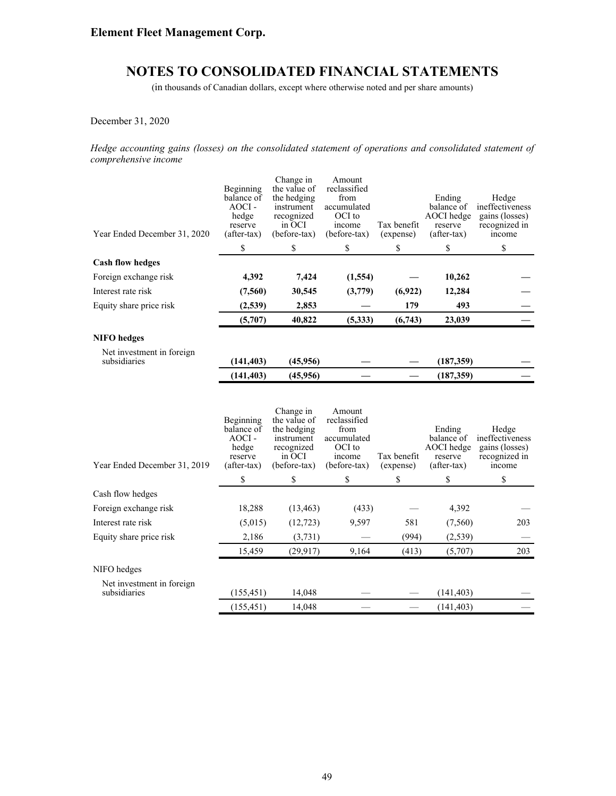(in thousands of Canadian dollars, except where otherwise noted and per share amounts)

December 31, 2020

*Hedge accounting gains (losses) on the consolidated statement of operations and consolidated statement of comprehensive income*

| Year Ended December 31, 2020              | Beginning<br>balance of<br>AOCI-<br>hedge<br>reserve<br>$(after-tax)$ | Change in<br>the value of<br>the hedging<br>instrument<br>recognized<br>in OCI<br>(before-tax) | Amount<br>reclassified<br>from<br>accumulated<br>OCI to<br>income<br>(before-tax) | Tax benefit<br>(expense) | Ending<br>balance of<br>AOCI hedge<br>reserve<br>$(after-tax)$ | Hedge<br>ineffectiveness<br>gains (losses)<br>recognized in<br>income |
|-------------------------------------------|-----------------------------------------------------------------------|------------------------------------------------------------------------------------------------|-----------------------------------------------------------------------------------|--------------------------|----------------------------------------------------------------|-----------------------------------------------------------------------|
|                                           | \$                                                                    | \$                                                                                             | \$                                                                                | \$                       | $\$$                                                           | \$                                                                    |
| <b>Cash flow hedges</b>                   |                                                                       |                                                                                                |                                                                                   |                          |                                                                |                                                                       |
| Foreign exchange risk                     | 4,392                                                                 | 7,424                                                                                          | (1, 554)                                                                          |                          | 10,262                                                         |                                                                       |
| Interest rate risk                        | (7,560)                                                               | 30,545                                                                                         | (3,779)                                                                           | (6,922)                  | 12,284                                                         |                                                                       |
| Equity share price risk                   | (2,539)                                                               | 2,853                                                                                          |                                                                                   | 179                      | 493                                                            |                                                                       |
|                                           | (5,707)                                                               | 40,822                                                                                         | (5,333)                                                                           | (6,743)                  | 23,039                                                         |                                                                       |
| <b>NIFO</b> hedges                        |                                                                       |                                                                                                |                                                                                   |                          |                                                                |                                                                       |
| Net investment in foreign<br>subsidiaries | (141, 403)                                                            | (45,956)                                                                                       |                                                                                   |                          | (187, 359)                                                     |                                                                       |
|                                           | (141, 403)                                                            | (45,956)                                                                                       |                                                                                   |                          | (187, 359)                                                     |                                                                       |
| Year Ended December 31, 2019              | Beginning<br>balance of<br>AOCI-<br>hedge<br>reserve<br>$(after-tax)$ | Change in<br>the value of<br>the hedging<br>instrument<br>recognized<br>in OCI<br>(before-tax) | Amount<br>reclassified<br>from<br>accumulated<br>OCI to<br>income<br>(before-tax) | Tax benefit<br>(expense) | Ending<br>balance of<br>AOCI hedge<br>reserve<br>$(after-tax)$ | Hedge<br>ineffectiveness<br>gains (losses)<br>recognized in<br>income |
|                                           | \$                                                                    | \$                                                                                             | \$                                                                                | \$                       | \$                                                             | \$                                                                    |
| Cash flow hedges                          |                                                                       |                                                                                                |                                                                                   |                          |                                                                |                                                                       |
| Foreign exchange risk                     | 18,288                                                                | (13, 463)                                                                                      | (433)                                                                             |                          | 4,392                                                          |                                                                       |
| Interest rate risk                        | (5,015)                                                               | (12, 723)                                                                                      | 9,597                                                                             | 581                      | (7, 560)                                                       | 203                                                                   |
| Equity share price risk                   | 2,186                                                                 | (3, 731)                                                                                       |                                                                                   | (994)                    | (2, 539)                                                       |                                                                       |
|                                           | 15,459                                                                | (29, 917)                                                                                      | 9,164                                                                             | (413)                    | (5,707)                                                        | 203                                                                   |
| NIFO hedges                               |                                                                       |                                                                                                |                                                                                   |                          |                                                                |                                                                       |
| Net investment in foreign<br>subsidiaries | (155, 451)<br>(155, 451)                                              | 14,048<br>14,048                                                                               |                                                                                   |                          | (141, 403)<br>(141, 403)                                       |                                                                       |
|                                           |                                                                       |                                                                                                |                                                                                   |                          |                                                                |                                                                       |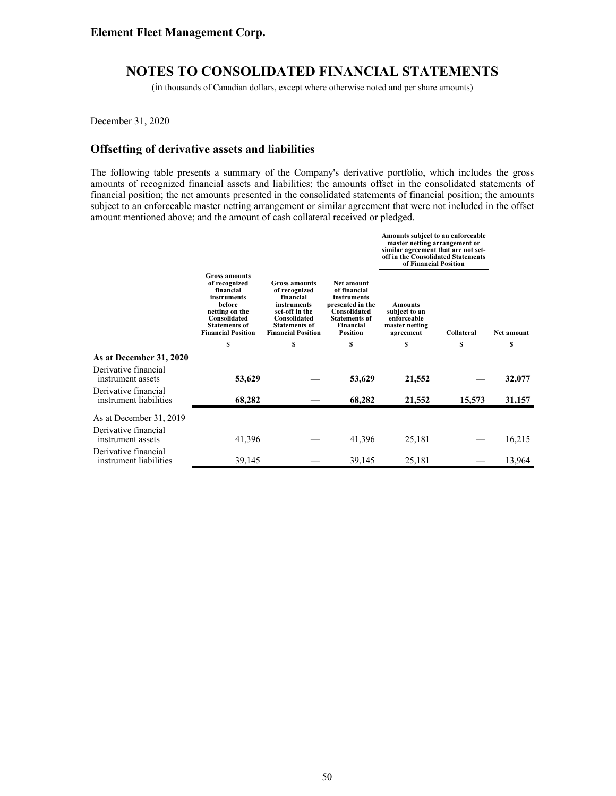(in thousands of Canadian dollars, except where otherwise noted and per share amounts)

December 31, 2020

### **Offsetting of derivative assets and liabilities**

The following table presents a summary of the Company's derivative portfolio, which includes the gross amounts of recognized financial assets and liabilities; the amounts offset in the consolidated statements of financial position; the net amounts presented in the consolidated statements of financial position; the amounts subject to an enforceable master netting arrangement or similar agreement that were not included in the offset amount mentioned above; and the amount of cash collateral received or pledged.

|                                                |                                                                                                                                                                    |                                                                                                                                                          |                                                                                                                                       | Amounts subject to an enforceable<br>master netting arrangement or<br>similar agreement that are not set-<br>off in the Consolidated Statements<br>of Financial Position |                   |                   |
|------------------------------------------------|--------------------------------------------------------------------------------------------------------------------------------------------------------------------|----------------------------------------------------------------------------------------------------------------------------------------------------------|---------------------------------------------------------------------------------------------------------------------------------------|--------------------------------------------------------------------------------------------------------------------------------------------------------------------------|-------------------|-------------------|
|                                                | <b>Gross amounts</b><br>of recognized<br>financial<br>instruments<br>before<br>netting on the<br>Consolidated<br><b>Statements of</b><br><b>Financial Position</b> | <b>Gross amounts</b><br>of recognized<br>financial<br>instruments<br>set-off in the<br>Consolidated<br><b>Statements of</b><br><b>Financial Position</b> | Net amount<br>of financial<br>instruments<br>presented in the<br>Consolidated<br><b>Statements of</b><br>Financial<br><b>Position</b> | <b>Amounts</b><br>subject to an<br>enforceable<br>master netting<br>agreement                                                                                            | <b>Collateral</b> | <b>Net amount</b> |
|                                                | S                                                                                                                                                                  | \$                                                                                                                                                       | \$                                                                                                                                    | \$                                                                                                                                                                       | \$                | \$                |
| As at December 31, 2020                        |                                                                                                                                                                    |                                                                                                                                                          |                                                                                                                                       |                                                                                                                                                                          |                   |                   |
| Derivative financial<br>instrument assets      | 53,629                                                                                                                                                             |                                                                                                                                                          | 53,629                                                                                                                                | 21,552                                                                                                                                                                   |                   | 32,077            |
| Derivative financial<br>instrument liabilities | 68,282                                                                                                                                                             |                                                                                                                                                          | 68,282                                                                                                                                | 21,552                                                                                                                                                                   | 15,573            | 31,157            |
| As at December 31, 2019                        |                                                                                                                                                                    |                                                                                                                                                          |                                                                                                                                       |                                                                                                                                                                          |                   |                   |
| Derivative financial<br>instrument assets      | 41,396                                                                                                                                                             |                                                                                                                                                          | 41,396                                                                                                                                | 25,181                                                                                                                                                                   |                   | 16,215            |
| Derivative financial<br>instrument liabilities | 39,145                                                                                                                                                             |                                                                                                                                                          | 39,145                                                                                                                                | 25,181                                                                                                                                                                   |                   | 13,964            |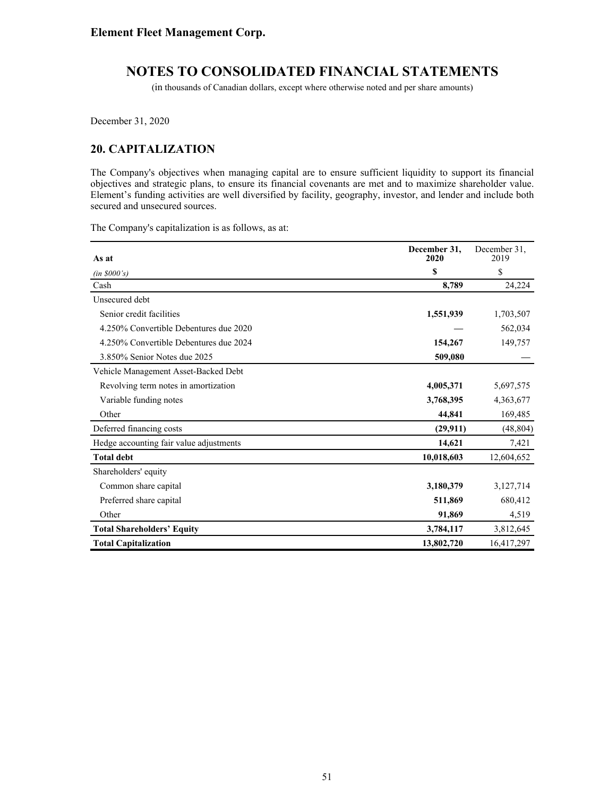(in thousands of Canadian dollars, except where otherwise noted and per share amounts)

December 31, 2020

### **20. CAPITALIZATION**

The Company's objectives when managing capital are to ensure sufficient liquidity to support its financial objectives and strategic plans, to ensure its financial covenants are met and to maximize shareholder value. Element's funding activities are well diversified by facility, geography, investor, and lender and include both secured and unsecured sources.

The Company's capitalization is as follows, as at:

| As at                                   | December 31,<br>2020 | December 31.<br>2019 |
|-----------------------------------------|----------------------|----------------------|
| (in \$000's)                            | \$                   | \$                   |
| Cash                                    | 8,789                | 24,224               |
| Unsecured debt                          |                      |                      |
| Senior credit facilities                | 1,551,939            | 1,703,507            |
| 4.250% Convertible Debentures due 2020  |                      | 562,034              |
| 4.250% Convertible Debentures due 2024  | 154,267              | 149,757              |
| 3.850% Senior Notes due 2025            | 509,080              |                      |
| Vehicle Management Asset-Backed Debt    |                      |                      |
| Revolving term notes in amortization    | 4,005,371            | 5,697,575            |
| Variable funding notes                  | 3,768,395            | 4,363,677            |
| Other                                   | 44,841               | 169,485              |
| Deferred financing costs                | (29, 911)            | (48, 804)            |
| Hedge accounting fair value adjustments | 14,621               | 7,421                |
| <b>Total debt</b>                       | 10,018,603           | 12,604,652           |
| Shareholders' equity                    |                      |                      |
| Common share capital                    | 3,180,379            | 3,127,714            |
| Preferred share capital                 | 511,869              | 680,412              |
| Other                                   | 91,869               | 4,519                |
| <b>Total Shareholders' Equity</b>       | 3,784,117            | 3,812,645            |
| <b>Total Capitalization</b>             | 13,802,720           | 16,417,297           |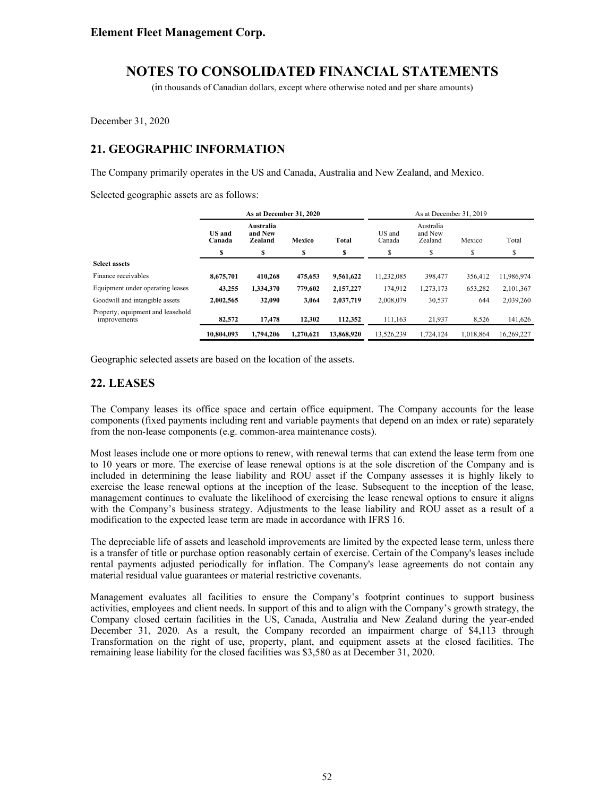(in thousands of Canadian dollars, except where otherwise noted and per share amounts)

December 31, 2020

## **21. GEOGRAPHIC INFORMATION**

The Company primarily operates in the US and Canada, Australia and New Zealand, and Mexico.

Selected geographic assets are as follows:

|                                                   | As at December 31, 2020                                           |           |                 |            | As at December 31, 2019 |                                 |           |            |
|---------------------------------------------------|-------------------------------------------------------------------|-----------|-----------------|------------|-------------------------|---------------------------------|-----------|------------|
|                                                   | <b>Australia</b><br><b>US</b> and<br>and New<br>Canada<br>Zealand |           | Total<br>Mexico |            | US and<br>Canada        | Australia<br>and New<br>Zealand | Mexico    | Total      |
|                                                   | \$                                                                | \$        | \$              | \$         | \$                      | S                               | \$        | \$         |
| <b>Select assets</b>                              |                                                                   |           |                 |            |                         |                                 |           |            |
| Finance receivables                               | 8,675,701                                                         | 410,268   | 475,653         | 9.561.622  | 11,232,085              | 398,477                         | 356.412   | 11,986,974 |
| Equipment under operating leases                  | 43,255                                                            | 1,334,370 | 779,602         | 2,157,227  | 174.912                 | 1,273,173                       | 653,282   | 2,101,367  |
| Goodwill and intangible assets                    | 2,002,565                                                         | 32,090    | 3,064           | 2,037,719  | 2,008,079               | 30,537                          | 644       | 2,039,260  |
| Property, equipment and leasehold<br>improvements | 82,572                                                            | 17,478    | 12.302          | 112,352    | 111,163                 | 21,937                          | 8,526     | 141,626    |
|                                                   | 10.804.093                                                        | 1,794,206 | 1.270.621       | 13.868.920 | 13,526,239              | 1.724.124                       | 1.018.864 | 16.269.227 |

Geographic selected assets are based on the location of the assets.

### **22. LEASES**

The Company leases its office space and certain office equipment. The Company accounts for the lease components (fixed payments including rent and variable payments that depend on an index or rate) separately from the non-lease components (e.g. common-area maintenance costs).

Most leases include one or more options to renew, with renewal terms that can extend the lease term from one to 10 years or more. The exercise of lease renewal options is at the sole discretion of the Company and is included in determining the lease liability and ROU asset if the Company assesses it is highly likely to exercise the lease renewal options at the inception of the lease. Subsequent to the inception of the lease, management continues to evaluate the likelihood of exercising the lease renewal options to ensure it aligns with the Company's business strategy. Adjustments to the lease liability and ROU asset as a result of a modification to the expected lease term are made in accordance with IFRS 16.

The depreciable life of assets and leasehold improvements are limited by the expected lease term, unless there is a transfer of title or purchase option reasonably certain of exercise. Certain of the Company's leases include rental payments adjusted periodically for inflation. The Company's lease agreements do not contain any material residual value guarantees or material restrictive covenants.

Management evaluates all facilities to ensure the Company's footprint continues to support business activities, employees and client needs. In support of this and to align with the Company's growth strategy, the Company closed certain facilities in the US, Canada, Australia and New Zealand during the year-ended December 31, 2020. As a result, the Company recorded an impairment charge of \$4,113 through Transformation on the right of use, property, plant, and equipment assets at the closed facilities. The remaining lease liability for the closed facilities was \$3,580 as at December 31, 2020.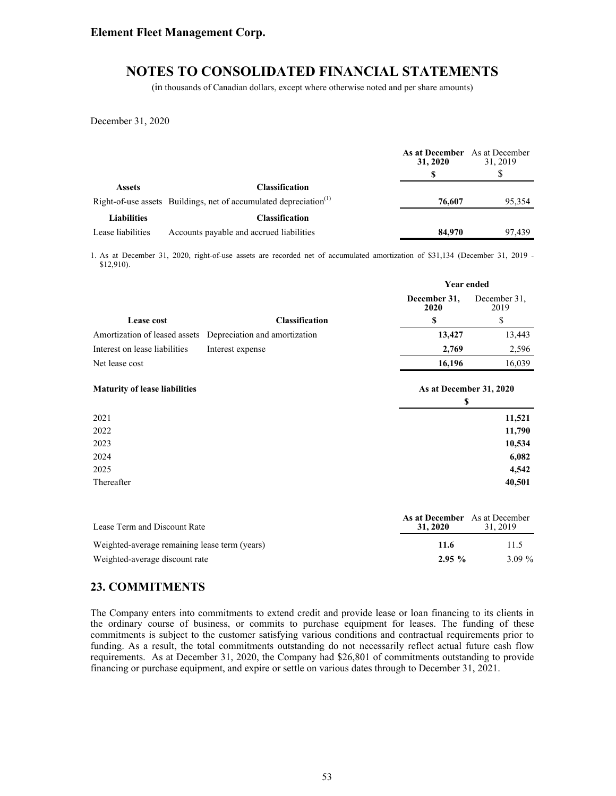(in thousands of Canadian dollars, except where otherwise noted and per share amounts)

December 31, 2020

|                    |                                                                               | <b>As at December</b> As at December<br>31, 2020 | 31, 2019 |
|--------------------|-------------------------------------------------------------------------------|--------------------------------------------------|----------|
|                    |                                                                               |                                                  |          |
| <b>Assets</b>      | <b>Classification</b>                                                         |                                                  |          |
|                    | Right-of-use assets Buildings, net of accumulated depreciation <sup>(1)</sup> | 76,607                                           | 95,354   |
| <b>Liabilities</b> | <b>Classification</b>                                                         |                                                  |          |
| Lease liabilities  | Accounts payable and accrued liabilities                                      | 84,970                                           | 97.439   |

1. As at December 31, 2020, right-of-use assets are recorded net of accumulated amortization of \$31,134 (December 31, 2019 - \$12,910).

|                               |                                                             |                      | Year ended           |  |  |
|-------------------------------|-------------------------------------------------------------|----------------------|----------------------|--|--|
|                               |                                                             | December 31,<br>2020 | December 31.<br>2019 |  |  |
| Lease cost                    | <b>Classification</b>                                       |                      |                      |  |  |
|                               | Amortization of leased assets Depreciation and amortization | 13,427               | 13,443               |  |  |
| Interest on lease liabilities | Interest expense                                            | 2.769                | 2,596                |  |  |
| Net lease cost                |                                                             | 16,196               | 16,039               |  |  |

| <b>Maturity of lease liabilities</b> | As at December 31, 2020 |
|--------------------------------------|-------------------------|
|                                      | \$                      |
| 2021                                 | 11,521                  |
| 2022                                 | 11,790                  |
| 2023                                 | 10,534                  |
| 2024                                 | 6,082                   |
| 2025                                 | 4,542                   |
| Thereafter                           | 40,501                  |

| Lease Term and Discount Rate                  | <b>As at December</b> As at December<br>31.2020 | 31.2019  |
|-----------------------------------------------|-------------------------------------------------|----------|
| Weighted-average remaining lease term (years) | 11.6                                            | 11.5     |
| Weighted-average discount rate                | 2.95%                                           | $3.09\%$ |

### **23. COMMITMENTS**

The Company enters into commitments to extend credit and provide lease or loan financing to its clients in the ordinary course of business, or commits to purchase equipment for leases. The funding of these commitments is subject to the customer satisfying various conditions and contractual requirements prior to funding. As a result, the total commitments outstanding do not necessarily reflect actual future cash flow requirements. As at December 31, 2020, the Company had \$26,801 of commitments outstanding to provide financing or purchase equipment, and expire or settle on various dates through to December 31, 2021.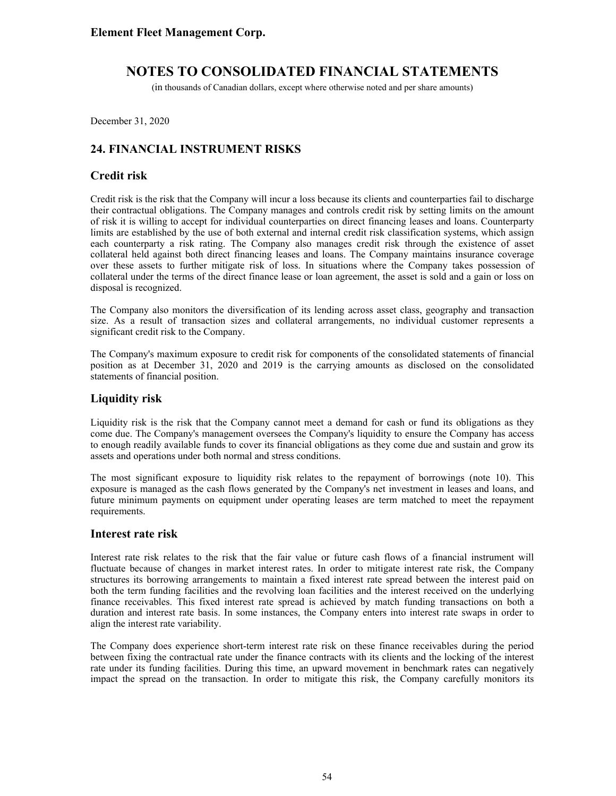(in thousands of Canadian dollars, except where otherwise noted and per share amounts)

December 31, 2020

## **24. FINANCIAL INSTRUMENT RISKS**

### **Credit risk**

Credit risk is the risk that the Company will incur a loss because its clients and counterparties fail to discharge their contractual obligations. The Company manages and controls credit risk by setting limits on the amount of risk it is willing to accept for individual counterparties on direct financing leases and loans. Counterparty limits are established by the use of both external and internal credit risk classification systems, which assign each counterparty a risk rating. The Company also manages credit risk through the existence of asset collateral held against both direct financing leases and loans. The Company maintains insurance coverage over these assets to further mitigate risk of loss. In situations where the Company takes possession of collateral under the terms of the direct finance lease or loan agreement, the asset is sold and a gain or loss on disposal is recognized.

The Company also monitors the diversification of its lending across asset class, geography and transaction size. As a result of transaction sizes and collateral arrangements, no individual customer represents a significant credit risk to the Company.

The Company's maximum exposure to credit risk for components of the consolidated statements of financial position as at December 31, 2020 and 2019 is the carrying amounts as disclosed on the consolidated statements of financial position.

### **Liquidity risk**

Liquidity risk is the risk that the Company cannot meet a demand for cash or fund its obligations as they come due. The Company's management oversees the Company's liquidity to ensure the Company has access to enough readily available funds to cover its financial obligations as they come due and sustain and grow its assets and operations under both normal and stress conditions.

The most significant exposure to liquidity risk relates to the repayment of borrowings (note 10). This exposure is managed as the cash flows generated by the Company's net investment in leases and loans, and future minimum payments on equipment under operating leases are term matched to meet the repayment requirements.

### **Interest rate risk**

Interest rate risk relates to the risk that the fair value or future cash flows of a financial instrument will fluctuate because of changes in market interest rates. In order to mitigate interest rate risk, the Company structures its borrowing arrangements to maintain a fixed interest rate spread between the interest paid on both the term funding facilities and the revolving loan facilities and the interest received on the underlying finance receivables. This fixed interest rate spread is achieved by match funding transactions on both a duration and interest rate basis. In some instances, the Company enters into interest rate swaps in order to align the interest rate variability.

The Company does experience short-term interest rate risk on these finance receivables during the period between fixing the contractual rate under the finance contracts with its clients and the locking of the interest rate under its funding facilities. During this time, an upward movement in benchmark rates can negatively impact the spread on the transaction. In order to mitigate this risk, the Company carefully monitors its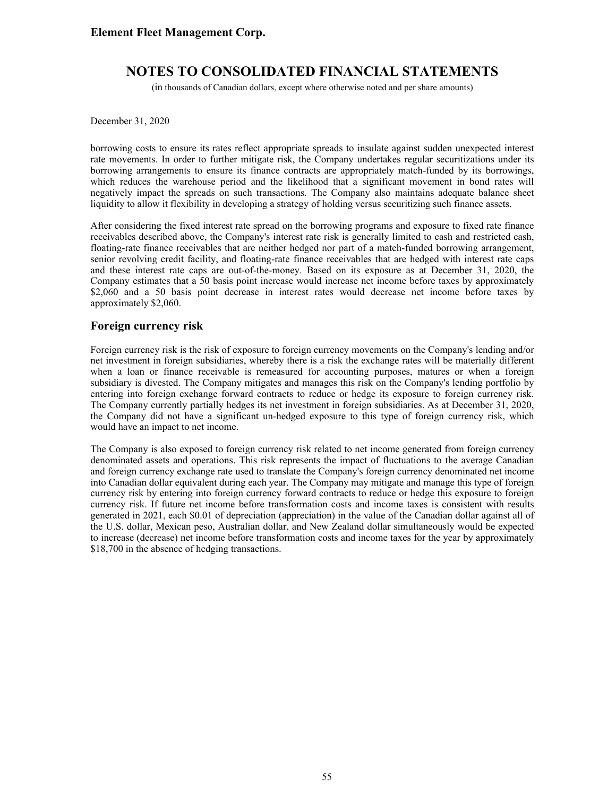(in thousands of Canadian dollars, except where otherwise noted and per share amounts)

December 31, 2020

borrowing costs to ensure its rates reflect appropriate spreads to insulate against sudden unexpected interest rate movements. In order to further mitigate risk, the Company undertakes regular securitizations under its borrowing arrangements to ensure its finance contracts are appropriately match-funded by its borrowings, which reduces the warehouse period and the likelihood that a significant movement in bond rates will negatively impact the spreads on such transactions. The Company also maintains adequate balance sheet liquidity to allow it flexibility in developing a strategy of holding versus securitizing such finance assets.

After considering the fixed interest rate spread on the borrowing programs and exposure to fixed rate finance receivables described above, the Company's interest rate risk is generally limited to cash and restricted cash, floating-rate finance receivables that are neither hedged nor part of a match-funded borrowing arrangement, senior revolving credit facility, and floating-rate finance receivables that are hedged with interest rate caps and these interest rate caps are out-of-the-money. Based on its exposure as at December 31, 2020, the Company estimates that a 50 basis point increase would increase net income before taxes by approximately \$2,060 and a 50 basis point decrease in interest rates would decrease net income before taxes by approximately \$2,060.

### **Foreign currency risk**

Foreign currency risk is the risk of exposure to foreign currency movements on the Company's lending and/or net investment in foreign subsidiaries, whereby there is a risk the exchange rates will be materially different when a loan or finance receivable is remeasured for accounting purposes, matures or when a foreign subsidiary is divested. The Company mitigates and manages this risk on the Company's lending portfolio by entering into foreign exchange forward contracts to reduce or hedge its exposure to foreign currency risk. The Company currently partially hedges its net investment in foreign subsidiaries. As at December 31, 2020, the Company did not have a significant un-hedged exposure to this type of foreign currency risk, which would have an impact to net income.

The Company is also exposed to foreign currency risk related to net income generated from foreign currency denominated assets and operations. This risk represents the impact of fluctuations to the average Canadian and foreign currency exchange rate used to translate the Company's foreign currency denominated net income into Canadian dollar equivalent during each year. The Company may mitigate and manage this type of foreign currency risk by entering into foreign currency forward contracts to reduce or hedge this exposure to foreign currency risk. If future net income before transformation costs and income taxes is consistent with results generated in 2021, each \$0.01 of depreciation (appreciation) in the value of the Canadian dollar against all of the U.S. dollar, Mexican peso, Australian dollar, and New Zealand dollar simultaneously would be expected to increase (decrease) net income before transformation costs and income taxes for the year by approximately \$18,700 in the absence of hedging transactions.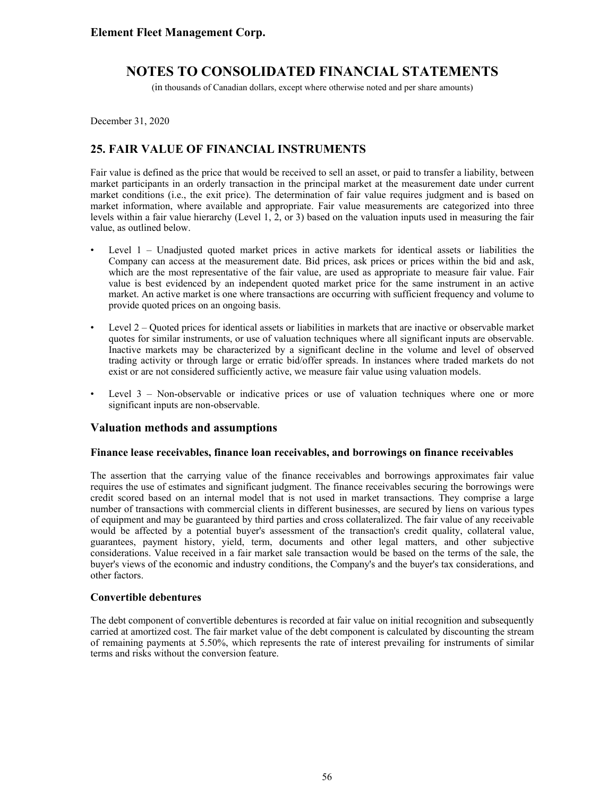(in thousands of Canadian dollars, except where otherwise noted and per share amounts)

December 31, 2020

## **25. FAIR VALUE OF FINANCIAL INSTRUMENTS**

Fair value is defined as the price that would be received to sell an asset, or paid to transfer a liability, between market participants in an orderly transaction in the principal market at the measurement date under current market conditions (i.e., the exit price). The determination of fair value requires judgment and is based on market information, where available and appropriate. Fair value measurements are categorized into three levels within a fair value hierarchy (Level 1, 2, or 3) based on the valuation inputs used in measuring the fair value, as outlined below.

- Level 1 Unadjusted quoted market prices in active markets for identical assets or liabilities the Company can access at the measurement date. Bid prices, ask prices or prices within the bid and ask, which are the most representative of the fair value, are used as appropriate to measure fair value. Fair value is best evidenced by an independent quoted market price for the same instrument in an active market. An active market is one where transactions are occurring with sufficient frequency and volume to provide quoted prices on an ongoing basis.
- Level 2 Quoted prices for identical assets or liabilities in markets that are inactive or observable market quotes for similar instruments, or use of valuation techniques where all significant inputs are observable. Inactive markets may be characterized by a significant decline in the volume and level of observed trading activity or through large or erratic bid/offer spreads. In instances where traded markets do not exist or are not considered sufficiently active, we measure fair value using valuation models.
- Level  $3 -$  Non-observable or indicative prices or use of valuation techniques where one or more significant inputs are non-observable.

### **Valuation methods and assumptions**

#### **Finance lease receivables, finance loan receivables, and borrowings on finance receivables**

The assertion that the carrying value of the finance receivables and borrowings approximates fair value requires the use of estimates and significant judgment. The finance receivables securing the borrowings were credit scored based on an internal model that is not used in market transactions. They comprise a large number of transactions with commercial clients in different businesses, are secured by liens on various types of equipment and may be guaranteed by third parties and cross collateralized. The fair value of any receivable would be affected by a potential buyer's assessment of the transaction's credit quality, collateral value, guarantees, payment history, yield, term, documents and other legal matters, and other subjective considerations. Value received in a fair market sale transaction would be based on the terms of the sale, the buyer's views of the economic and industry conditions, the Company's and the buyer's tax considerations, and other factors.

#### **Convertible debentures**

The debt component of convertible debentures is recorded at fair value on initial recognition and subsequently carried at amortized cost. The fair market value of the debt component is calculated by discounting the stream of remaining payments at 5.50%, which represents the rate of interest prevailing for instruments of similar terms and risks without the conversion feature.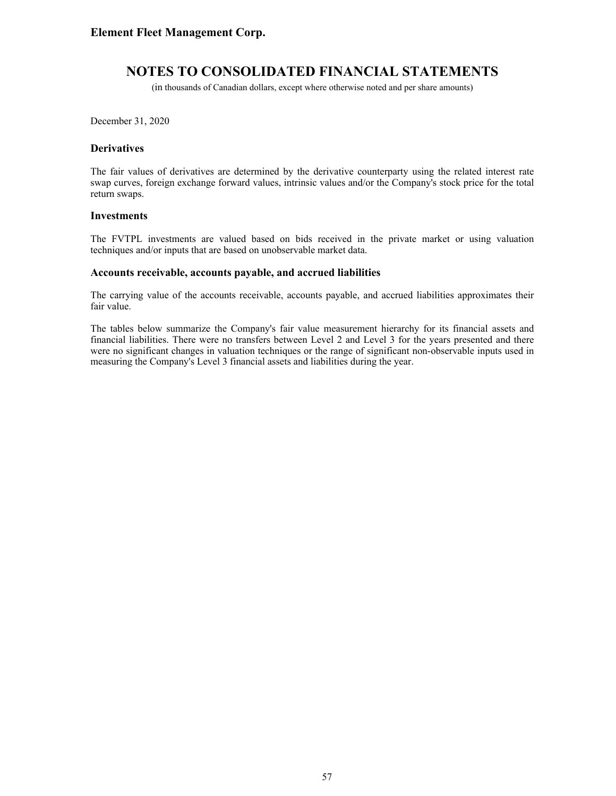(in thousands of Canadian dollars, except where otherwise noted and per share amounts)

December 31, 2020

#### **Derivatives**

The fair values of derivatives are determined by the derivative counterparty using the related interest rate swap curves, foreign exchange forward values, intrinsic values and/or the Company's stock price for the total return swaps.

#### **Investments**

The FVTPL investments are valued based on bids received in the private market or using valuation techniques and/or inputs that are based on unobservable market data.

#### **Accounts receivable, accounts payable, and accrued liabilities**

The carrying value of the accounts receivable, accounts payable, and accrued liabilities approximates their fair value.

The tables below summarize the Company's fair value measurement hierarchy for its financial assets and financial liabilities. There were no transfers between Level 2 and Level 3 for the years presented and there were no significant changes in valuation techniques or the range of significant non-observable inputs used in measuring the Company's Level 3 financial assets and liabilities during the year.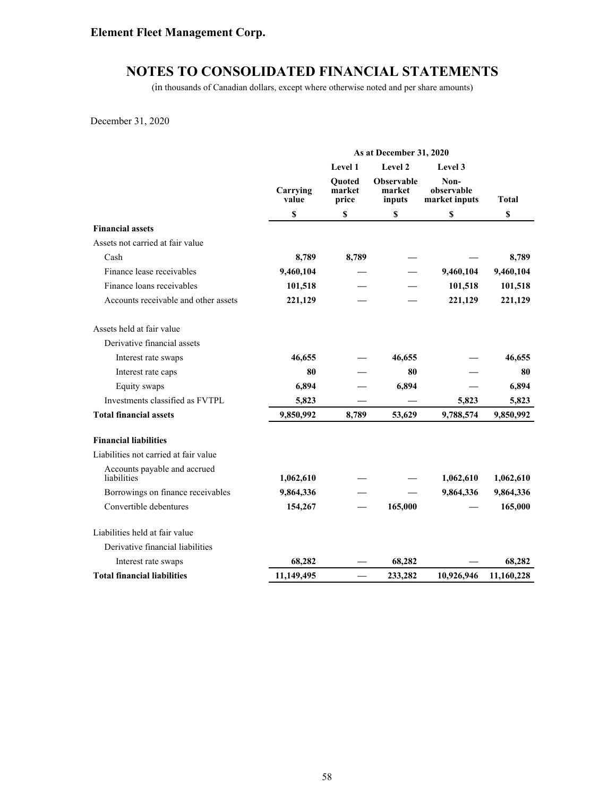(in thousands of Canadian dollars, except where otherwise noted and per share amounts)

December 31, 2020

|                                             |                   |                                  | As at December 31, 2020               |                                     |              |
|---------------------------------------------|-------------------|----------------------------------|---------------------------------------|-------------------------------------|--------------|
|                                             |                   | Level 1                          | Level 2                               | Level 3                             |              |
|                                             | Carrying<br>value | <b>Ouoted</b><br>market<br>price | <b>Observable</b><br>market<br>inputs | Non-<br>observable<br>market inputs | <b>Total</b> |
|                                             | \$                | \$                               | \$                                    | \$                                  | \$           |
| <b>Financial assets</b>                     |                   |                                  |                                       |                                     |              |
| Assets not carried at fair value            |                   |                                  |                                       |                                     |              |
| Cash                                        | 8,789             | 8,789                            |                                       |                                     | 8,789        |
| Finance lease receivables                   | 9,460,104         |                                  |                                       | 9,460,104                           | 9,460,104    |
| Finance loans receivables                   | 101,518           |                                  |                                       | 101,518                             | 101,518      |
| Accounts receivable and other assets        | 221,129           |                                  |                                       | 221,129                             | 221,129      |
| Assets held at fair value                   |                   |                                  |                                       |                                     |              |
| Derivative financial assets                 |                   |                                  |                                       |                                     |              |
| Interest rate swaps                         | 46,655            |                                  | 46,655                                |                                     | 46,655       |
| Interest rate caps                          | 80                |                                  | 80                                    |                                     | 80           |
| Equity swaps                                | 6,894             |                                  | 6,894                                 |                                     | 6,894        |
| Investments classified as FVTPL             | 5,823             |                                  |                                       | 5,823                               | 5,823        |
| <b>Total financial assets</b>               | 9,850,992         | 8,789                            | 53,629                                | 9,788,574                           | 9,850,992    |
| <b>Financial liabilities</b>                |                   |                                  |                                       |                                     |              |
| Liabilities not carried at fair value       |                   |                                  |                                       |                                     |              |
| Accounts payable and accrued<br>liabilities | 1,062,610         |                                  |                                       | 1,062,610                           | 1,062,610    |
| Borrowings on finance receivables           | 9,864,336         |                                  |                                       | 9,864,336                           | 9,864,336    |
| Convertible debentures                      | 154,267           |                                  | 165,000                               |                                     | 165,000      |
| Liabilities held at fair value              |                   |                                  |                                       |                                     |              |
| Derivative financial liabilities            |                   |                                  |                                       |                                     |              |
| Interest rate swaps                         | 68,282            |                                  | 68,282                                |                                     | 68,282       |
| <b>Total financial liabilities</b>          | 11,149,495        |                                  | 233,282                               | 10,926,946                          | 11,160,228   |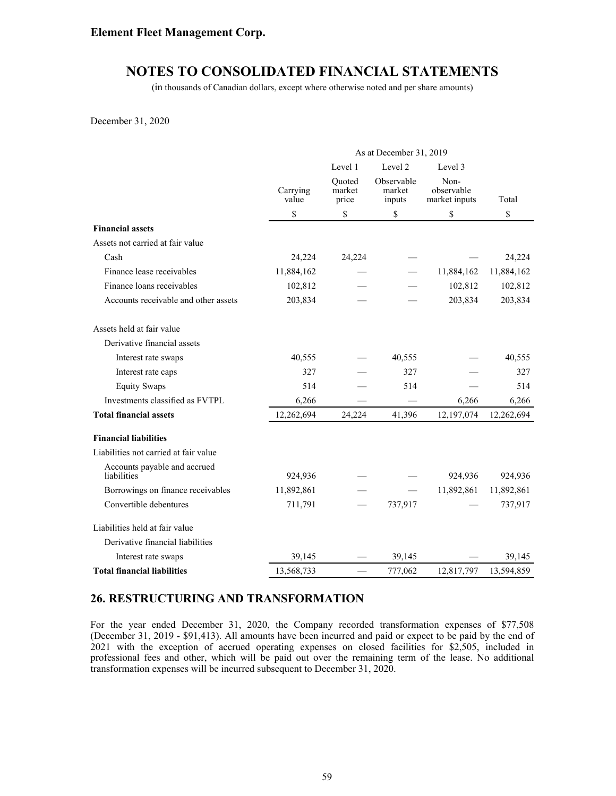(in thousands of Canadian dollars, except where otherwise noted and per share amounts)

December 31, 2020

|                                             |                   |                           | As at December 31, 2019        |                                     |            |
|---------------------------------------------|-------------------|---------------------------|--------------------------------|-------------------------------------|------------|
|                                             |                   | Level 1                   | Level 2                        | Level 3                             |            |
|                                             | Carrying<br>value | Ouoted<br>market<br>price | Observable<br>market<br>inputs | Non-<br>observable<br>market inputs | Total      |
|                                             | \$                | \$                        | \$                             | \$                                  | \$         |
| <b>Financial assets</b>                     |                   |                           |                                |                                     |            |
| Assets not carried at fair value            |                   |                           |                                |                                     |            |
| Cash                                        | 24,224            | 24,224                    |                                |                                     | 24,224     |
| Finance lease receivables                   | 11,884,162        |                           |                                | 11,884,162                          | 11,884,162 |
| Finance loans receivables                   | 102,812           |                           |                                | 102,812                             | 102,812    |
| Accounts receivable and other assets        | 203,834           |                           |                                | 203,834                             | 203,834    |
| Assets held at fair value                   |                   |                           |                                |                                     |            |
| Derivative financial assets                 |                   |                           |                                |                                     |            |
| Interest rate swaps                         | 40,555            |                           | 40,555                         |                                     | 40,555     |
| Interest rate caps                          | 327               |                           | 327                            |                                     | 327        |
| <b>Equity Swaps</b>                         | 514               |                           | 514                            |                                     | 514        |
| Investments classified as FVTPL             | 6,266             |                           |                                | 6,266                               | 6,266      |
| <b>Total financial assets</b>               | 12,262,694        | 24,224                    | 41,396                         | 12,197,074                          | 12,262,694 |
| <b>Financial liabilities</b>                |                   |                           |                                |                                     |            |
| Liabilities not carried at fair value       |                   |                           |                                |                                     |            |
| Accounts payable and accrued<br>liabilities | 924,936           |                           |                                | 924,936                             | 924,936    |
| Borrowings on finance receivables           | 11,892,861        |                           |                                | 11,892,861                          | 11,892,861 |
| Convertible debentures                      | 711,791           |                           | 737,917                        |                                     | 737,917    |
| Liabilities held at fair value              |                   |                           |                                |                                     |            |
| Derivative financial liabilities            |                   |                           |                                |                                     |            |
| Interest rate swaps                         | 39,145            |                           | 39,145                         |                                     | 39,145     |
| <b>Total financial liabilities</b>          | 13,568,733        |                           | 777,062                        | 12,817,797                          | 13,594,859 |

### **26. RESTRUCTURING AND TRANSFORMATION**

For the year ended December 31, 2020, the Company recorded transformation expenses of \$77,508 (December 31, 2019 - \$91,413). All amounts have been incurred and paid or expect to be paid by the end of 2021 with the exception of accrued operating expenses on closed facilities for \$2,505, included in professional fees and other, which will be paid out over the remaining term of the lease. No additional transformation expenses will be incurred subsequent to December 31, 2020.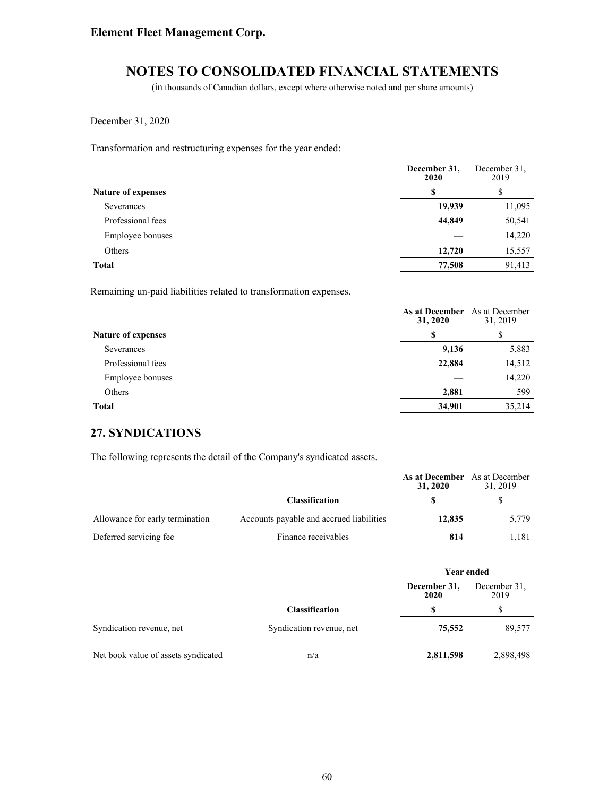## **Element Fleet Management Corp.**

## **NOTES TO CONSOLIDATED FINANCIAL STATEMENTS**

(in thousands of Canadian dollars, except where otherwise noted and per share amounts)

December 31, 2020

Transformation and restructuring expenses for the year ended:

|                           | December 31,<br>2020 | December 31,<br>2019 |
|---------------------------|----------------------|----------------------|
| <b>Nature of expenses</b> | \$                   | Φ                    |
| Severances                | 19,939               | 11,095               |
| Professional fees         | 44,849               | 50,541               |
| Employee bonuses          |                      | 14,220               |
| Others                    | 12,720               | 15,557               |
| <b>Total</b>              | 77,508               | 91,413               |

Remaining un-paid liabilities related to transformation expenses.

|                           | <b>As at December</b><br>31, 2020 | As at December<br>31, 2019 |
|---------------------------|-----------------------------------|----------------------------|
| <b>Nature of expenses</b> | \$                                | S                          |
| Severances                | 9,136                             | 5,883                      |
| Professional fees         | 22,884                            | 14,512                     |
| Employee bonuses          |                                   | 14,220                     |
| Others                    | 2,881                             | 599                        |
| <b>Total</b>              | 34,901                            | 35,214                     |

## **27. SYNDICATIONS**

The following represents the detail of the Company's syndicated assets.

|                                 |                                          | 31, 2020 | <b>As at December</b> As at December<br>31.2019 |  |
|---------------------------------|------------------------------------------|----------|-------------------------------------------------|--|
|                                 | <b>Classification</b>                    |          |                                                 |  |
| Allowance for early termination | Accounts payable and accrued liabilities | 12,835   | 5,779                                           |  |
| Deferred servicing fee.         | Finance receivables                      | 814      | 1.181                                           |  |

|                                     |                          | Year ended           |                      |
|-------------------------------------|--------------------------|----------------------|----------------------|
|                                     |                          | December 31,<br>2020 | December 31.<br>2019 |
|                                     | <b>Classification</b>    | S                    |                      |
| Syndication revenue, net            | Syndication revenue, net | 75,552               | 89,577               |
| Net book value of assets syndicated | n/a                      | 2,811,598            | 2,898,498            |